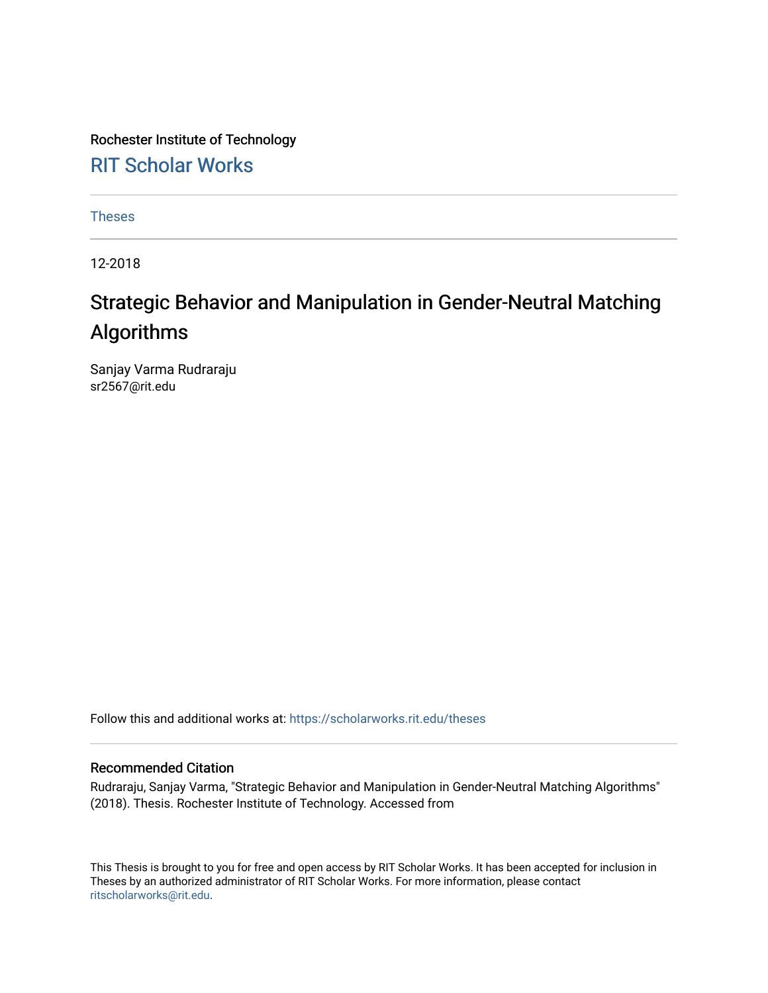Rochester Institute of Technology [RIT Scholar Works](https://scholarworks.rit.edu/)

[Theses](https://scholarworks.rit.edu/theses) 

12-2018

# Strategic Behavior and Manipulation in Gender-Neutral Matching Algorithms

Sanjay Varma Rudraraju sr2567@rit.edu

Follow this and additional works at: [https://scholarworks.rit.edu/theses](https://scholarworks.rit.edu/theses?utm_source=scholarworks.rit.edu%2Ftheses%2F9966&utm_medium=PDF&utm_campaign=PDFCoverPages) 

#### Recommended Citation

Rudraraju, Sanjay Varma, "Strategic Behavior and Manipulation in Gender-Neutral Matching Algorithms" (2018). Thesis. Rochester Institute of Technology. Accessed from

This Thesis is brought to you for free and open access by RIT Scholar Works. It has been accepted for inclusion in Theses by an authorized administrator of RIT Scholar Works. For more information, please contact [ritscholarworks@rit.edu](mailto:ritscholarworks@rit.edu).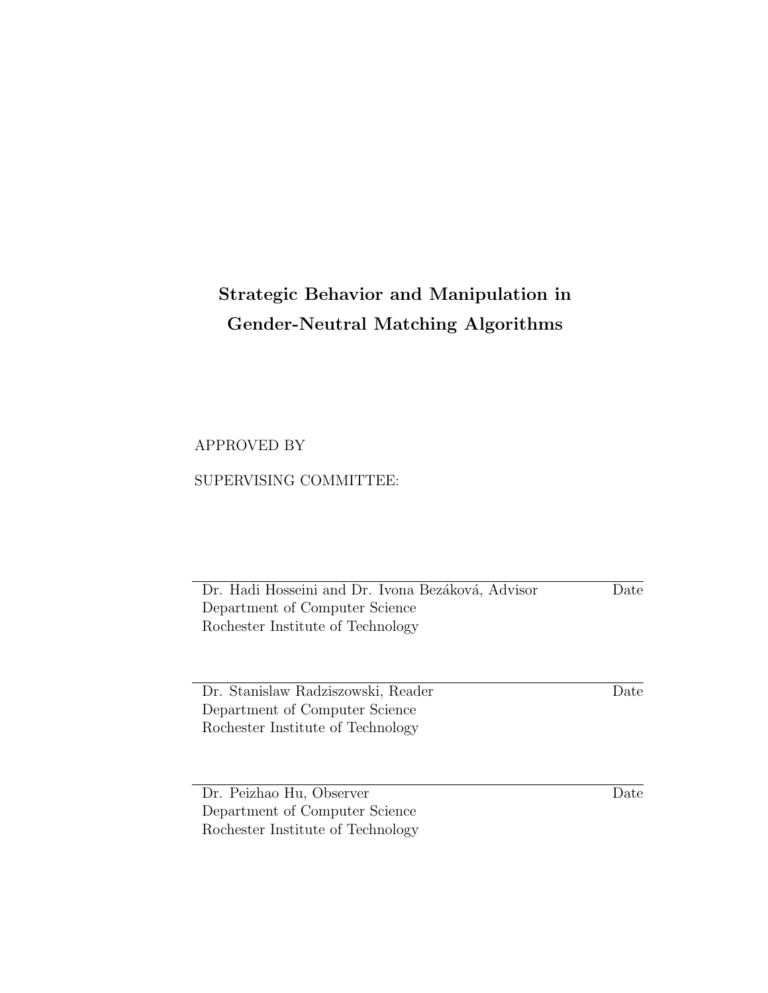# Strategic Behavior and Manipulation in Gender-Neutral Matching Algorithms

### APPROVED BY

### SUPERVISING COMMITTEE:

Dr. Hadi Hosseini and Dr. Ivona Bezáková, Advisor Department of Computer Science Rochester Institute of Technology Date

Dr. Stanislaw Radziszowski, Reader Department of Computer Science Rochester Institute of Technology

Date

Dr. Peizhao Hu, Observer Department of Computer Science Rochester Institute of Technology

Date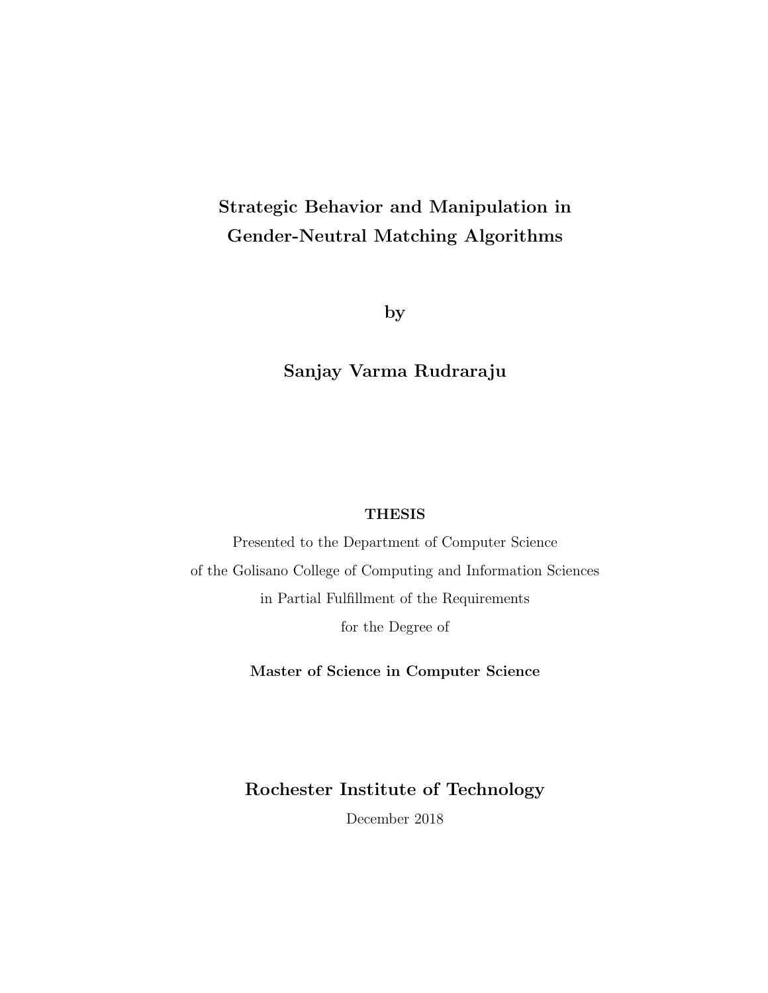# Strategic Behavior and Manipulation in Gender-Neutral Matching Algorithms

by

### Sanjay Varma Rudraraju

### **THESIS**

Presented to the Department of Computer Science of the Golisano College of Computing and Information Sciences in Partial Fulfillment of the Requirements for the Degree of

Master of Science in Computer Science

Rochester Institute of Technology

December 2018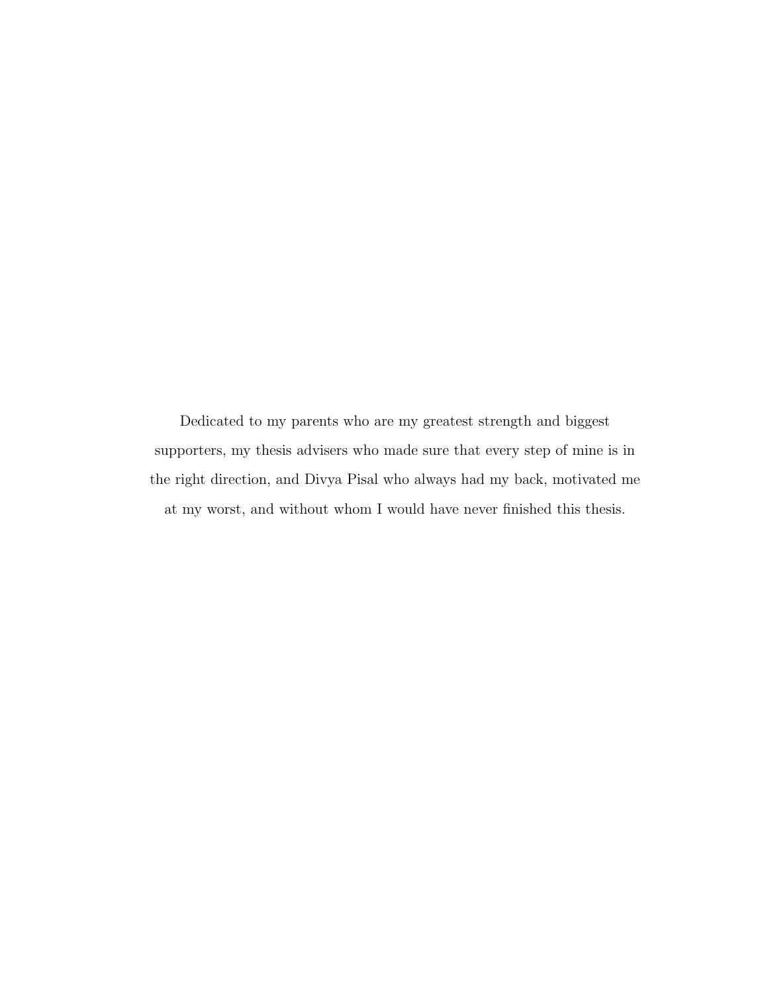Dedicated to my parents who are my greatest strength and biggest supporters, my thesis advisers who made sure that every step of mine is in the right direction, and Divya Pisal who always had my back, motivated me at my worst, and without whom I would have never finished this thesis.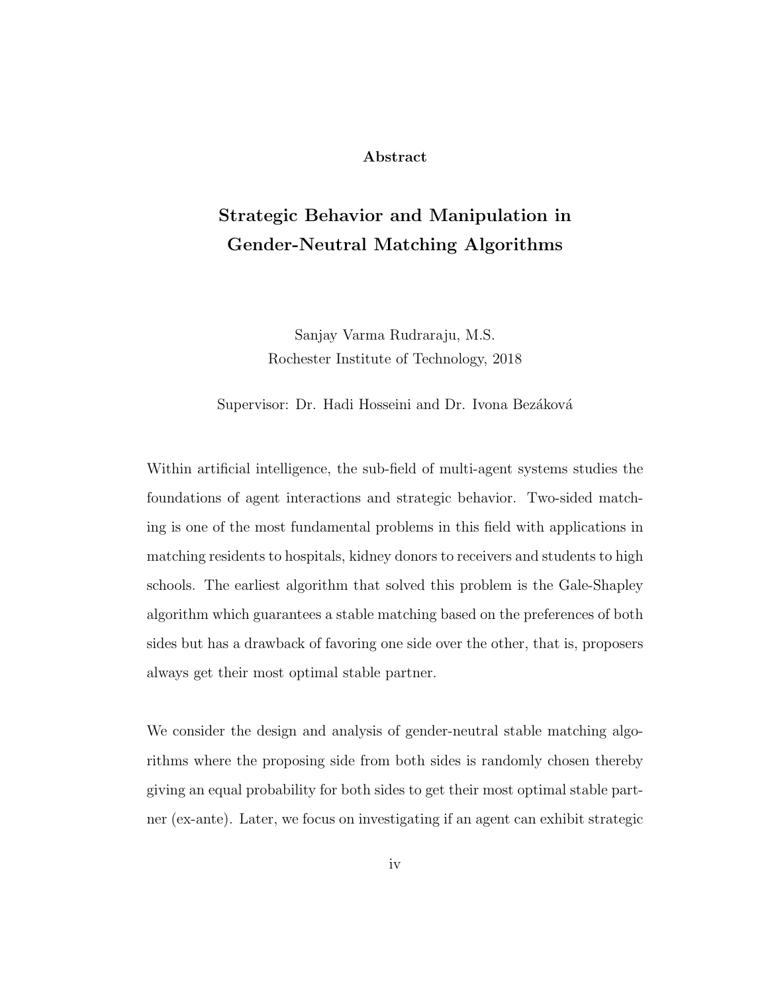#### Abstract

# Strategic Behavior and Manipulation in Gender-Neutral Matching Algorithms

Sanjay Varma Rudraraju, M.S. Rochester Institute of Technology, 2018

Supervisor: Dr. Hadi Hosseini and Dr. Ivona Bezáková

Within artificial intelligence, the sub-field of multi-agent systems studies the foundations of agent interactions and strategic behavior. Two-sided matching is one of the most fundamental problems in this field with applications in matching residents to hospitals, kidney donors to receivers and students to high schools. The earliest algorithm that solved this problem is the Gale-Shapley algorithm which guarantees a stable matching based on the preferences of both sides but has a drawback of favoring one side over the other, that is, proposers always get their most optimal stable partner.

We consider the design and analysis of gender-neutral stable matching algorithms where the proposing side from both sides is randomly chosen thereby giving an equal probability for both sides to get their most optimal stable partner (ex-ante). Later, we focus on investigating if an agent can exhibit strategic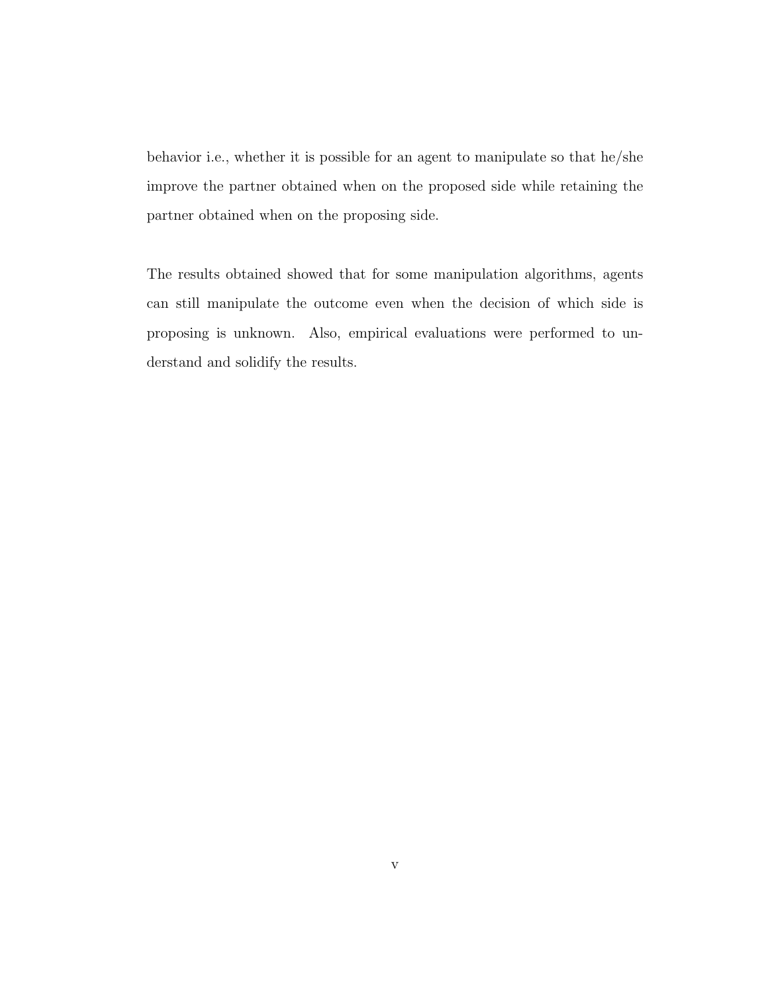behavior i.e., whether it is possible for an agent to manipulate so that he/she improve the partner obtained when on the proposed side while retaining the partner obtained when on the proposing side.

The results obtained showed that for some manipulation algorithms, agents can still manipulate the outcome even when the decision of which side is proposing is unknown. Also, empirical evaluations were performed to understand and solidify the results.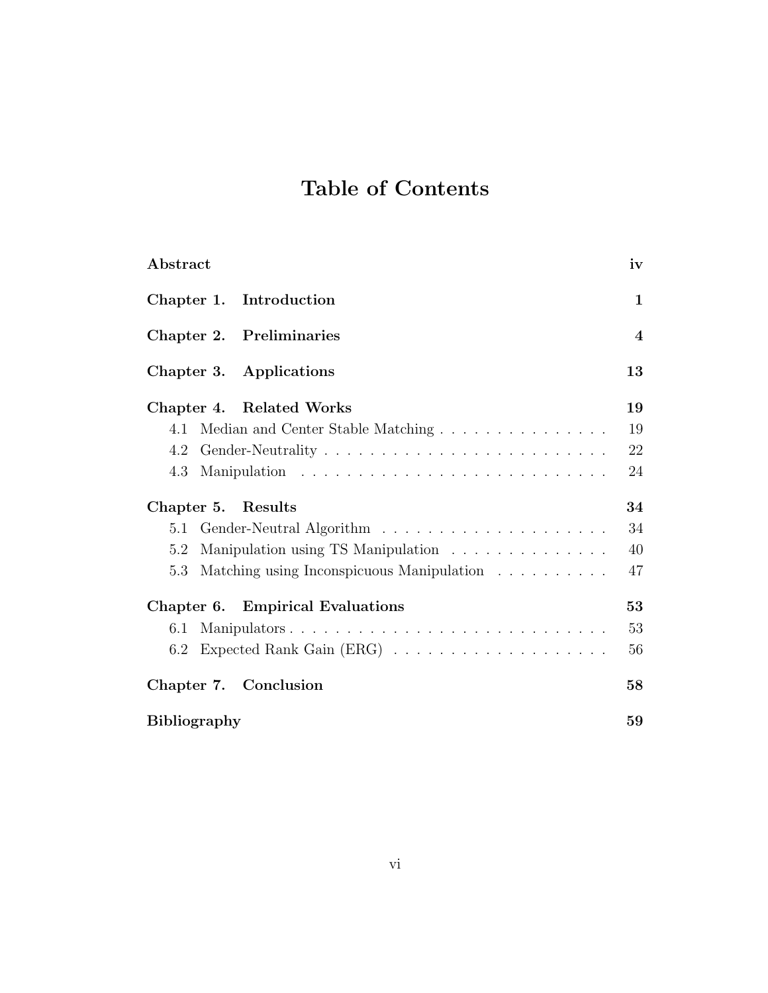# Table of Contents

| Abstract                                         | iv               |
|--------------------------------------------------|------------------|
| Chapter 1. Introduction                          | 1                |
| Chapter 2. Preliminaries                         | $\boldsymbol{4}$ |
| Chapter 3. Applications                          | 13               |
| Chapter 4. Related Works                         | 19               |
| Median and Center Stable Matching<br>4.1         | 19               |
| 4.2                                              | 22               |
| 4.3                                              | 24               |
| Chapter 5.<br>Results                            | 34               |
| 5.1                                              | 34               |
| Manipulation using TS Manipulation<br>5.2        | 40               |
| Matching using Inconspicuous Manipulation<br>5.3 | 47               |
| Chapter 6. Empirical Evaluations                 | 53               |
| Manipulators<br>6.1                              | 53               |
| 6.2                                              | 56               |
| Chapter 7. Conclusion                            | 58               |
| <b>Bibliography</b>                              | 59               |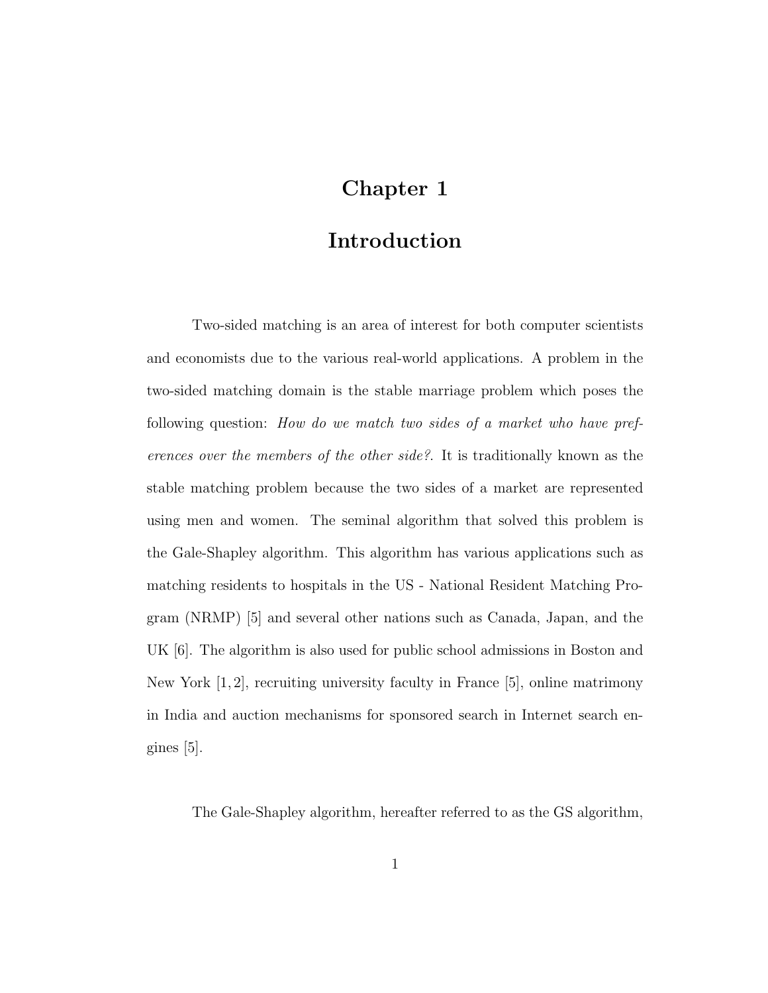## Chapter 1

### Introduction

Two-sided matching is an area of interest for both computer scientists and economists due to the various real-world applications. A problem in the two-sided matching domain is the stable marriage problem which poses the following question: How do we match two sides of a market who have preferences over the members of the other side?. It is traditionally known as the stable matching problem because the two sides of a market are represented using men and women. The seminal algorithm that solved this problem is the Gale-Shapley algorithm. This algorithm has various applications such as matching residents to hospitals in the US - National Resident Matching Program (NRMP) [5] and several other nations such as Canada, Japan, and the UK [6]. The algorithm is also used for public school admissions in Boston and New York  $[1, 2]$ , recruiting university faculty in France  $[5]$ , online matrimony in India and auction mechanisms for sponsored search in Internet search engines [5].

The Gale-Shapley algorithm, hereafter referred to as the GS algorithm,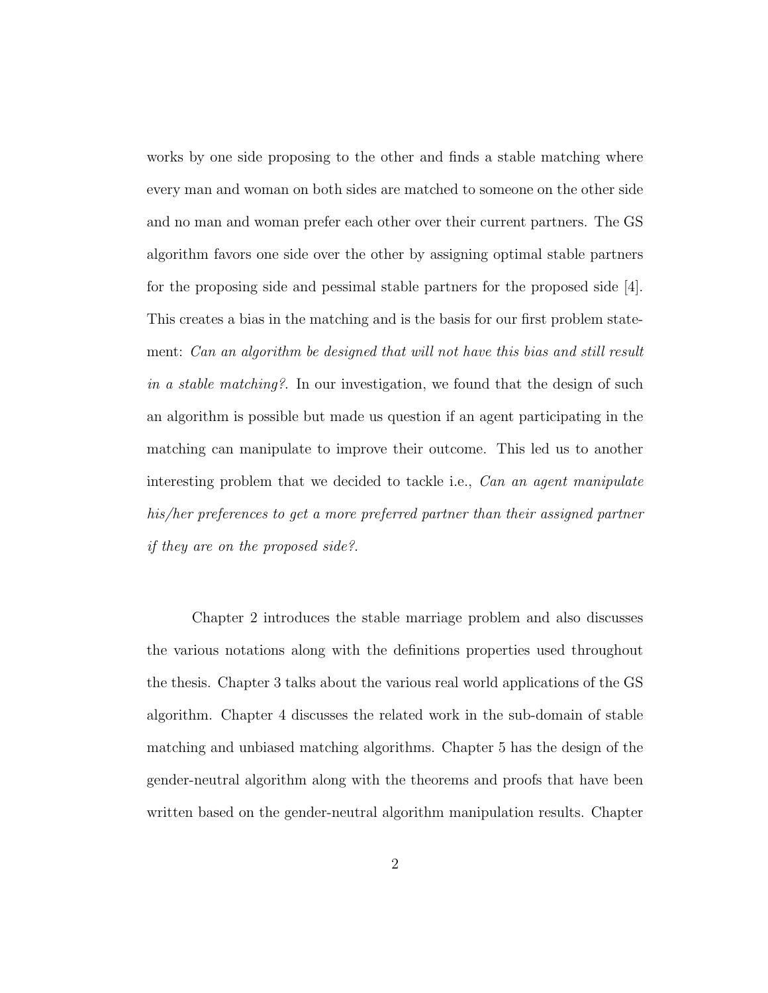works by one side proposing to the other and finds a stable matching where every man and woman on both sides are matched to someone on the other side and no man and woman prefer each other over their current partners. The GS algorithm favors one side over the other by assigning optimal stable partners for the proposing side and pessimal stable partners for the proposed side  $[4]$ . This creates a bias in the matching and is the basis for our first problem statement: Can an algorithm be designed that will not have this bias and still result in a stable matching?. In our investigation, we found that the design of such an algorithm is possible but made us question if an agent participating in the matching can manipulate to improve their outcome. This led us to another interesting problem that we decided to tackle i.e., Can an agent manipulate his/her preferences to get a more preferred partner than their assigned partner if they are on the proposed side?.

Chapter 2 introduces the stable marriage problem and also discusses the various notations along with the definitions properties used throughout the thesis. Chapter 3 talks about the various real world applications of the GS algorithm. Chapter 4 discusses the related work in the sub-domain of stable matching and unbiased matching algorithms. Chapter 5 has the design of the gender-neutral algorithm along with the theorems and proofs that have been written based on the gender-neutral algorithm manipulation results. Chapter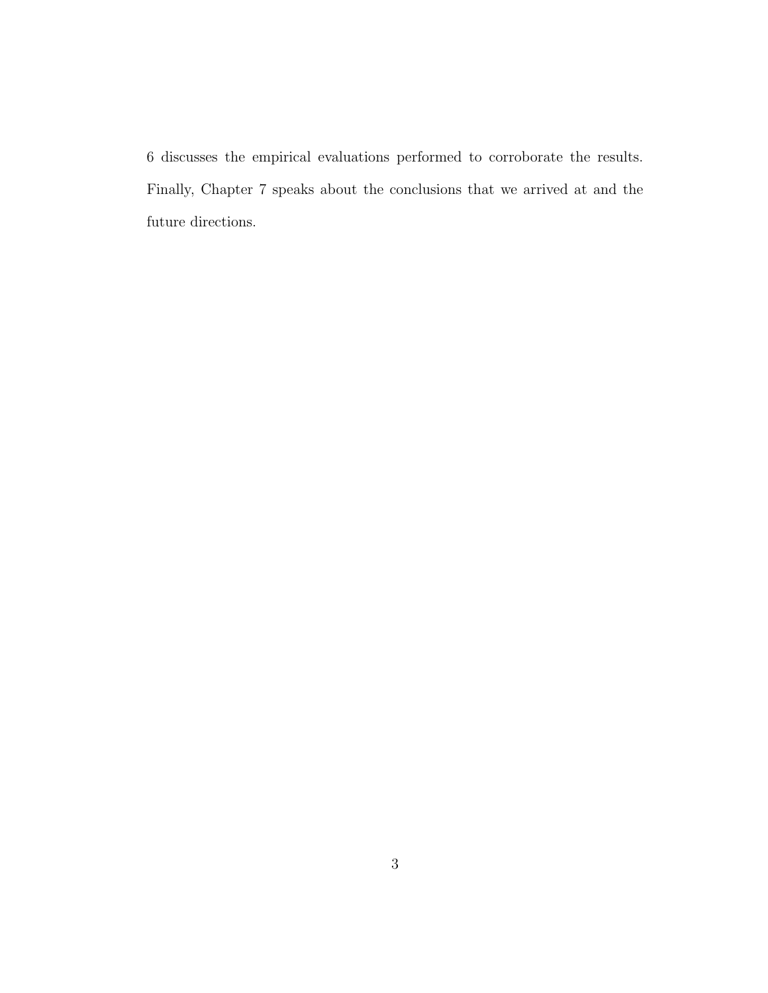6 discusses the empirical evaluations performed to corroborate the results. Finally, Chapter 7 speaks about the conclusions that we arrived at and the future directions.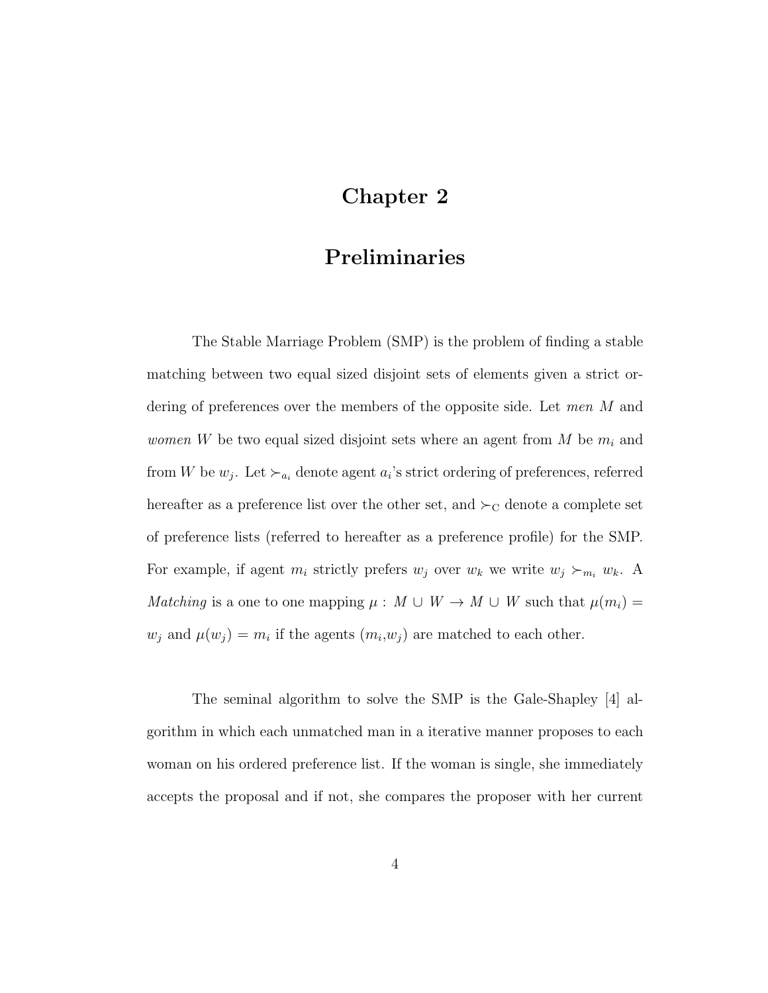## Chapter 2

## Preliminaries

The Stable Marriage Problem (SMP) is the problem of finding a stable matching between two equal sized disjoint sets of elements given a strict ordering of preferences over the members of the opposite side. Let men M and *women* W be two equal sized disjoint sets where an agent from M be  $m_i$  and from W be  $w_j$ . Let  $\succ_{a_i}$  denote agent  $a_i$ 's strict ordering of preferences, referred hereafter as a preference list over the other set, and  $\succ_C$  denote a complete set of preference lists (referred to hereafter as a preference profile) for the SMP. For example, if agent  $m_i$  strictly prefers  $w_j$  over  $w_k$  we write  $w_j \succ_{m_i} w_k$ . A Matching is a one to one mapping  $\mu : M \cup W \rightarrow M \cup W$  such that  $\mu(m_i) =$  $w_j$  and  $\mu(w_j) = m_i$  if the agents  $(m_i, w_j)$  are matched to each other.

The seminal algorithm to solve the SMP is the Gale-Shapley [4] algorithm in which each unmatched man in a iterative manner proposes to each woman on his ordered preference list. If the woman is single, she immediately accepts the proposal and if not, she compares the proposer with her current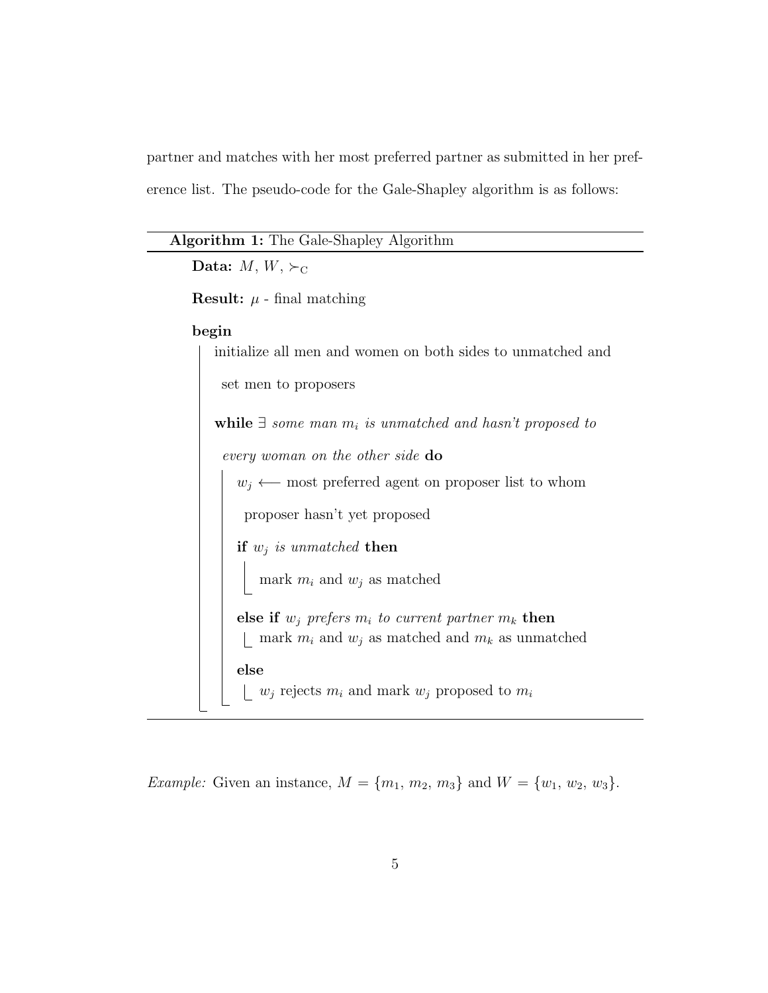partner and matches with her most preferred partner as submitted in her preference list. The pseudo-code for the Gale-Shapley algorithm is as follows:

| <b>Algorithm 1:</b> The Gale-Shapley Algorithm                     |
|--------------------------------------------------------------------|
| Data: $M, W, \succ_C$                                              |
| <b>Result:</b> $\mu$ - final matching                              |
| begin                                                              |
| initialize all men and women on both sides to unmatched and        |
| set men to proposers                                               |
| while $\exists$ some man $m_i$ is unmatched and hasn't proposed to |
| every woman on the other side do                                   |
| $w_i \leftarrow$ most preferred agent on proposer list to whom     |
| proposer hasn't yet proposed                                       |
| if $w_j$ is unmatched then                                         |
| mark $m_i$ and $w_j$ as matched                                    |
| else if $w_i$ prefers $m_i$ to current partner $m_k$ then          |
| mark $m_i$ and $w_j$ as matched and $m_k$ as unmatched             |
| else<br>$w_j$ rejects $m_i$ and mark $w_j$ proposed to $m_i$       |
|                                                                    |

*Example:* Given an instance,  $M = \{m_1, m_2, m_3\}$  and  $W = \{w_1, w_2, w_3\}$ .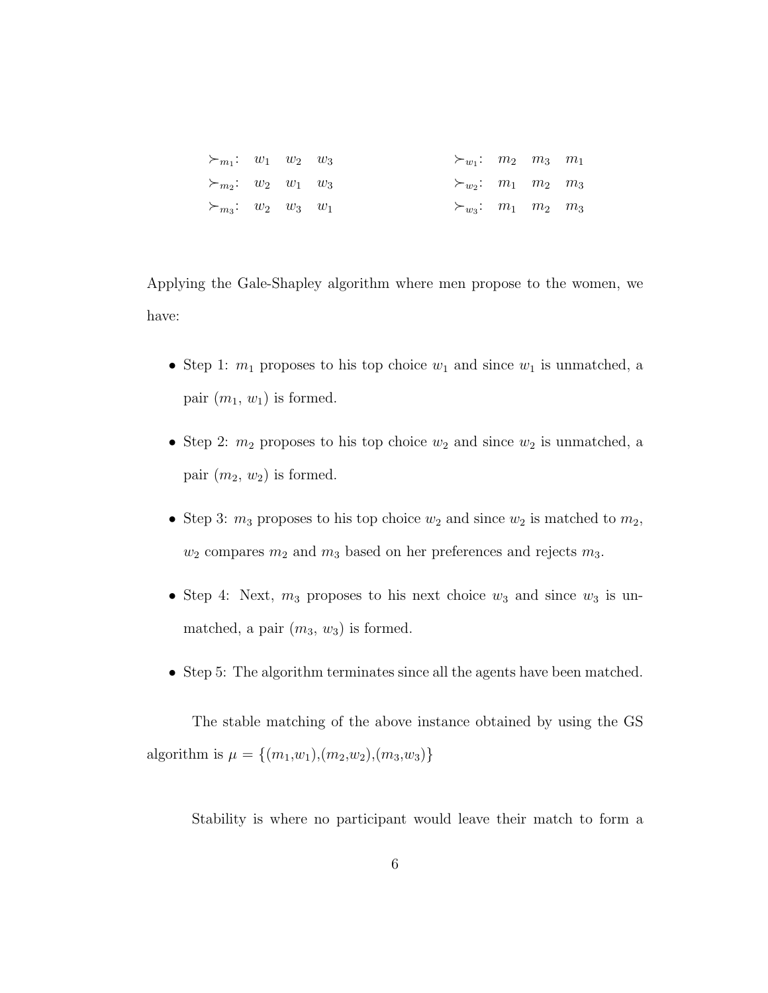| $\succ_{m_1}: w_1 \quad w_2 \quad w_3$ |  | $\succ_{w_1}: m_2 \quad m_3 \quad m_1$ |  |  |
|----------------------------------------|--|----------------------------------------|--|--|
| $\succ_{m_2}:$ $w_2$ $w_1$ $w_3$       |  | $\succ_{w_2}: m_1 \quad m_2 \quad m_3$ |  |  |
| $\succ_{m_3}:$ $w_2$ $w_3$ $w_1$       |  | $\succ_{w_3}: m_1 \quad m_2 \quad m_3$ |  |  |

Applying the Gale-Shapley algorithm where men propose to the women, we have:

- Step 1:  $m_1$  proposes to his top choice  $w_1$  and since  $w_1$  is unmatched, a pair  $(m_1, w_1)$  is formed.
- Step 2:  $m_2$  proposes to his top choice  $w_2$  and since  $w_2$  is unmatched, a pair  $(m_2, w_2)$  is formed.
- Step 3:  $m_3$  proposes to his top choice  $w_2$  and since  $w_2$  is matched to  $m_2$ ,  $w_2$  compares  $m_2$  and  $m_3$  based on her preferences and rejects  $m_3$ .
- Step 4: Next,  $m_3$  proposes to his next choice  $w_3$  and since  $w_3$  is unmatched, a pair  $(m_3, w_3)$  is formed.
- Step 5: The algorithm terminates since all the agents have been matched.

The stable matching of the above instance obtained by using the GS algorithm is  $\mu = \{(m_1,w_1), (m_2,w_2), (m_3,w_3)\}\$ 

Stability is where no participant would leave their match to form a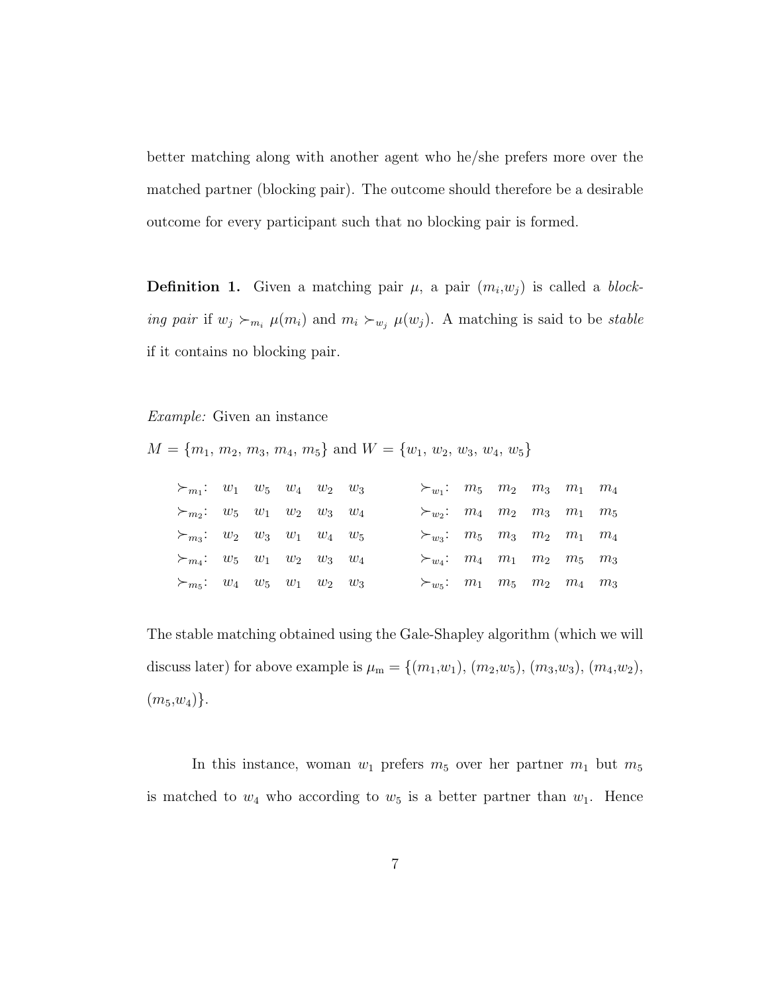better matching along with another agent who he/she prefers more over the matched partner (blocking pair). The outcome should therefore be a desirable outcome for every participant such that no blocking pair is formed.

**Definition 1.** Given a matching pair  $\mu$ , a pair  $(m_i, w_j)$  is called a *block*ing pair if  $w_j \succ_{m_i} \mu(m_i)$  and  $m_i \succ_{w_j} \mu(w_j)$ . A matching is said to be stable if it contains no blocking pair.

Example: Given an instance

 $M = \{m_1, m_2, m_3, m_4, m_5\}$  and  $W = \{w_1, w_2, w_3, w_4, w_5\}$ 

| $\succ_{m_1}: w_1 \quad w_5 \quad w_4 \quad w_2 \quad w_3$ |  |  | $\succ_{w_1}:$ $m_5$ $m_2$ $m_3$ $m_1$ $m_4$               |  |  |  |
|------------------------------------------------------------|--|--|------------------------------------------------------------|--|--|--|
| $\succ_{m_2}:$ $w_5$ $w_1$ $w_2$ $w_3$ $w_4$               |  |  | $\succ_{w_2}: m_4 \quad m_2 \quad m_3 \quad m_1 \quad m_5$ |  |  |  |
| $\succ_{m_3}:$ $w_2$ $w_3$ $w_1$ $w_4$ $w_5$               |  |  | $\succ_{w_3}:$ $m_5$ $m_3$ $m_2$ $m_1$ $m_4$               |  |  |  |
| $\succ_{m_4}:$ $w_5$ $w_1$ $w_2$ $w_3$ $w_4$               |  |  | $\succ_{w_4}: m_4 \quad m_1 \quad m_2 \quad m_5 \quad m_3$ |  |  |  |
| $\succ_{m_5}:$ $w_4$ $w_5$ $w_1$ $w_2$ $w_3$               |  |  | $\succ_{w_5}:$ $m_1$ $m_5$ $m_2$ $m_4$ $m_3$               |  |  |  |

The stable matching obtained using the Gale-Shapley algorithm (which we will discuss later) for above example is  $\mu_{m} = \{(m_1, w_1), (m_2, w_5), (m_3, w_3), (m_4, w_2),$  $(m_5,w_4)$ .

In this instance, woman  $w_1$  prefers  $m_5$  over her partner  $m_1$  but  $m_5$ is matched to  $w_4$  who according to  $w_5$  is a better partner than  $w_1$ . Hence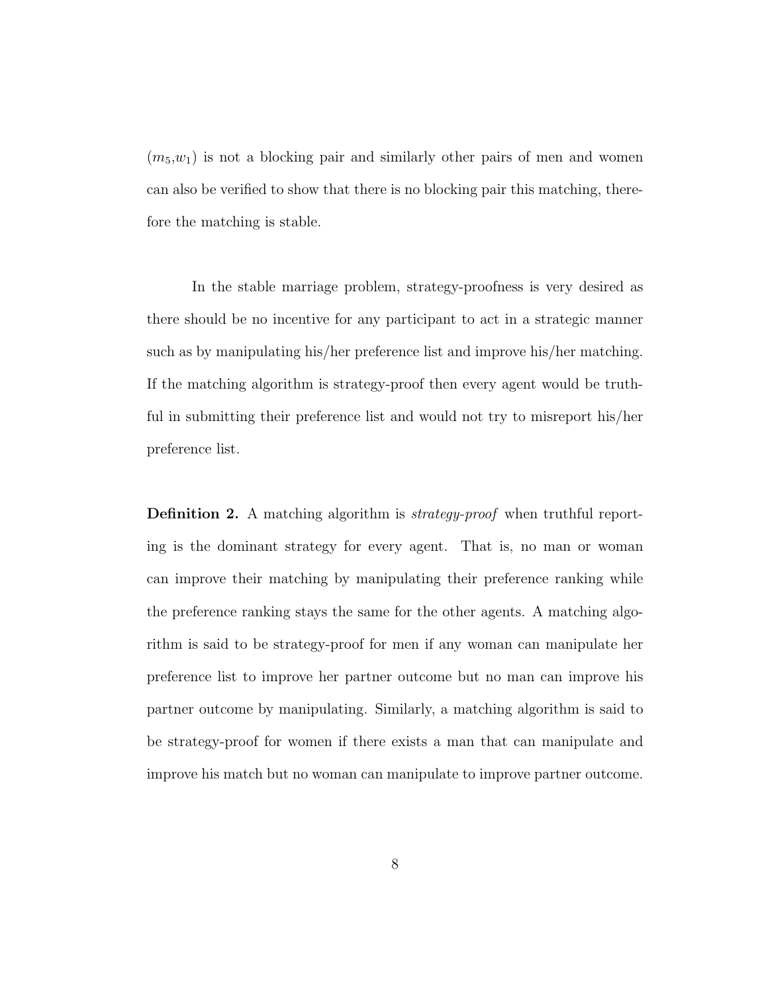$(m_5, w_1)$  is not a blocking pair and similarly other pairs of men and women can also be verified to show that there is no blocking pair this matching, therefore the matching is stable.

In the stable marriage problem, strategy-proofness is very desired as there should be no incentive for any participant to act in a strategic manner such as by manipulating his/her preference list and improve his/her matching. If the matching algorithm is strategy-proof then every agent would be truthful in submitting their preference list and would not try to misreport his/her preference list.

Definition 2. A matching algorithm is *strategy-proof* when truthful reporting is the dominant strategy for every agent. That is, no man or woman can improve their matching by manipulating their preference ranking while the preference ranking stays the same for the other agents. A matching algorithm is said to be strategy-proof for men if any woman can manipulate her preference list to improve her partner outcome but no man can improve his partner outcome by manipulating. Similarly, a matching algorithm is said to be strategy-proof for women if there exists a man that can manipulate and improve his match but no woman can manipulate to improve partner outcome.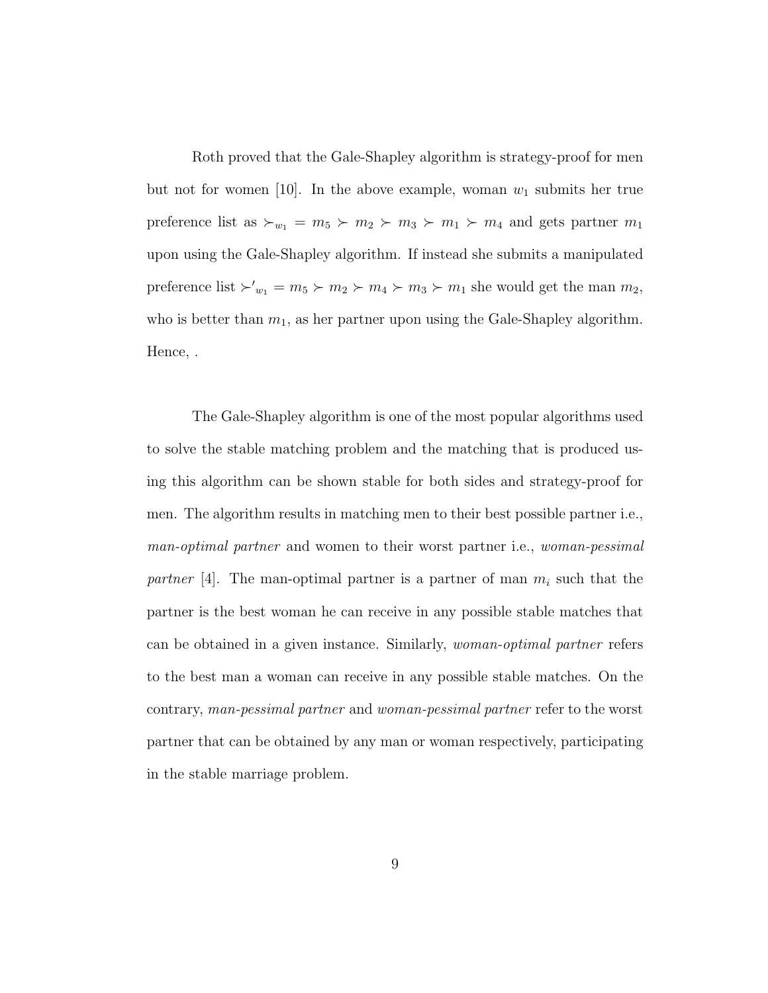Roth proved that the Gale-Shapley algorithm is strategy-proof for men but not for women [10]. In the above example, woman  $w_1$  submits her true preference list as  $\succ_{w_1} = m_5 \succ m_2 \succ m_3 \succ m_1 \succ m_4$  and gets partner  $m_1$ upon using the Gale-Shapley algorithm. If instead she submits a manipulated preference list  $\succ'_{w_1} = m_5 \succ m_2 \succ m_4 \succ m_3 \succ m_1$  she would get the man  $m_2$ , who is better than  $m_1$ , as her partner upon using the Gale-Shapley algorithm. Hence, .

The Gale-Shapley algorithm is one of the most popular algorithms used to solve the stable matching problem and the matching that is produced using this algorithm can be shown stable for both sides and strategy-proof for men. The algorithm results in matching men to their best possible partner i.e., man-optimal partner and women to their worst partner i.e., woman-pessimal partner [4]. The man-optimal partner is a partner of man  $m_i$  such that the partner is the best woman he can receive in any possible stable matches that can be obtained in a given instance. Similarly, woman-optimal partner refers to the best man a woman can receive in any possible stable matches. On the contrary, man-pessimal partner and woman-pessimal partner refer to the worst partner that can be obtained by any man or woman respectively, participating in the stable marriage problem.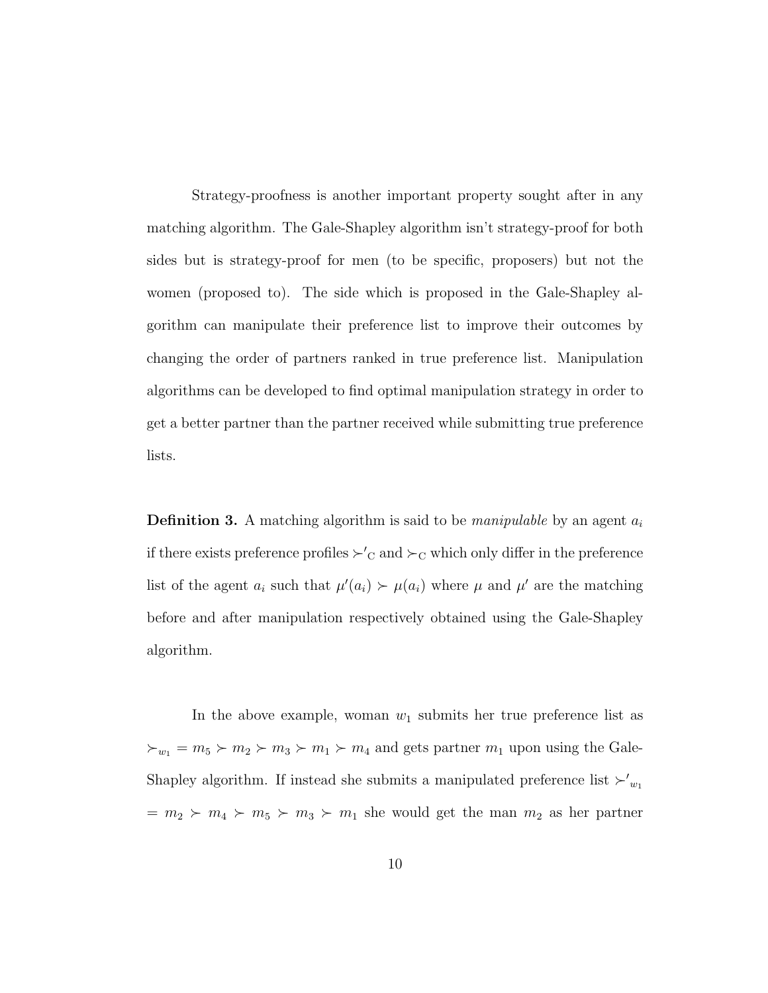Strategy-proofness is another important property sought after in any matching algorithm. The Gale-Shapley algorithm isn't strategy-proof for both sides but is strategy-proof for men (to be specific, proposers) but not the women (proposed to). The side which is proposed in the Gale-Shapley algorithm can manipulate their preference list to improve their outcomes by changing the order of partners ranked in true preference list. Manipulation algorithms can be developed to find optimal manipulation strategy in order to get a better partner than the partner received while submitting true preference lists.

**Definition 3.** A matching algorithm is said to be *manipulable* by an agent  $a_i$ if there exists preference profiles  $\succ'_{\mathcal{C}}$  and  $\succ_{\mathcal{C}}$  which only differ in the preference list of the agent  $a_i$  such that  $\mu'(a_i) \succ \mu(a_i)$  where  $\mu$  and  $\mu'$  are the matching before and after manipulation respectively obtained using the Gale-Shapley algorithm.

In the above example, woman  $w_1$  submits her true preference list as  $\varepsilon_{w_1} = m_5 \succ m_2 \succ m_3 \succ m_1 \succ m_4$  and gets partner  $m_1$  upon using the Gale-Shapley algorithm. If instead she submits a manipulated preference list  $\swarrow_{w_1}$  $m_1 \geq m_2 \geq m_4 \geq m_5 \geq m_3 \geq m_1$  she would get the man  $m_2$  as her partner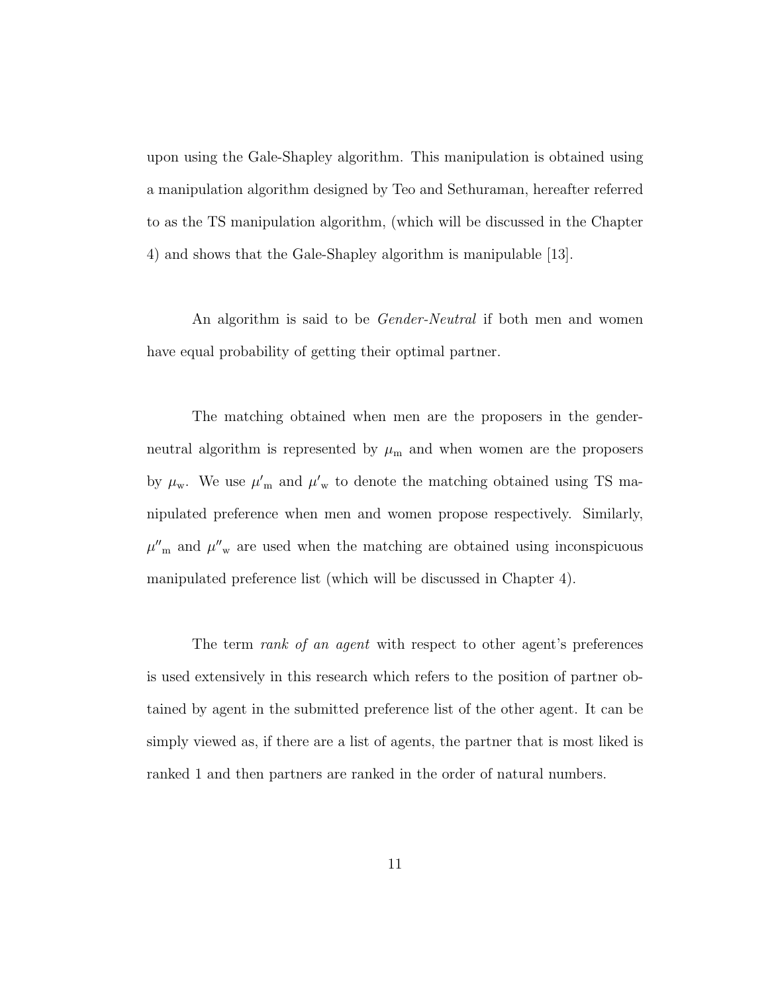upon using the Gale-Shapley algorithm. This manipulation is obtained using a manipulation algorithm designed by Teo and Sethuraman, hereafter referred to as the TS manipulation algorithm, (which will be discussed in the Chapter 4) and shows that the Gale-Shapley algorithm is manipulable [13].

An algorithm is said to be *Gender-Neutral* if both men and women have equal probability of getting their optimal partner.

The matching obtained when men are the proposers in the genderneutral algorithm is represented by  $\mu_{\rm m}$  and when women are the proposers by  $\mu_{\rm w}$ . We use  $\mu'_{\rm m}$  and  $\mu'_{\rm w}$  to denote the matching obtained using TS manipulated preference when men and women propose respectively. Similarly,  $\mu''_{m}$  and  $\mu''_{w}$  are used when the matching are obtained using inconspicuous manipulated preference list (which will be discussed in Chapter 4).

The term *rank of an agent* with respect to other agent's preferences is used extensively in this research which refers to the position of partner obtained by agent in the submitted preference list of the other agent. It can be simply viewed as, if there are a list of agents, the partner that is most liked is ranked 1 and then partners are ranked in the order of natural numbers.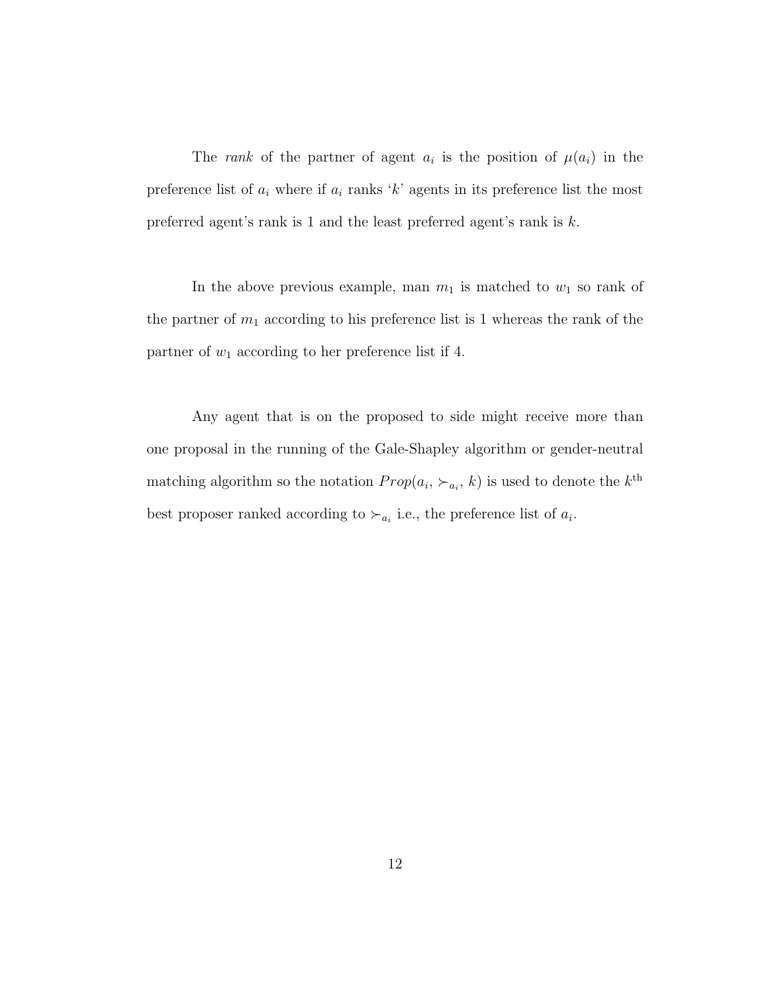The rank of the partner of agent  $a_i$  is the position of  $\mu(a_i)$  in the preference list of  $a_i$  where if  $a_i$  ranks 'k' agents in its preference list the most preferred agent's rank is 1 and the least preferred agent's rank is k.

In the above previous example, man  $m_1$  is matched to  $w_1$  so rank of the partner of  $m_1$  according to his preference list is 1 whereas the rank of the partner of  $w_1$  according to her preference list if 4.

Any agent that is on the proposed to side might receive more than one proposal in the running of the Gale-Shapley algorithm or gender-neutral matching algorithm so the notation  $Prop(a_i, \succ_{a_i}, k)$  is used to denote the  $k^{\text{th}}$ best proposer ranked according to  $\succ_{a_i}$  i.e., the preference list of  $a_i$ .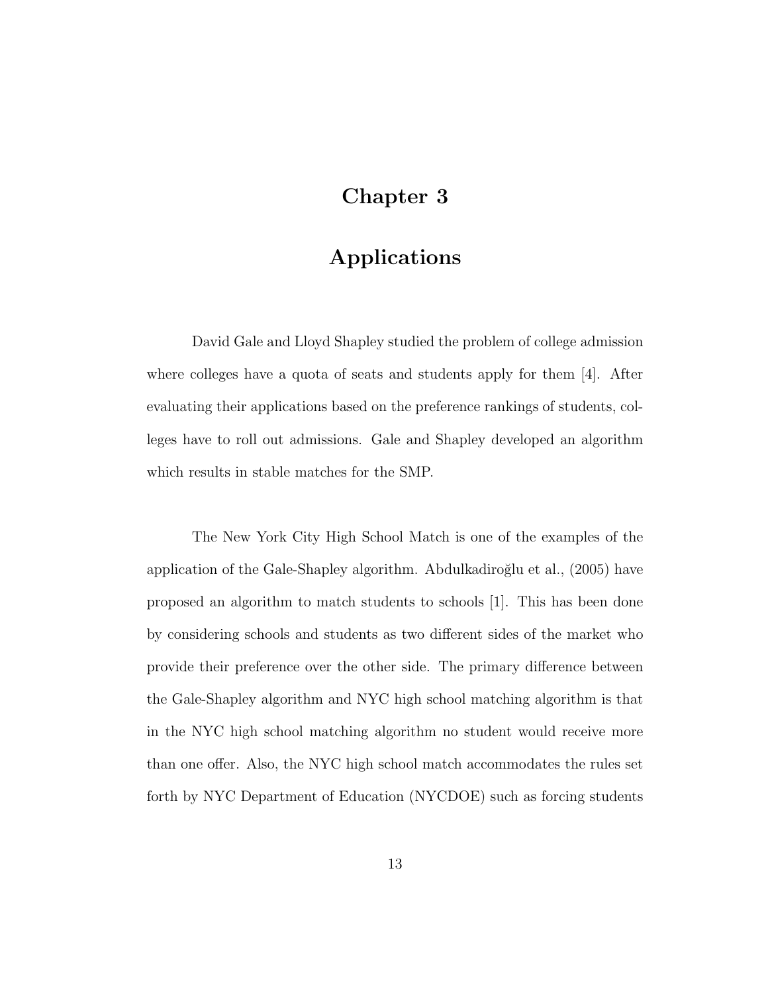## Chapter 3

# Applications

David Gale and Lloyd Shapley studied the problem of college admission where colleges have a quota of seats and students apply for them [4]. After evaluating their applications based on the preference rankings of students, colleges have to roll out admissions. Gale and Shapley developed an algorithm which results in stable matches for the SMP.

The New York City High School Match is one of the examples of the application of the Gale-Shapley algorithm. Abdulkadiroğlu et al., (2005) have proposed an algorithm to match students to schools [1]. This has been done by considering schools and students as two different sides of the market who provide their preference over the other side. The primary difference between the Gale-Shapley algorithm and NYC high school matching algorithm is that in the NYC high school matching algorithm no student would receive more than one offer. Also, the NYC high school match accommodates the rules set forth by NYC Department of Education (NYCDOE) such as forcing students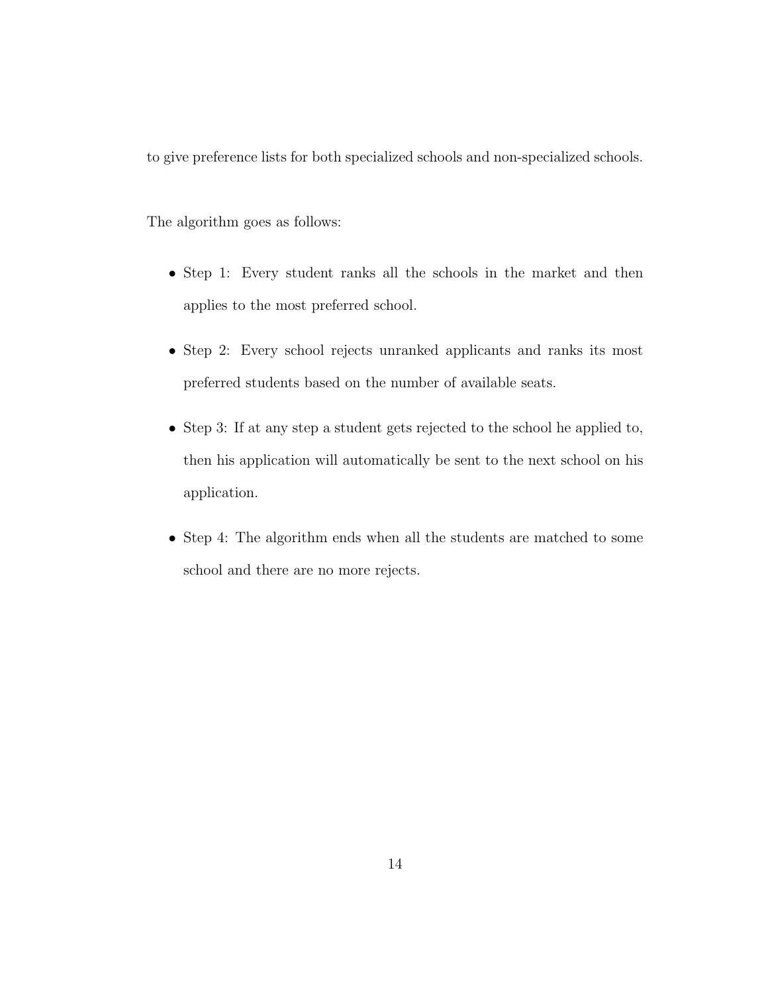to give preference lists for both specialized schools and non-specialized schools.

The algorithm goes as follows:

- Step 1: Every student ranks all the schools in the market and then applies to the most preferred school.
- Step 2: Every school rejects unranked applicants and ranks its most preferred students based on the number of available seats.
- Step 3: If at any step a student gets rejected to the school he applied to, then his application will automatically be sent to the next school on his application.
- Step 4: The algorithm ends when all the students are matched to some school and there are no more rejects.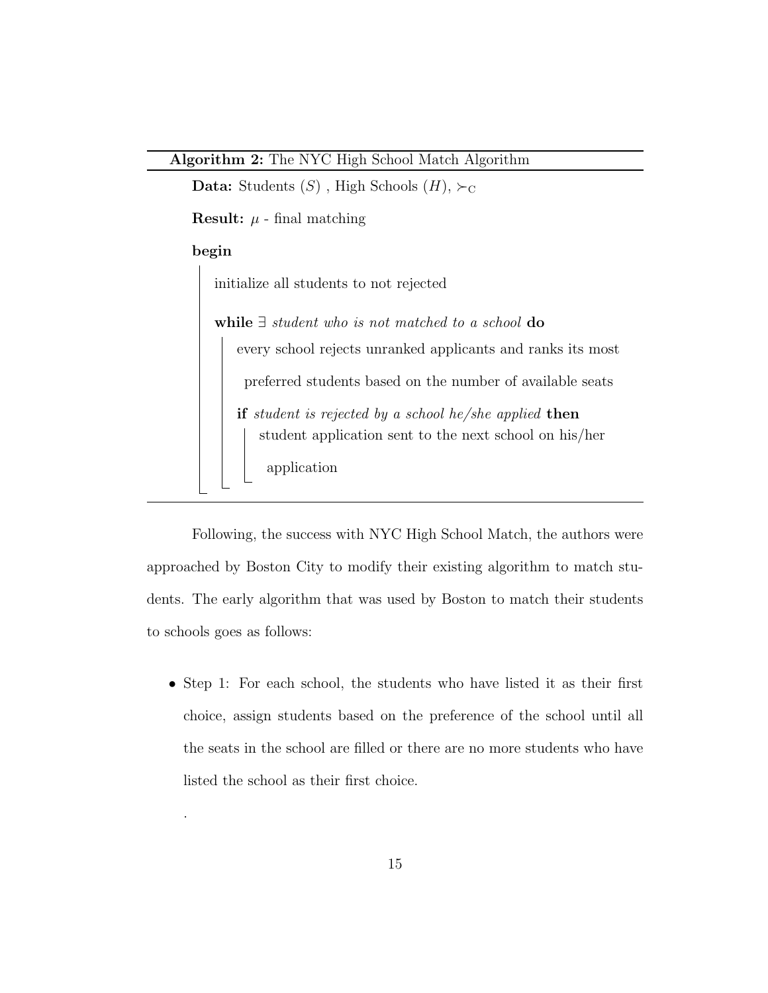**Data:** Students  $(S)$ , High Schools  $(H)$ ,  $\succ_C$ 

**Result:**  $\mu$  - final matching

#### begin

.

initialize all students to not rejected

while ∃ student who is not matched to a school do every school rejects unranked applicants and ranks its most preferred students based on the number of available seats if student is rejected by a school he/she applied then student application sent to the next school on his/her application

Following, the success with NYC High School Match, the authors were approached by Boston City to modify their existing algorithm to match students. The early algorithm that was used by Boston to match their students to schools goes as follows:

• Step 1: For each school, the students who have listed it as their first choice, assign students based on the preference of the school until all the seats in the school are filled or there are no more students who have listed the school as their first choice.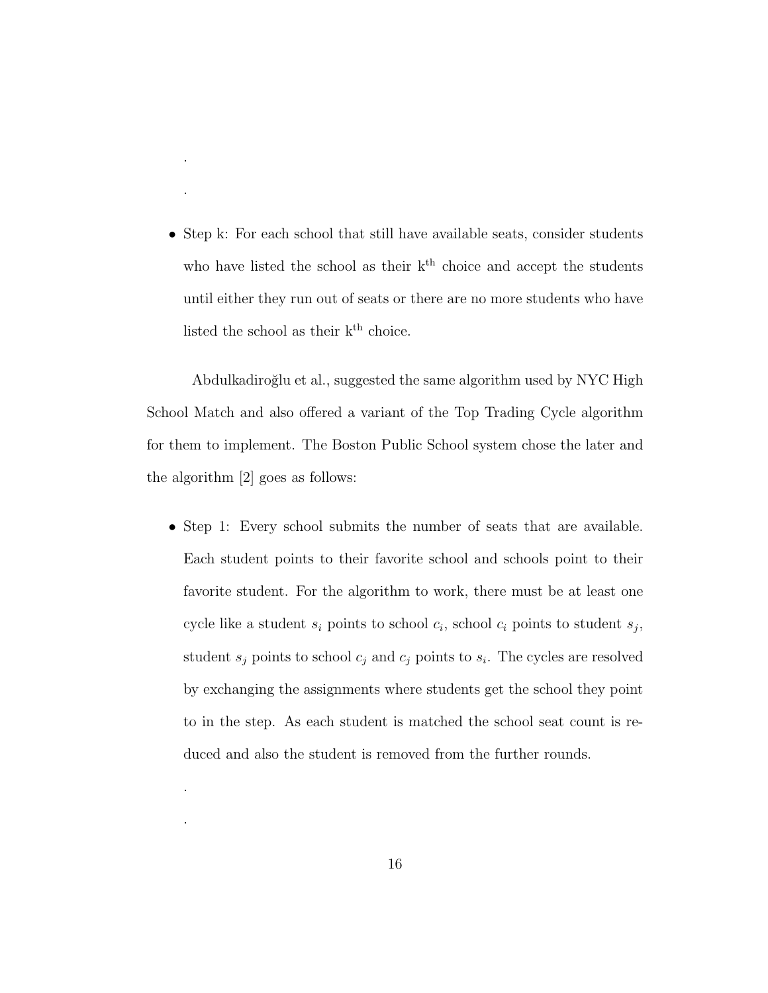• Step k: For each school that still have available seats, consider students who have listed the school as their  $k<sup>th</sup>$  choice and accept the students until either they run out of seats or there are no more students who have listed the school as their  $k^{\rm th}$  choice.

.

.

.

.

Abdulkadiroğlu et al., suggested the same algorithm used by NYC High School Match and also offered a variant of the Top Trading Cycle algorithm for them to implement. The Boston Public School system chose the later and the algorithm [2] goes as follows:

• Step 1: Every school submits the number of seats that are available. Each student points to their favorite school and schools point to their favorite student. For the algorithm to work, there must be at least one cycle like a student  $s_i$  points to school  $c_i$ , school  $c_i$  points to student  $s_j$ , student  $s_j$  points to school  $c_j$  and  $c_j$  points to  $s_i$ . The cycles are resolved by exchanging the assignments where students get the school they point to in the step. As each student is matched the school seat count is reduced and also the student is removed from the further rounds.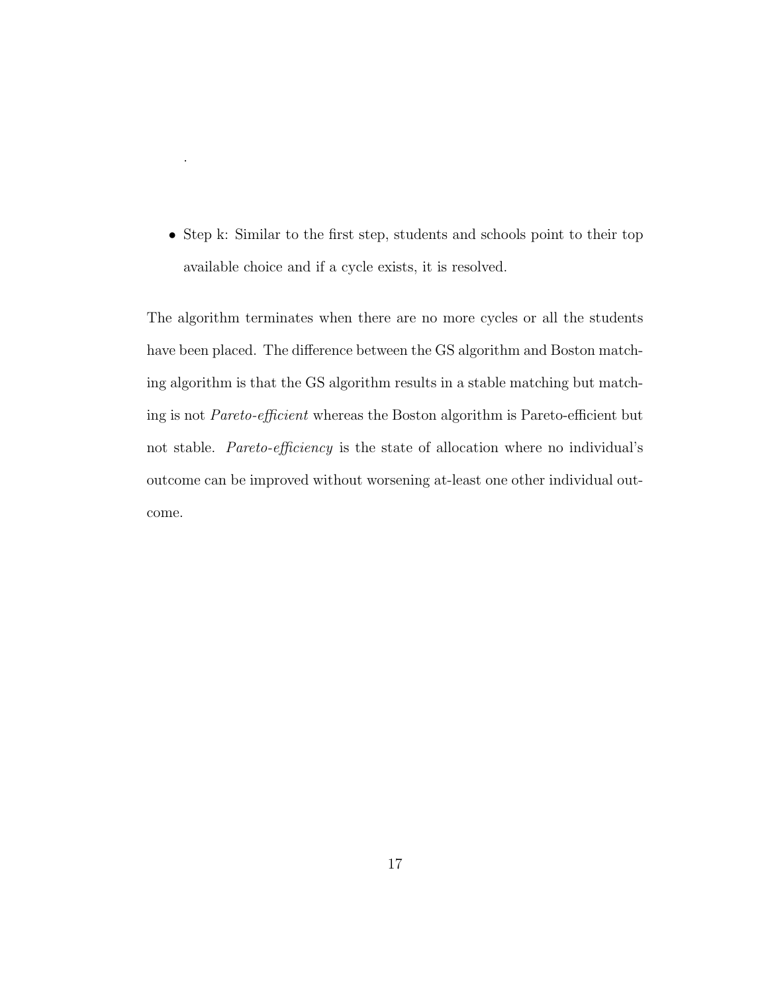• Step k: Similar to the first step, students and schools point to their top available choice and if a cycle exists, it is resolved.

.

The algorithm terminates when there are no more cycles or all the students have been placed. The difference between the GS algorithm and Boston matching algorithm is that the GS algorithm results in a stable matching but matching is not Pareto-efficient whereas the Boston algorithm is Pareto-efficient but not stable. Pareto-efficiency is the state of allocation where no individual's outcome can be improved without worsening at-least one other individual outcome.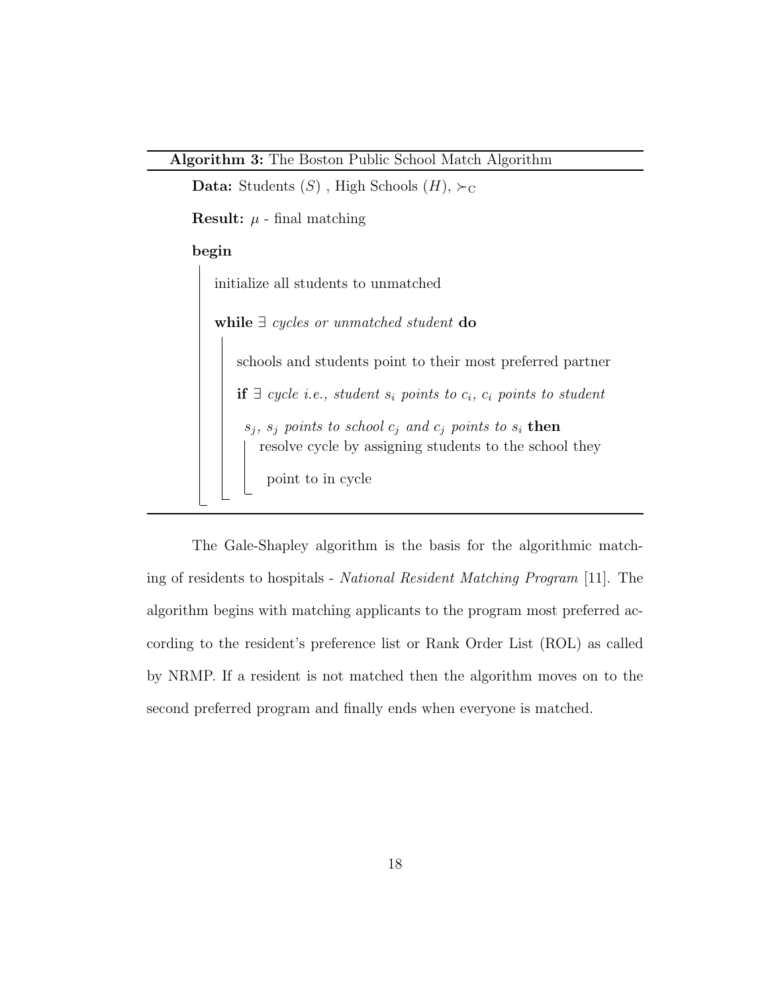**Data:** Students  $(S)$ , High Schools  $(H)$ ,  $\succ_C$ 

**Result:**  $\mu$  - final matching

#### begin

initialize all students to unmatched while ∃ cycles or unmatched student do schools and students point to their most preferred partner if ∃ cycle i.e., student  $s_i$  points to  $c_i$ ,  $c_i$  points to student  $s_j, s_j$  points to school  $c_j$  and  $c_j$  points to  $s_i$  then resolve cycle by assigning students to the school they point to in cycle

The Gale-Shapley algorithm is the basis for the algorithmic matching of residents to hospitals - National Resident Matching Program [11]. The algorithm begins with matching applicants to the program most preferred according to the resident's preference list or Rank Order List (ROL) as called by NRMP. If a resident is not matched then the algorithm moves on to the second preferred program and finally ends when everyone is matched.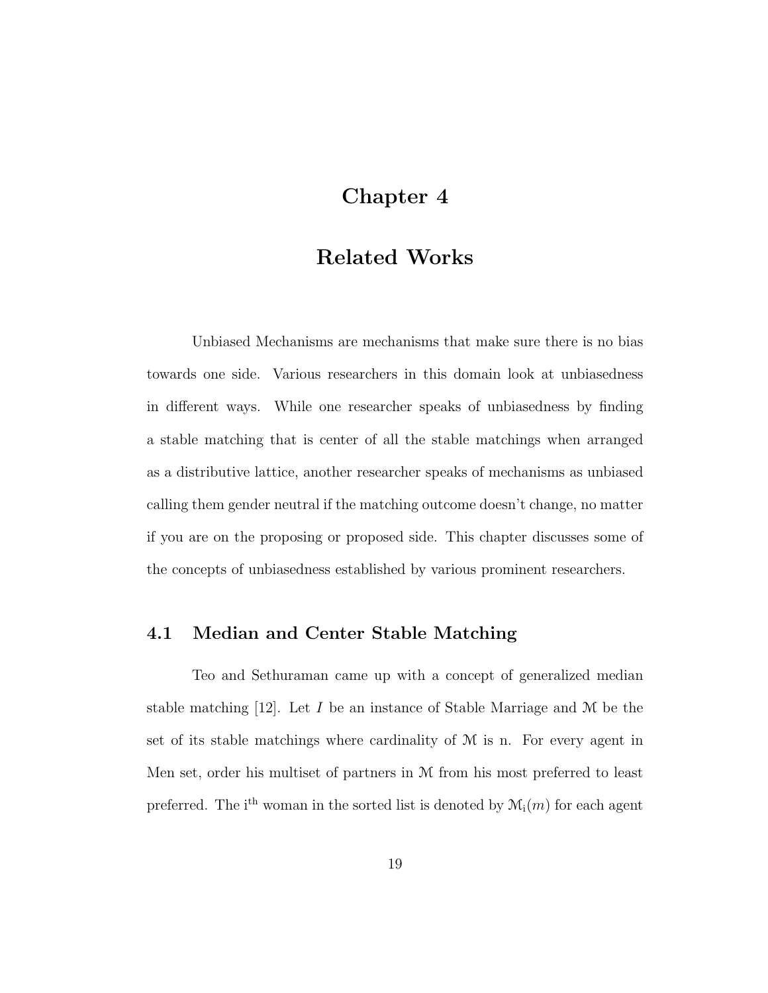### Chapter 4

## Related Works

Unbiased Mechanisms are mechanisms that make sure there is no bias towards one side. Various researchers in this domain look at unbiasedness in different ways. While one researcher speaks of unbiasedness by finding a stable matching that is center of all the stable matchings when arranged as a distributive lattice, another researcher speaks of mechanisms as unbiased calling them gender neutral if the matching outcome doesn't change, no matter if you are on the proposing or proposed side. This chapter discusses some of the concepts of unbiasedness established by various prominent researchers.

### 4.1 Median and Center Stable Matching

Teo and Sethuraman came up with a concept of generalized median stable matching  $[12]$ . Let I be an instance of Stable Marriage and M be the set of its stable matchings where cardinality of  $M$  is n. For every agent in Men set, order his multiset of partners in M from his most preferred to least preferred. The i<sup>th</sup> woman in the sorted list is denoted by  $\mathcal{M}_i(m)$  for each agent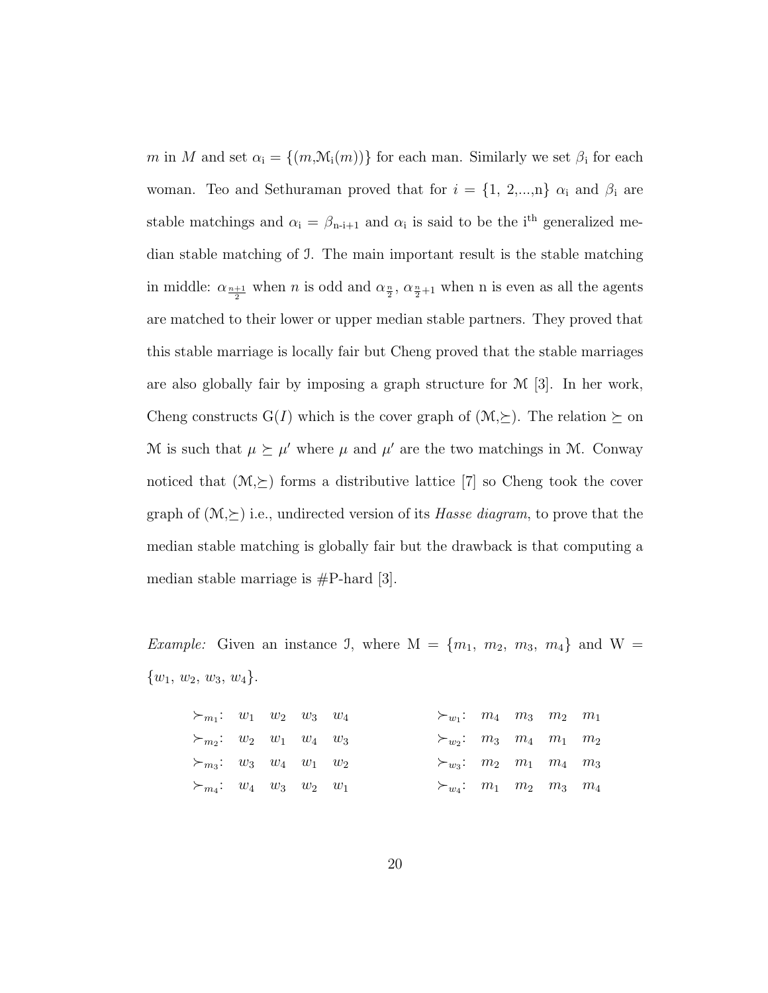m in M and set  $\alpha_i = \{(m, \mathcal{M}_i(m))\}$  for each man. Similarly we set  $\beta_i$  for each woman. Teo and Sethuraman proved that for  $i = \{1, 2,...,n\}$   $\alpha_i$  and  $\beta_i$  are stable matchings and  $\alpha_i = \beta_{n-i+1}$  and  $\alpha_i$  is said to be the i<sup>th</sup> generalized median stable matching of I. The main important result is the stable matching in middle:  $\alpha_{\frac{n+1}{2}}$  when n is odd and  $\alpha_{\frac{n}{2}}$ ,  $\alpha_{\frac{n}{2}+1}$  when n is even as all the agents are matched to their lower or upper median stable partners. They proved that this stable marriage is locally fair but Cheng proved that the stable marriages are also globally fair by imposing a graph structure for M [3]. In her work, Cheng constructs  $G(I)$  which is the cover graph of  $(M,\succeq)$ . The relation  $\succeq$  on M is such that  $\mu \succeq \mu'$  where  $\mu$  and  $\mu'$  are the two matchings in M. Conway noticed that  $(\mathcal{M}, \succeq)$  forms a distributive lattice [7] so Cheng took the cover graph of  $(\mathcal{M}, \succeq)$  i.e., undirected version of its *Hasse diagram*, to prove that the median stable matching is globally fair but the drawback is that computing a median stable marriage is  $\#P$ -hard [3].

*Example:* Given an instance J, where  $M = \{m_1, m_2, m_3, m_4\}$  and  $W =$  $\{w_1, w_2, w_3, w_4\}.$ 

| $\succ_{m_1}: w_1 \ w_2 \ w_3 \ w_4$   |  |  | $\succ_{w_1}: m_4 \quad m_3 \quad m_2 \quad m_1$ |  |  |
|----------------------------------------|--|--|--------------------------------------------------|--|--|
| $\succ_{m_2}:$ $w_2$ $w_1$ $w_4$ $w_3$ |  |  | $\succ_{w_2}:$ $m_3$ $m_4$ $m_1$ $m_2$           |  |  |
| $\succ_{m_3}:$ $w_3$ $w_4$ $w_1$ $w_2$ |  |  | $\succ_{w_3}: m_2 \quad m_1 \quad m_4 \quad m_3$ |  |  |
| $\succ_{m_4}:$ $w_4$ $w_3$ $w_2$ $w_1$ |  |  | $\succ_{w_4}: m_1 \quad m_2 \quad m_3 \quad m_4$ |  |  |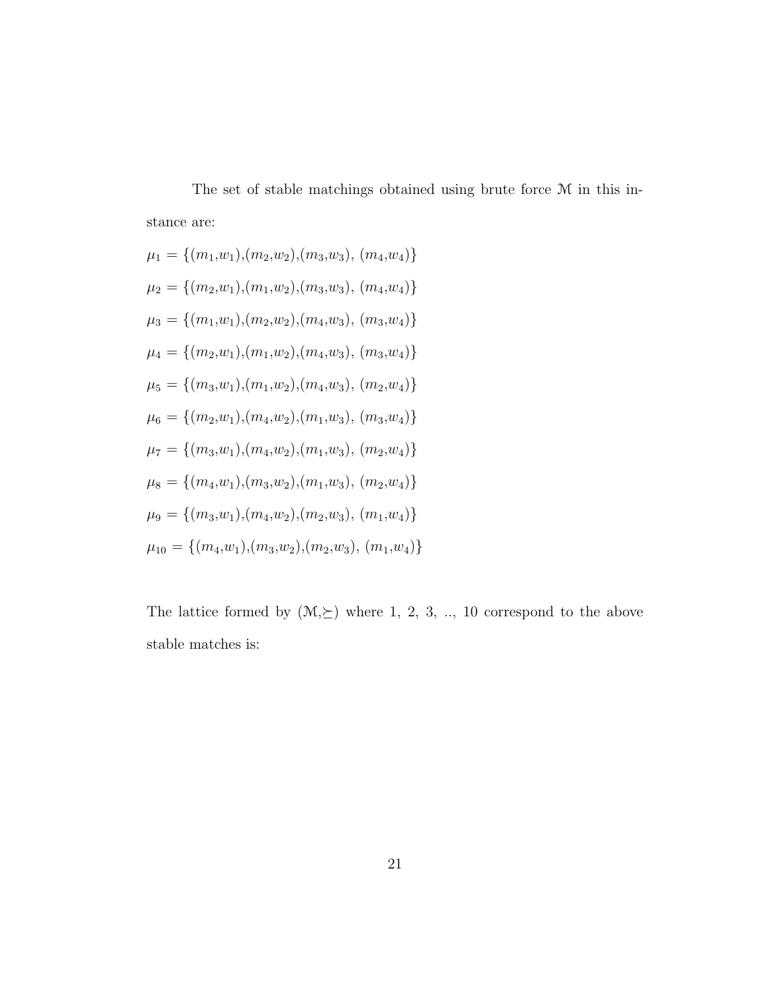The set of stable matchings obtained using brute force M in this instance are:

$$
\mu_1 = \{(m_1, w_1), (m_2, w_2), (m_3, w_3), (m_4, w_4)\}\
$$
  
\n
$$
\mu_2 = \{(m_2, w_1), (m_1, w_2), (m_3, w_3), (m_4, w_4)\}\
$$
  
\n
$$
\mu_3 = \{(m_1, w_1), (m_2, w_2), (m_4, w_3), (m_3, w_4)\}\
$$
  
\n
$$
\mu_4 = \{(m_2, w_1), (m_1, w_2), (m_4, w_3), (m_3, w_4)\}\
$$
  
\n
$$
\mu_5 = \{(m_3, w_1), (m_1, w_2), (m_1, w_3), (m_3, w_4)\}\
$$
  
\n
$$
\mu_6 = \{(m_3, w_1), (m_4, w_2), (m_1, w_3), (m_2, w_4)\}\
$$
  
\n
$$
\mu_8 = \{(m_4, w_1), (m_3, w_2), (m_1, w_3), (m_2, w_4)\}\
$$
  
\n
$$
\mu_9 = \{(m_3, w_1), (m_4, w_2), (m_2, w_3), (m_1, w_4)\}\
$$
  
\n
$$
\mu_{10} = \{(m_4, w_1), (m_3, w_2), (m_2, w_3), (m_1, w_4)\}\
$$

The lattice formed by  $(\mathcal{M}, \succeq)$  where 1, 2, 3, .., 10 correspond to the above stable matches is: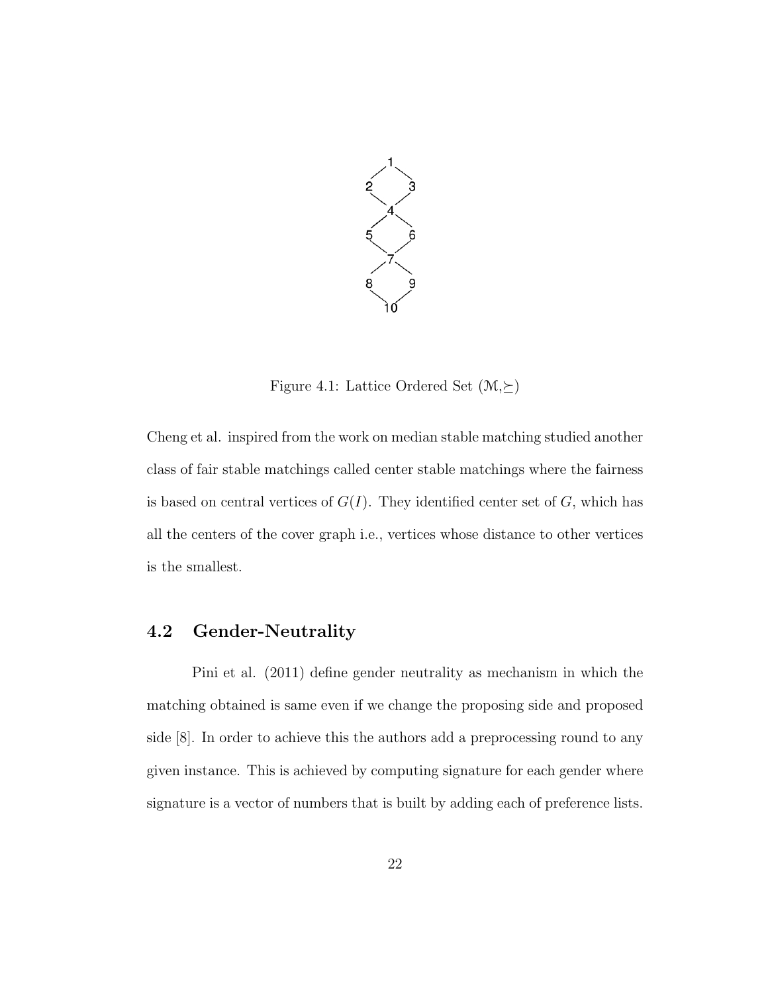

Figure 4.1: Lattice Ordered Set  $(\mathcal{M}, \succeq)$ 

Cheng et al. inspired from the work on median stable matching studied another class of fair stable matchings called center stable matchings where the fairness is based on central vertices of  $G(I)$ . They identified center set of  $G$ , which has all the centers of the cover graph i.e., vertices whose distance to other vertices is the smallest.

### 4.2 Gender-Neutrality

Pini et al. (2011) define gender neutrality as mechanism in which the matching obtained is same even if we change the proposing side and proposed side [8]. In order to achieve this the authors add a preprocessing round to any given instance. This is achieved by computing signature for each gender where signature is a vector of numbers that is built by adding each of preference lists.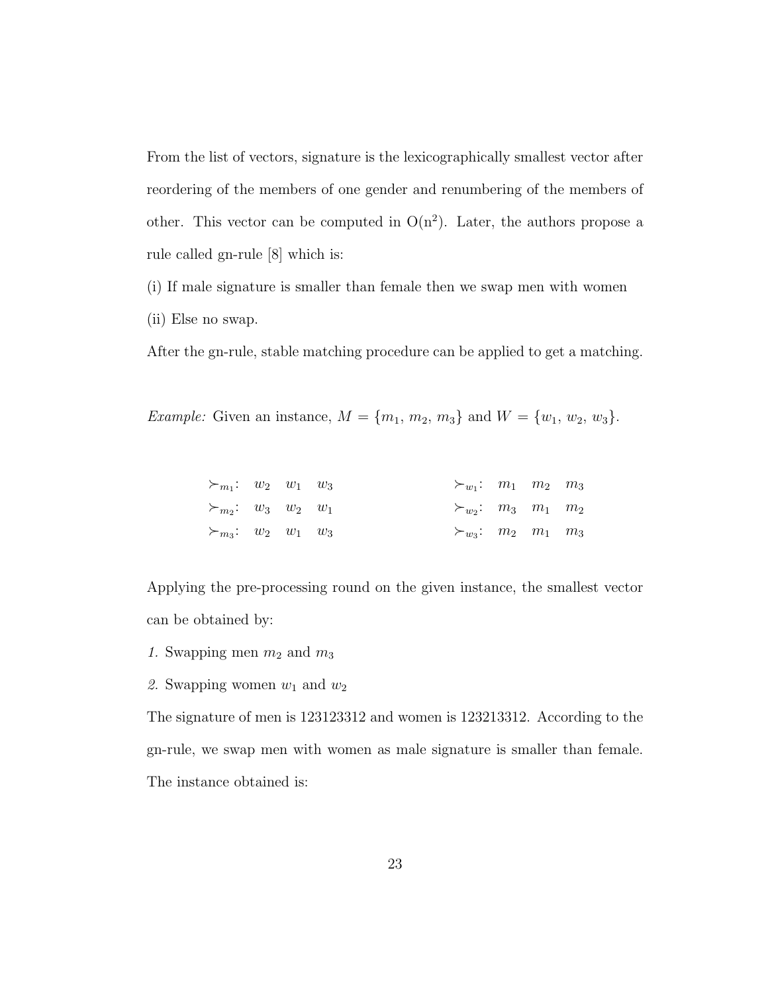From the list of vectors, signature is the lexicographically smallest vector after reordering of the members of one gender and renumbering of the members of other. This vector can be computed in  $O(n^2)$ . Later, the authors propose a rule called gn-rule [8] which is:

(i) If male signature is smaller than female then we swap men with women (ii) Else no swap.

After the gn-rule, stable matching procedure can be applied to get a matching.

*Example:* Given an instance,  $M = \{m_1, m_2, m_3\}$  and  $W = \{w_1, w_2, w_3\}$ .

| $\succ_{m_1}: w_2 \quad w_1 \quad w_3$ |  |  | $\succ_{w_1}: m_1 \quad m_2 \quad m_3$ |  |  |
|----------------------------------------|--|--|----------------------------------------|--|--|
| $\succ_{m_2}:$ $w_3$ $w_2$ $w_1$       |  |  | $\succ_{w_2}: m_3 \quad m_1 \quad m_2$ |  |  |
| $\succ_{m_3}:$ $w_2$ $w_1$ $w_3$       |  |  | $\succ_{w_3}: m_2 \quad m_1 \quad m_3$ |  |  |

Applying the pre-processing round on the given instance, the smallest vector can be obtained by:

- 1. Swapping men  $m_2$  and  $m_3$
- 2. Swapping women  $w_1$  and  $w_2$

The signature of men is 123123312 and women is 123213312. According to the gn-rule, we swap men with women as male signature is smaller than female. The instance obtained is: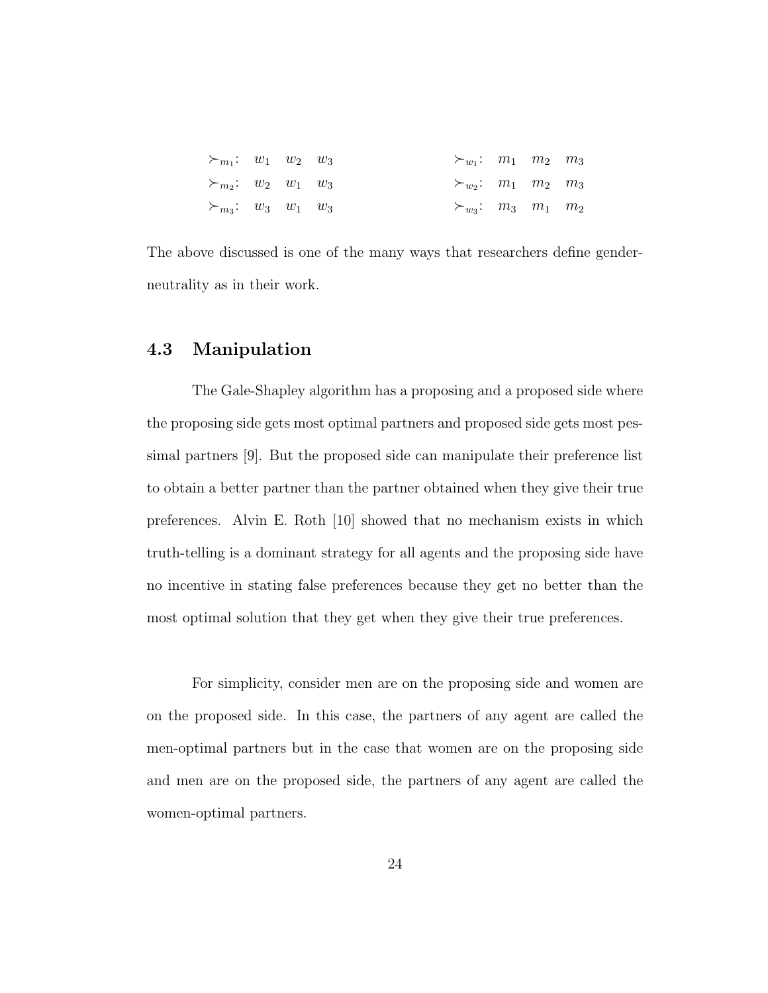| $\succ_{m_1}: w_1 \quad w_2 \quad w_3$ |  | $\succ_{w_1}: m_1 \quad m_2 \quad m_3$ |  |  |
|----------------------------------------|--|----------------------------------------|--|--|
| $\succ_{m_2}: w_2 \quad w_1 \quad w_3$ |  | $\succ_{w_2}: m_1 \quad m_2 \quad m_3$ |  |  |
| $\succ_{m_3}:$ $w_3$ $w_1$ $w_3$       |  | $\succ_{w_3}: m_3 \quad m_1 \quad m_2$ |  |  |

The above discussed is one of the many ways that researchers define genderneutrality as in their work.

### 4.3 Manipulation

The Gale-Shapley algorithm has a proposing and a proposed side where the proposing side gets most optimal partners and proposed side gets most pessimal partners [9]. But the proposed side can manipulate their preference list to obtain a better partner than the partner obtained when they give their true preferences. Alvin E. Roth [10] showed that no mechanism exists in which truth-telling is a dominant strategy for all agents and the proposing side have no incentive in stating false preferences because they get no better than the most optimal solution that they get when they give their true preferences.

For simplicity, consider men are on the proposing side and women are on the proposed side. In this case, the partners of any agent are called the men-optimal partners but in the case that women are on the proposing side and men are on the proposed side, the partners of any agent are called the women-optimal partners.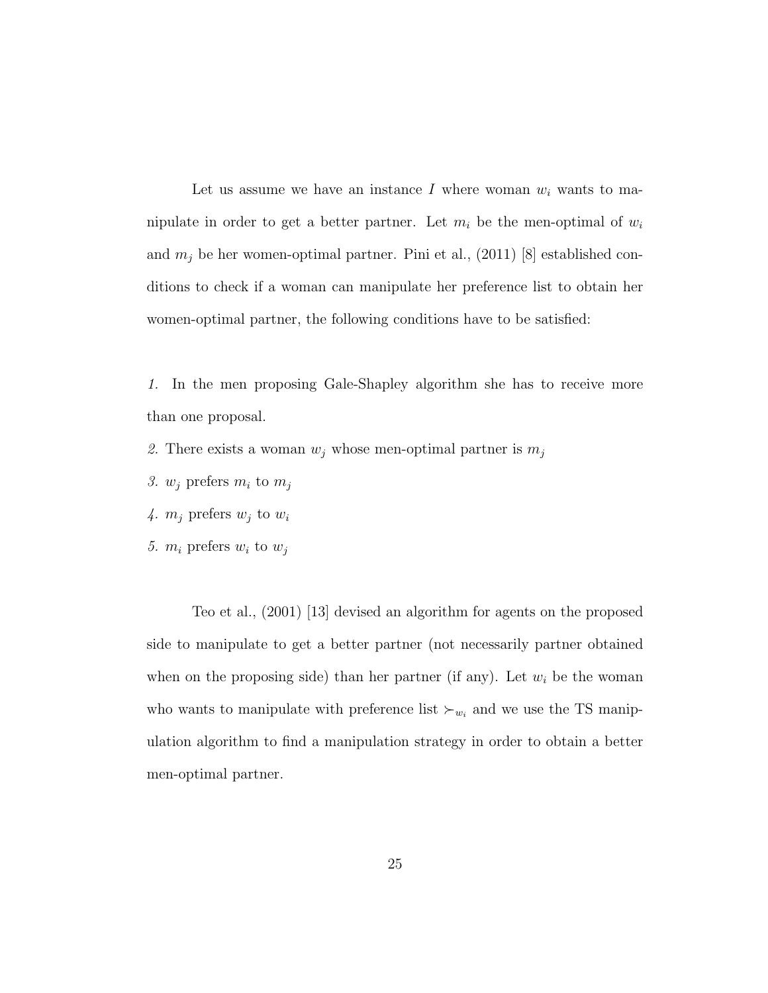Let us assume we have an instance I where woman  $w_i$  wants to manipulate in order to get a better partner. Let  $m_i$  be the men-optimal of  $w_i$ and  $m_j$  be her women-optimal partner. Pini et al., (2011) [8] established conditions to check if a woman can manipulate her preference list to obtain her women-optimal partner, the following conditions have to be satisfied:

1. In the men proposing Gale-Shapley algorithm she has to receive more than one proposal.

- 2. There exists a woman  $w_i$  whose men-optimal partner is  $m_i$
- 3.  $w_j$  prefers  $m_i$  to  $m_j$
- 4.  $m_j$  prefers  $w_j$  to  $w_i$
- 5.  $m_i$  prefers  $w_i$  to  $w_j$

Teo et al., (2001) [13] devised an algorithm for agents on the proposed side to manipulate to get a better partner (not necessarily partner obtained when on the proposing side) than her partner (if any). Let  $w_i$  be the woman who wants to manipulate with preference list  $\succ_{w_i}$  and we use the TS manipulation algorithm to find a manipulation strategy in order to obtain a better men-optimal partner.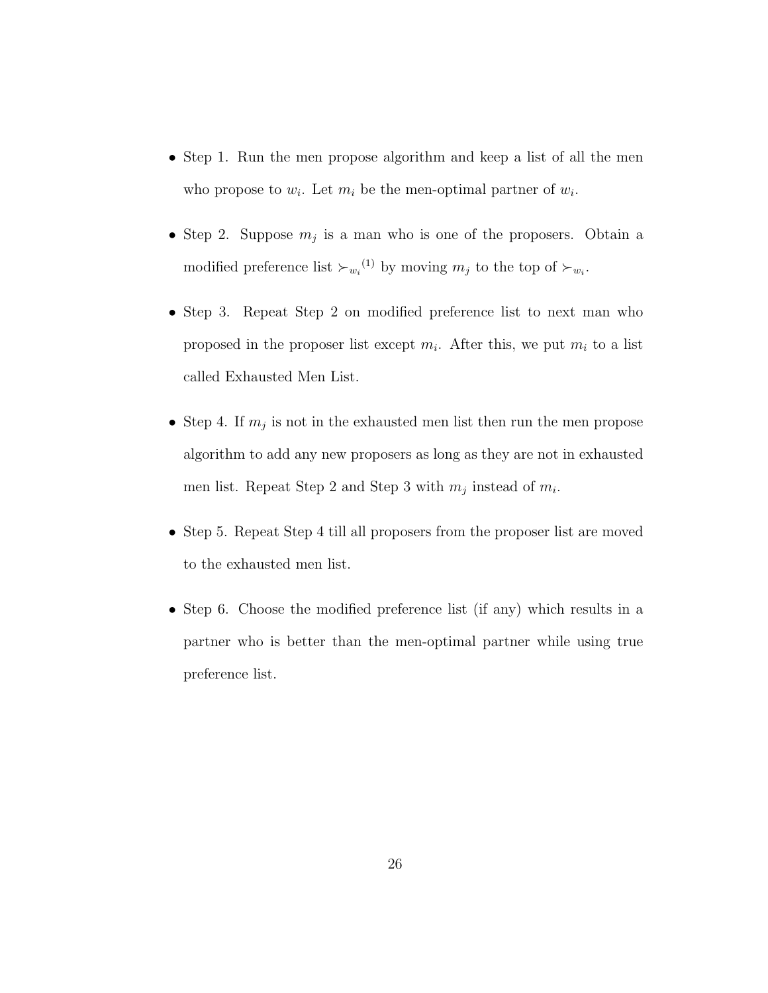- Step 1. Run the men propose algorithm and keep a list of all the men who propose to  $w_i$ . Let  $m_i$  be the men-optimal partner of  $w_i$ .
- Step 2. Suppose  $m_j$  is a man who is one of the proposers. Obtain a modified preference list  $\succ_{w_i}^{(1)}$  by moving  $m_j$  to the top of  $\succ_{w_i}$ .
- Step 3. Repeat Step 2 on modified preference list to next man who proposed in the proposer list except  $m_i$ . After this, we put  $m_i$  to a list called Exhausted Men List.
- Step 4. If  $m_j$  is not in the exhausted men list then run the men propose algorithm to add any new proposers as long as they are not in exhausted men list. Repeat Step 2 and Step 3 with  $m_j$  instead of  $m_i$ .
- Step 5. Repeat Step 4 till all proposers from the proposer list are moved to the exhausted men list.
- Step 6. Choose the modified preference list (if any) which results in a partner who is better than the men-optimal partner while using true preference list.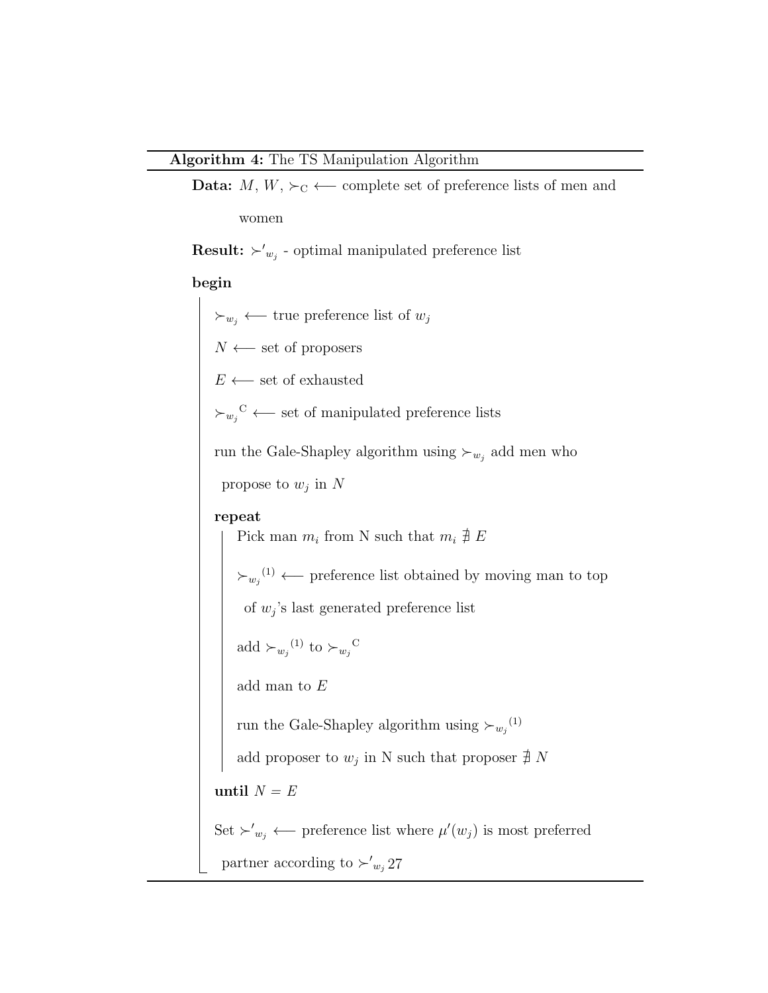```
Data: M, W, \succ_C ← complete set of preference lists of men and
women
```
**Result:**  $\succ'_{w_j}$  - optimal manipulated preference list

### begin

 $\succ_{w_j}$  ← true preference list of  $w_j$  $N \leftarrow$  set of proposers  $E \longleftarrow$  set of exhausted  $\succ_{w_j}^C$  ← set of manipulated preference lists run the Gale-Shapley algorithm using  $\succ_{w_j}$  add men who propose to  $w_j$  in  $N$ repeat Pick man  $m_i$  from N such that  $m_i \nightharpoonup E$  $\succ_{w_j}^{(1)}$  ← preference list obtained by moving man to top of  $w_j$ 's last generated preference list add  $\succ_{w_j}^{(1)}$  to  $\succ_{w_j}^C$ add man to  $\cal E$ run the Gale-Shapley algorithm using  $\succ_{w_j}^{(1)}$ add proposer to  $w_j$  in N such that proposer  $\sharp N$ until  $N = E$ Set  $\succ'_{w_j}$  ← preference list where  $\mu'(w_j)$  is most preferred partner according to  $\succ'_{w_j}$  27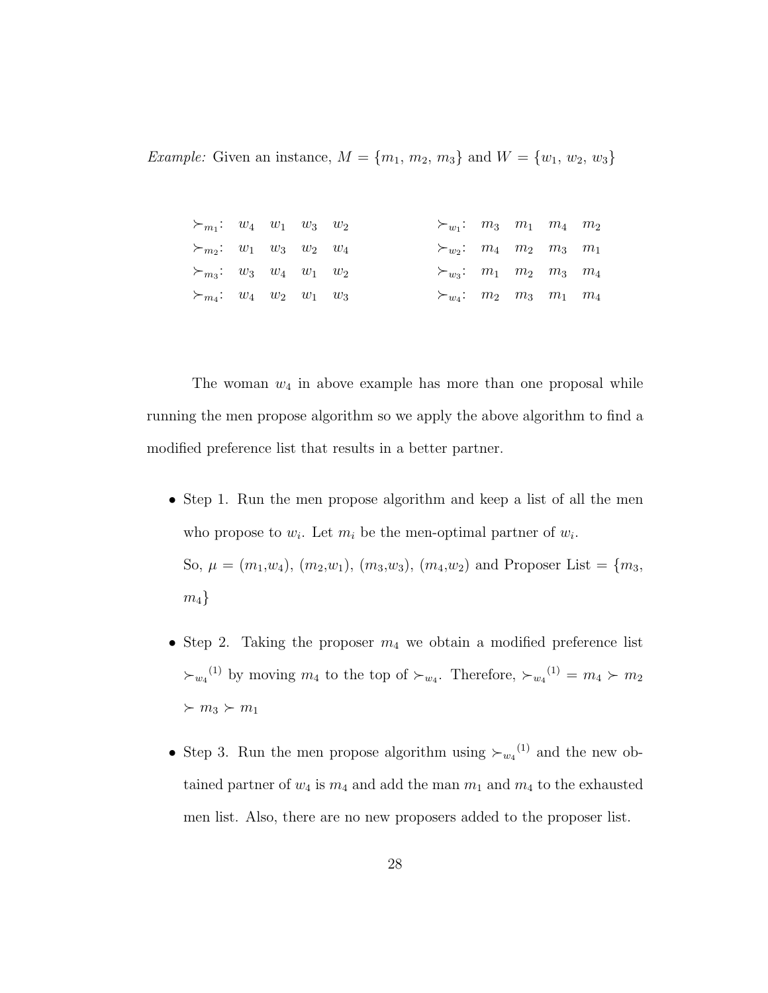*Example:* Given an instance,  $M = \{m_1, m_2, m_3\}$  and  $W = \{w_1, w_2, w_3\}$ 

| $\succ_{m_1}:$ $w_4$ $w_1$ $w_3$ $w_2$           |  |  | $\succ_{w_1}: m_3 \quad m_1 \quad m_4 \quad m_2$ |  |  |
|--------------------------------------------------|--|--|--------------------------------------------------|--|--|
| $\succ_{m_2}: w_1 \quad w_3 \quad w_2 \quad w_4$ |  |  | $\succ_{w_2}: m_4 \quad m_2 \quad m_3 \quad m_1$ |  |  |
| $\succ_{m_3}:$ $w_3$ $w_4$ $w_1$ $w_2$           |  |  | $\succ_{w_3}: m_1 \quad m_2 \quad m_3 \quad m_4$ |  |  |
| $\succ_{m_4}:$ $w_4$ $w_2$ $w_1$ $w_3$           |  |  | $\succ_{w_4}: m_2 \quad m_3 \quad m_1 \quad m_4$ |  |  |

The woman  $w_4$  in above example has more than one proposal while running the men propose algorithm so we apply the above algorithm to find a modified preference list that results in a better partner.

- Step 1. Run the men propose algorithm and keep a list of all the men who propose to  $w_i$ . Let  $m_i$  be the men-optimal partner of  $w_i$ . So,  $\mu = (m_1, w_4), (m_2, w_1), (m_3, w_3), (m_4, w_2)$  and Proposer List =  $\{m_3,$  $m_4$ }
- Step 2. Taking the proposer  $m_4$  we obtain a modified preference list  $\succ_{w_4}^{(1)}$  by moving  $m_4$  to the top of  $\succ_{w_4}$ . Therefore,  $\succ_{w_4}^{(1)} = m_4 \succ m_2$  $\succ m_3 \succ m_1$
- Step 3. Run the men propose algorithm using  $\succ_{w_4}^{(1)}$  and the new obtained partner of  $w_4$  is  $m_4$  and add the man  $m_1$  and  $m_4$  to the exhausted men list. Also, there are no new proposers added to the proposer list.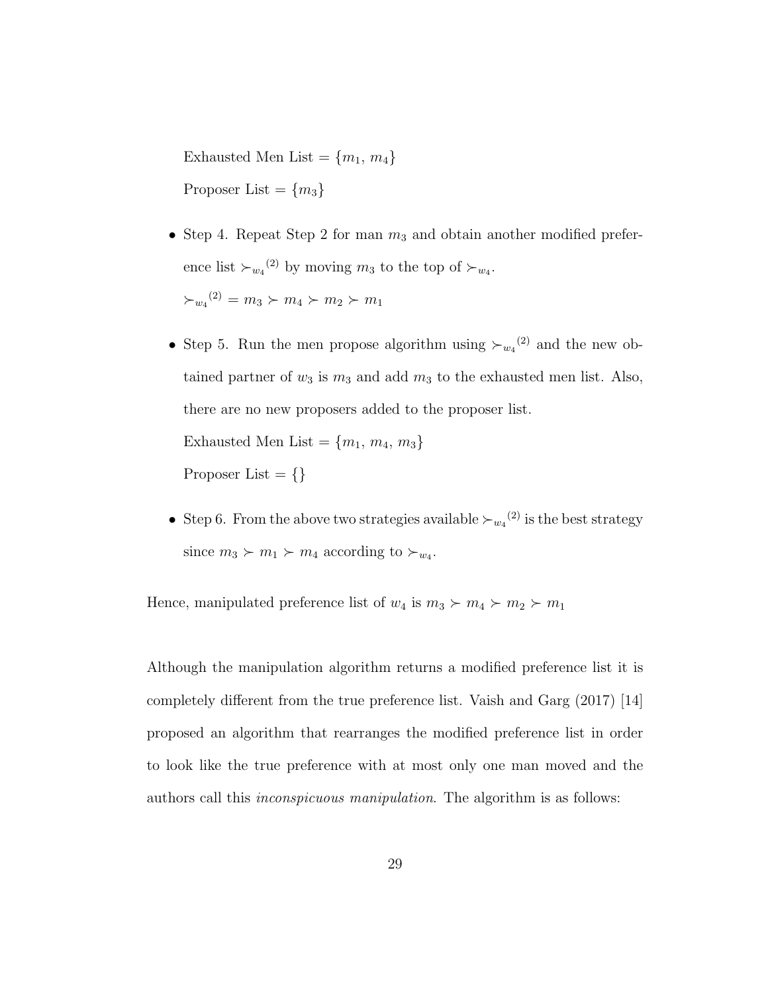Exhausted Men List =  ${m_1, m_4}$ Proposer List =  ${m_3}$ 

- Step 4. Repeat Step 2 for man  $m_3$  and obtain another modified preference list  $\succ_{w_4}^{(2)}$  by moving  $m_3$  to the top of  $\succ_{w_4}$ .  $\succ_{w_4}^{(2)} = m_3 \succ m_4 \succ m_2 \succ m_1$
- Step 5. Run the men propose algorithm using  $\succ_{w_4}^{(2)}$  and the new obtained partner of  $w_3$  is  $m_3$  and add  $m_3$  to the exhausted men list. Also, there are no new proposers added to the proposer list. Exhausted Men List =  ${m_1, m_4, m_3}$ Proposer List  $= \{\}$
- Step 6. From the above two strategies available  $\succ_{w_4}^{(2)}$  is the best strategy since  $m_3 \succ m_1 \succ m_4$  according to  $\succ_{w_4}$ .

Hence, manipulated preference list of  $w_4$  is  $m_3 \succ m_4 \succ m_2 \succ m_1$ 

Although the manipulation algorithm returns a modified preference list it is completely different from the true preference list. Vaish and Garg (2017) [14] proposed an algorithm that rearranges the modified preference list in order to look like the true preference with at most only one man moved and the authors call this inconspicuous manipulation. The algorithm is as follows: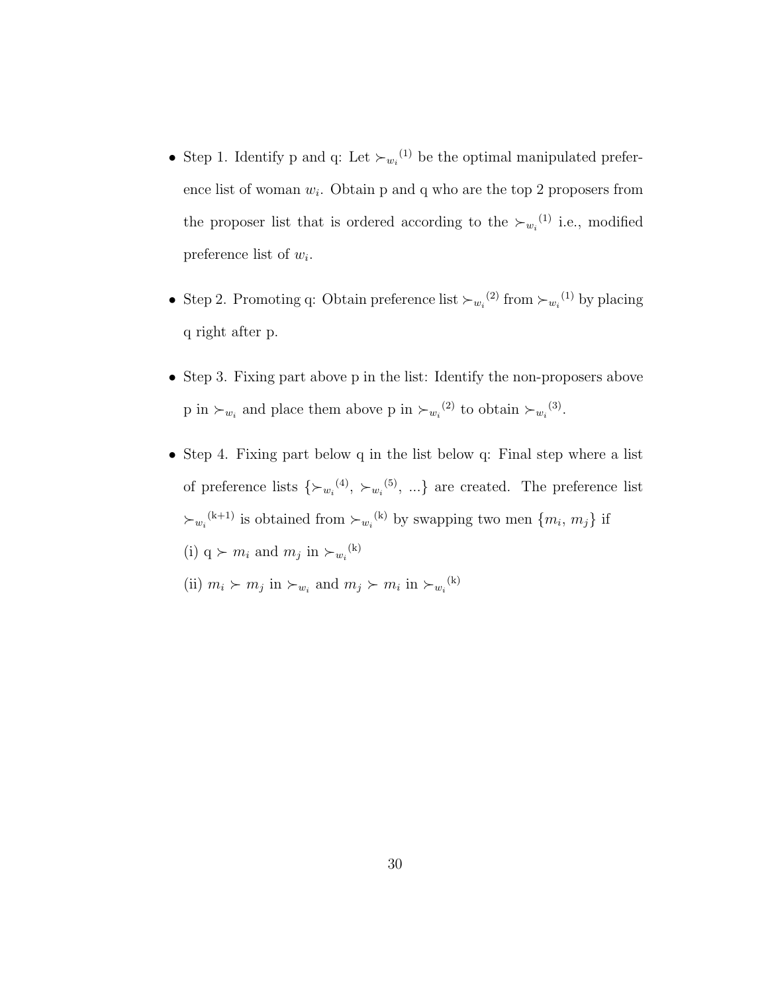- Step 1. Identify p and q: Let  $\succ_{w_i}^{(1)}$  be the optimal manipulated preference list of woman  $w_i$ . Obtain p and q who are the top 2 proposers from the proposer list that is ordered according to the  $\succ_{w_i}^{(1)}$  i.e., modified preference list of  $w_i$ .
- Step 2. Promoting q: Obtain preference list  $\succ_{w_i}^{(2)}$  from  $\succ_{w_i}^{(1)}$  by placing q right after p.
- Step 3. Fixing part above p in the list: Identify the non-proposers above p in  $\succ_{w_i}$  and place them above p in  $\succ_{w_i}^{(2)}$  to obtain  $\succ_{w_i}^{(3)}$ .
- Step 4. Fixing part below q in the list below q: Final step where a list of preference lists  $\{\succ_{w_i}^{(4)}, \succ_{w_i}^{(5)}, ...\}$  are created. The preference list  $\succ_{w_i}^{(k+1)}$  is obtained from  $\succ_{w_i}^{(k)}$  by swapping two men  $\{m_i, m_j\}$  if (i)  $q \succ m_i$  and  $m_j$  in  $\succ_{w_i}^{(k)}$ 
	- (ii)  $m_i \succ m_j$  in  $\succ_{w_i}$  and  $m_j \succ m_i$  in  $\succ_{w_i}^{(k)}$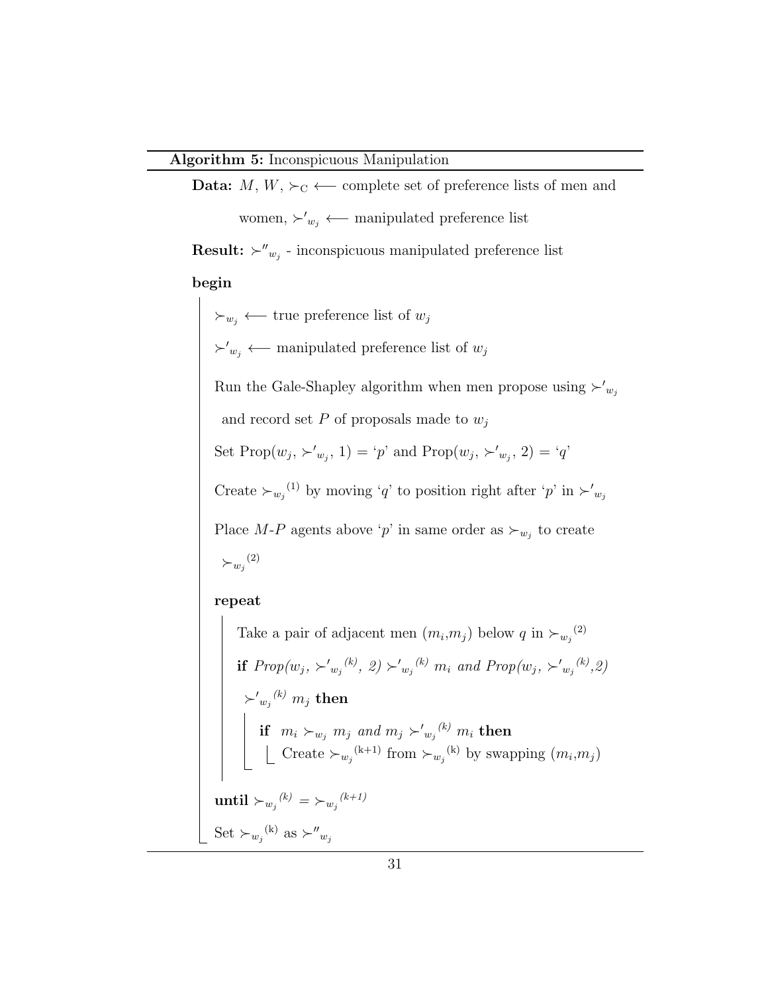**Data:**  $M, W, \succ_C$  ← complete set of preference lists of men and women,  $\succ'_{w_j}$  ← manipulated preference list

**Result:**  $\succ''_{w_j}$  - inconspicuous manipulated preference list

#### begin

 $\succ_{w_j}$  ← true preference list of  $w_j$  $\succ'_{w_j}$  ← manipulated preference list of  $w_j$ Run the Gale-Shapley algorithm when men propose using  $\succ'_{w_j}$ and record set  $P$  of proposals made to  $w_i$ Set  $\text{Prop}(w_j, \succ'_{w_j}, 1) = 'p'$  and  $\text{Prop}(w_j, \succ'_{w_j}, 2) = 'q'$ Create  $\succ_{w_j}^{(1)}$  by moving 'q' to position right after 'p' in  $\succ'_{w_j}$ Place M-P agents above 'p' in same order as  $\succ_{w_j}$  to create  $\succ_{w_j}^{(2)}$ repeat Take a pair of adjacent men  $(m_i, m_j)$  below q in  $\succ_{w_j}^{(2)}$ if  $Prop(w_j, \succ'_{w_j}^{(k)}, 2) \succ'_{w_j}^{(k)} m_i$  and  $Prop(w_j, \succ'_{w_j}^{(k)}, 2)$  $\succ' _{w_j}{}^{(k)}$   $m_j$  then if  $m_i \succ_{w_j} m_j$  and  $m_j \succ'_{w_j} {}^{(k)} m_i$  then Create  $\succ_{w_j}^{(k+1)}$  from  $\succ_{w_j}^{(k)}$  by swapping  $(m_i, m_j)$  $\text{until}\succ_{w_j} {}^{(k)}=\succ_{w_j} {}^{(k+1)}$ 

Set  $\succ_{w_j}^{\text{(k)}}$  as  $\succ''_{w_j}$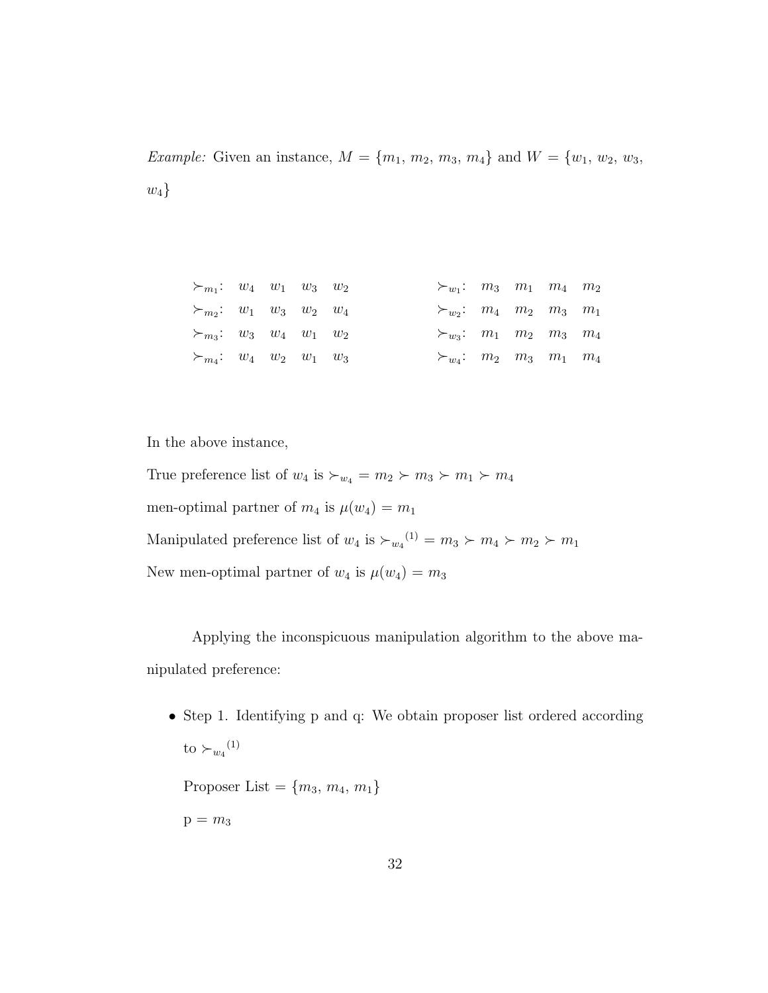*Example:* Given an instance,  $M = \{m_1, m_2, m_3, m_4\}$  and  $W = \{w_1, w_2, w_3, w_4\}$  $w_4$ }

| $\succ_{m_1}:$ $w_4$ $w_1$ $w_3$ $w_2$           |  |  | $\succ_{w_1}: m_3 \quad m_1 \quad m_4 \quad m_2$ |  |  |
|--------------------------------------------------|--|--|--------------------------------------------------|--|--|
| $\succ_{m_2}: w_1 \quad w_3 \quad w_2 \quad w_4$ |  |  | $\succ_{w_2}: m_4 \quad m_2 \quad m_3 \quad m_1$ |  |  |
| $\succ_{m_3}:$ $w_3$ $w_4$ $w_1$ $w_2$           |  |  | $\succ_{w_3}: m_1 \quad m_2 \quad m_3 \quad m_4$ |  |  |
| $\succ_{m_4}: w_4 \quad w_2 \quad w_1 \quad w_3$ |  |  | $\succ_{w_4}: m_2 \quad m_3 \quad m_1 \quad m_4$ |  |  |

In the above instance,

True preference list of  $w_4$  is  $\succ_{w_4} = m_2 \succ m_3 \succ m_1 \succ m_4$ men-optimal partner of  $m_4$  is  $\mu(w_4) = m_1$ Manipulated preference list of  $w_4$  is  $\succ_{w_4}^{(1)} = m_3 \succ m_4 \succ m_2 \succ m_1$ New men-optimal partner of  $w_4$  is  $\mu(w_4) = m_3$ 

Applying the inconspicuous manipulation algorithm to the above manipulated preference:

• Step 1. Identifying p and q: We obtain proposer list ordered according to  $\succ_{w_4}^{(1)}$ Proposer List =  ${m_3, m_4, m_1}$ 

 $p = m_3$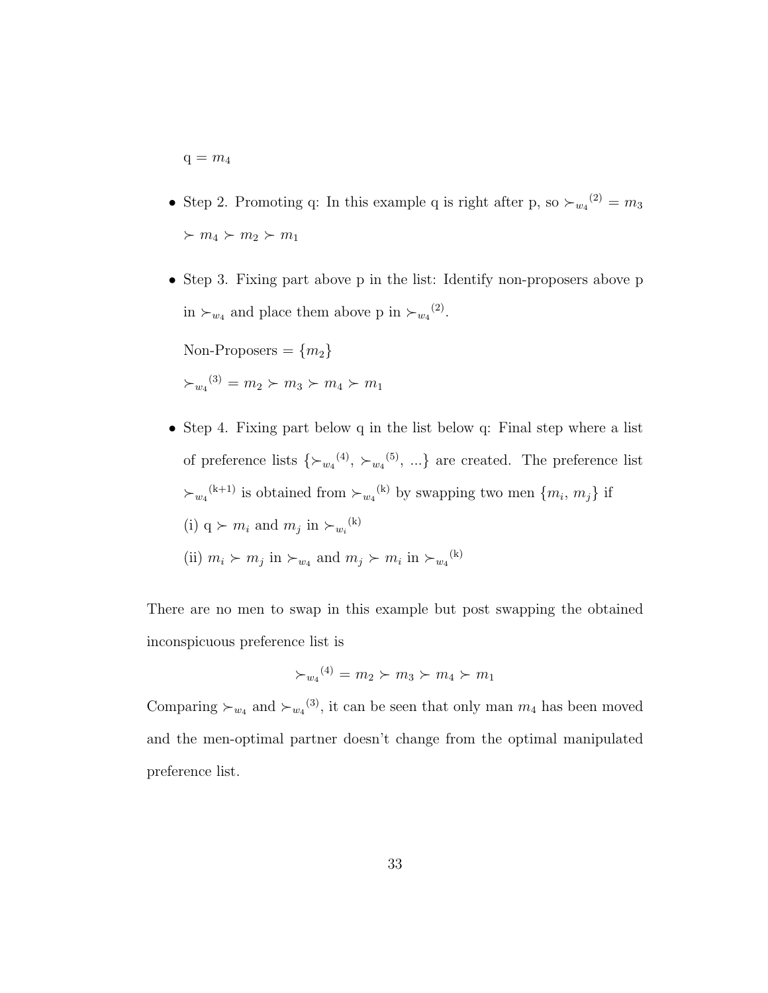$q = m_4$ 

- Step 2. Promoting q: In this example q is right after p, so  $\succ_{w_4}^{(2)} = m_3$  $m_4 \succ m_2 \succ m_1$
- Step 3. Fixing part above p in the list: Identify non-proposers above p in  $\succ_{w_4}$  and place them above p in  $\succ_{w_4}^{(2)}$ .

Non-Proposers =  ${m_2}$  $\succ_{w_4}^{(3)} = m_2 \succ m_3 \succ m_4 \succ m_1$ 

• Step 4. Fixing part below q in the list below q: Final step where a list of preference lists  $\{\succ_{w_4}^{(4)}, \succ_{w_4}^{(5)}, ...\}$  are created. The preference list  $\succ_{w_4}^{(k+1)}$  is obtained from  $\succ_{w_4}^{(k)}$  by swapping two men  $\{m_i, m_j\}$  if (i)  $q \succ m_i$  and  $m_j$  in  $\succ_{w_i}^{(k)}$ (ii)  $m_i \succ m_j$  in  $\succ_{w_4}$  and  $m_j \succ m_i$  in  $\succ_{w_4}^{(k)}$ 

There are no men to swap in this example but post swapping the obtained inconspicuous preference list is

$$
\succ_{w_4}^{(4)} = m_2 \succ m_3 \succ m_4 \succ m_1
$$

Comparing  $\succ_{w_4}$  and  $\succ_{w_4}^{(3)}$ , it can be seen that only man  $m_4$  has been moved and the men-optimal partner doesn't change from the optimal manipulated preference list.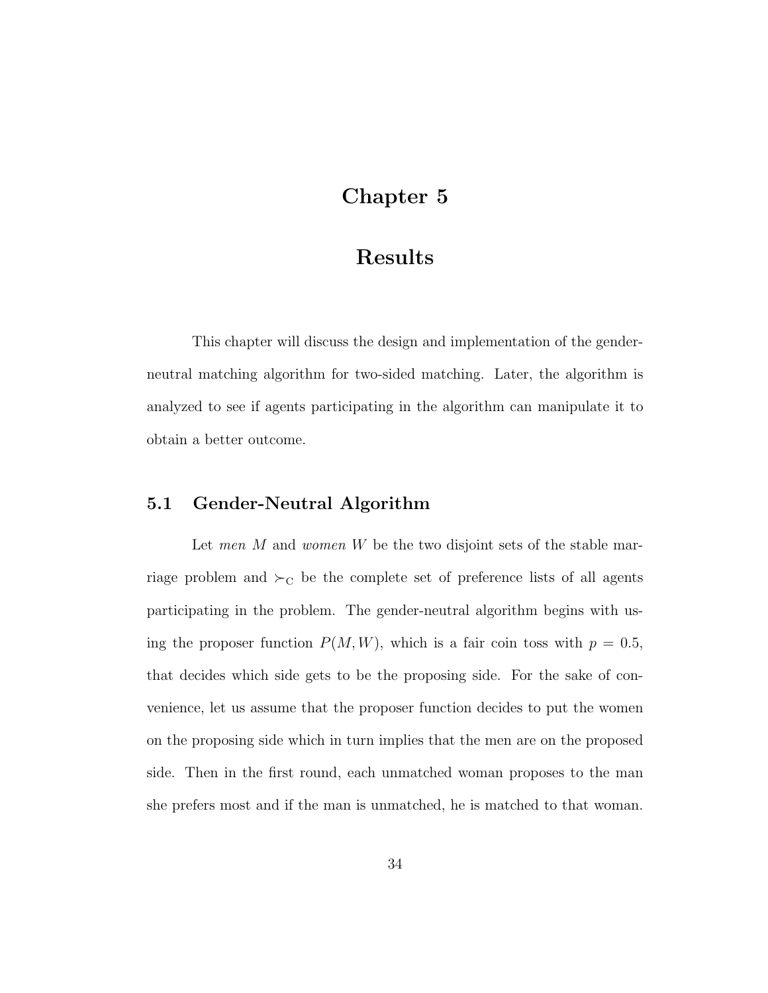## Chapter 5

### Results

This chapter will discuss the design and implementation of the genderneutral matching algorithm for two-sided matching. Later, the algorithm is analyzed to see if agents participating in the algorithm can manipulate it to obtain a better outcome.

### 5.1 Gender-Neutral Algorithm

Let men  $M$  and women  $W$  be the two disjoint sets of the stable marriage problem and  $\succ_C$  be the complete set of preference lists of all agents participating in the problem. The gender-neutral algorithm begins with using the proposer function  $P(M, W)$ , which is a fair coin toss with  $p = 0.5$ , that decides which side gets to be the proposing side. For the sake of convenience, let us assume that the proposer function decides to put the women on the proposing side which in turn implies that the men are on the proposed side. Then in the first round, each unmatched woman proposes to the man she prefers most and if the man is unmatched, he is matched to that woman.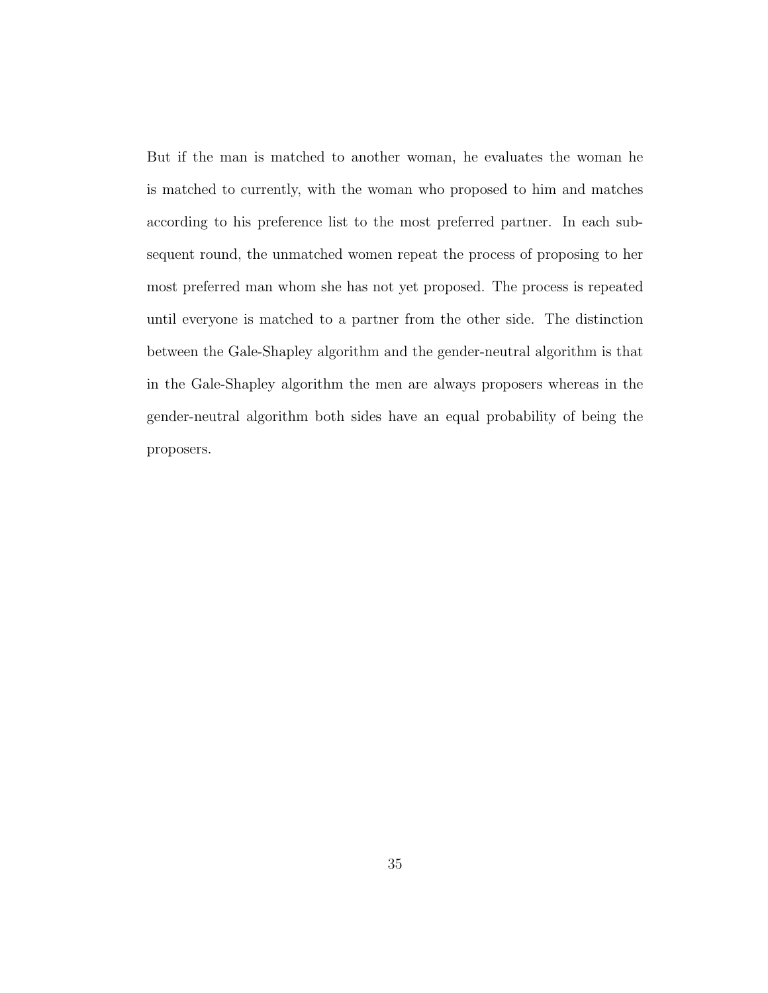But if the man is matched to another woman, he evaluates the woman he is matched to currently, with the woman who proposed to him and matches according to his preference list to the most preferred partner. In each subsequent round, the unmatched women repeat the process of proposing to her most preferred man whom she has not yet proposed. The process is repeated until everyone is matched to a partner from the other side. The distinction between the Gale-Shapley algorithm and the gender-neutral algorithm is that in the Gale-Shapley algorithm the men are always proposers whereas in the gender-neutral algorithm both sides have an equal probability of being the proposers.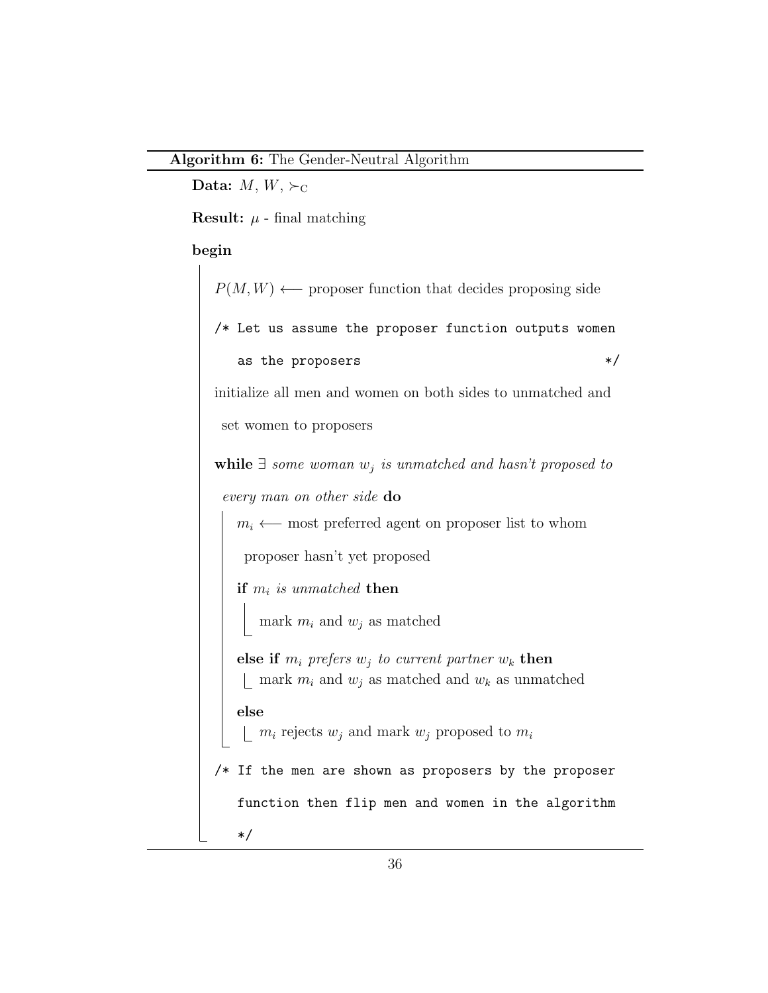Data:  $M, W, \succ_C$ 

**Result:**  $\mu$  - final matching

### begin

 $P(M, W) \longleftarrow$  proposer function that decides proposing side /\* Let us assume the proposer function outputs women as the proposers  $*/$ initialize all men and women on both sides to unmatched and set women to proposers while  $\exists$  some woman  $w_i$  is unmatched and hasn't proposed to every man on other side do  $m_i \leftarrow$  most preferred agent on proposer list to whom proposer hasn't yet proposed if  $m_i$  is unmatched then mark  $m_i$  and  $w_j$  as matched else if  $m_i$  prefers  $w_j$  to current partner  $w_k$  then | mark  $m_i$  and  $w_j$  as matched and  $w_k$  as unmatched else  $\bigsqcup m_i$  rejects  $w_j$  and mark  $w_j$  proposed to  $m_i$ /\* If the men are shown as proposers by the proposer function then flip men and women in the algorithm \*/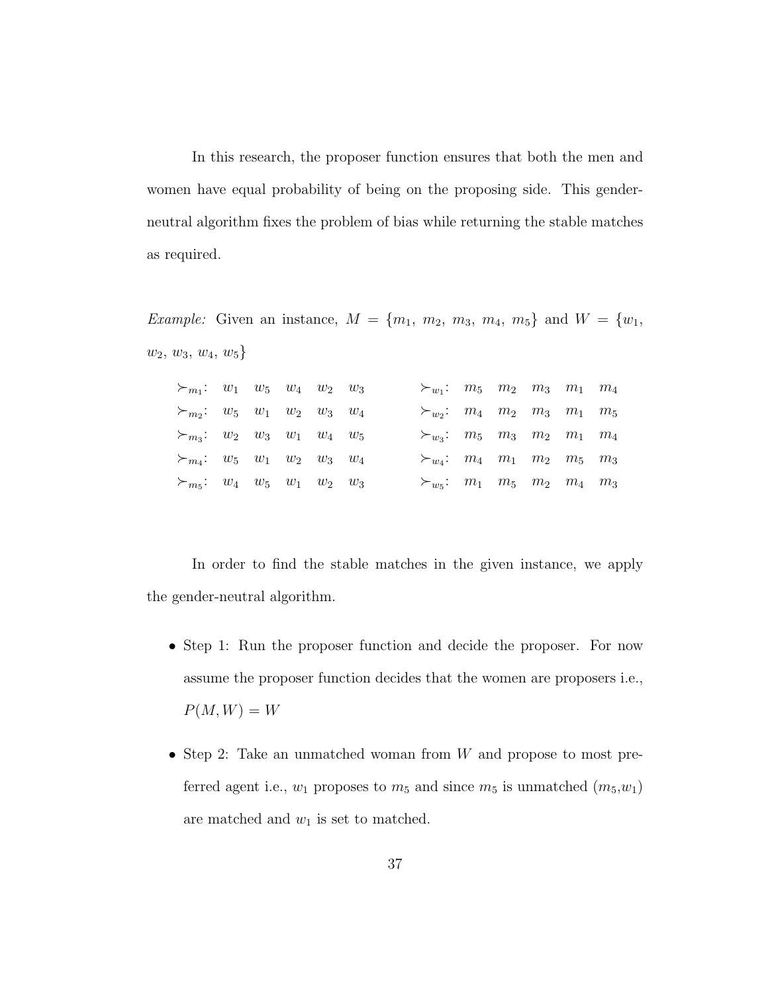In this research, the proposer function ensures that both the men and women have equal probability of being on the proposing side. This genderneutral algorithm fixes the problem of bias while returning the stable matches as required.

*Example:* Given an instance,  $M = \{m_1, m_2, m_3, m_4, m_5\}$  and  $W = \{w_1, w_2, w_3, w_4, w_5\}$  $w_2, w_3, w_4, w_5\}$ 

| $\succ_{m_1}: w_1 \quad w_5 \quad w_4 \quad w_2 \quad w_3$ |  |  | $\succ_{w_1}: m_5 \quad m_2 \quad m_3 \quad m_1 \quad m_4$ |  |  |  |
|------------------------------------------------------------|--|--|------------------------------------------------------------|--|--|--|
| $\succ_{m_2}:$ $w_5$ $w_1$ $w_2$ $w_3$ $w_4$               |  |  | $\succ_{w_2}: m_4 \quad m_2 \quad m_3 \quad m_1 \quad m_5$ |  |  |  |
| $\succ_{m_3}:$ $w_2$ $w_3$ $w_1$ $w_4$ $w_5$               |  |  | $\succ_{w_3}:$ $m_5$ $m_3$ $m_2$ $m_1$ $m_4$               |  |  |  |
| $\succ_{m_4}: w_5 \quad w_1 \quad w_2 \quad w_3 \quad w_4$ |  |  | $\succ_{w_4}: m_4 \quad m_1 \quad m_2 \quad m_5 \quad m_3$ |  |  |  |
| $\succ_{m_5}:$ $w_4$ $w_5$ $w_1$ $w_2$ $w_3$               |  |  | $\succ_{w_5}:$ $m_1$ $m_5$ $m_2$ $m_4$ $m_3$               |  |  |  |

In order to find the stable matches in the given instance, we apply the gender-neutral algorithm.

- Step 1: Run the proposer function and decide the proposer. For now assume the proposer function decides that the women are proposers i.e.,  $P(M, W) = W$
- Step 2: Take an unmatched woman from W and propose to most preferred agent i.e.,  $w_1$  proposes to  $m_5$  and since  $m_5$  is unmatched  $(m_5, w_1)$ are matched and  $w_1$  is set to matched.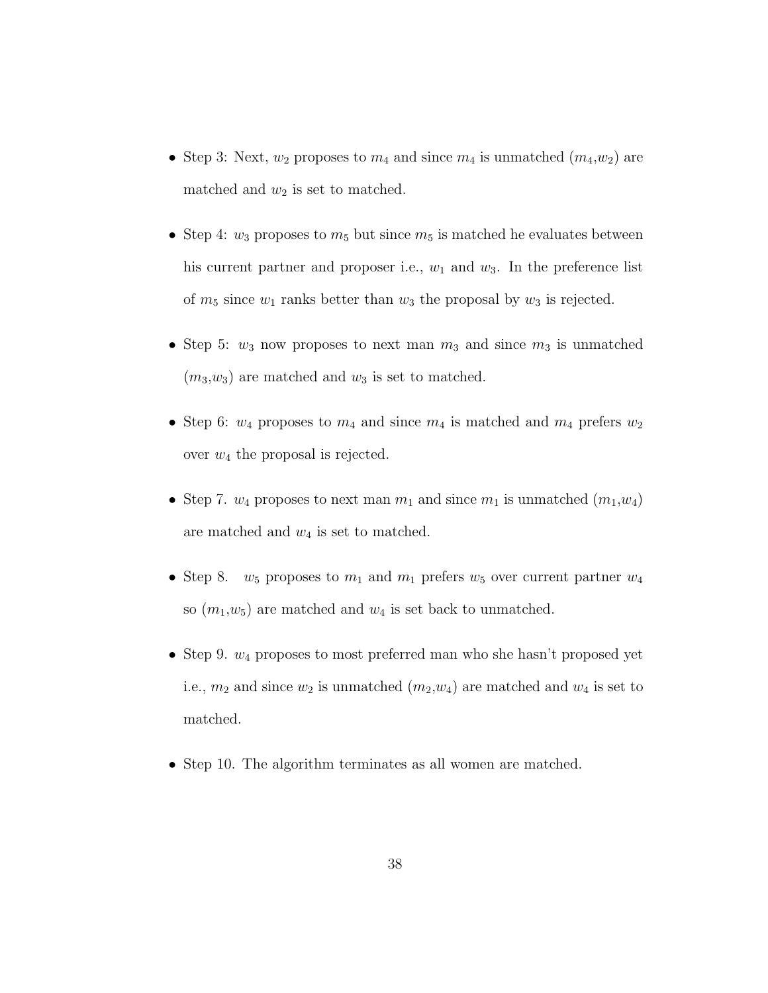- Step 3: Next,  $w_2$  proposes to  $m_4$  and since  $m_4$  is unmatched  $(m_4, w_2)$  are matched and  $w_2$  is set to matched.
- Step 4:  $w_3$  proposes to  $m_5$  but since  $m_5$  is matched he evaluates between his current partner and proposer i.e.,  $w_1$  and  $w_3$ . In the preference list of  $m_5$  since  $w_1$  ranks better than  $w_3$  the proposal by  $w_3$  is rejected.
- Step 5:  $w_3$  now proposes to next man  $m_3$  and since  $m_3$  is unmatched  $(m_3,w_3)$  are matched and  $w_3$  is set to matched.
- Step 6:  $w_4$  proposes to  $m_4$  and since  $m_4$  is matched and  $m_4$  prefers  $w_2$ over  $w_4$  the proposal is rejected.
- Step 7.  $w_4$  proposes to next man  $m_1$  and since  $m_1$  is unmatched  $(m_1, w_4)$ are matched and  $w_4$  is set to matched.
- Step 8.  $w_5$  proposes to  $m_1$  and  $m_1$  prefers  $w_5$  over current partner  $w_4$ so  $(m_1,w_5)$  are matched and  $w_4$  is set back to unmatched.
- Step 9.  $w_4$  proposes to most preferred man who she hasn't proposed yet i.e.,  $m_2$  and since  $w_2$  is unmatched  $(m_2, w_4)$  are matched and  $w_4$  is set to matched.
- Step 10. The algorithm terminates as all women are matched.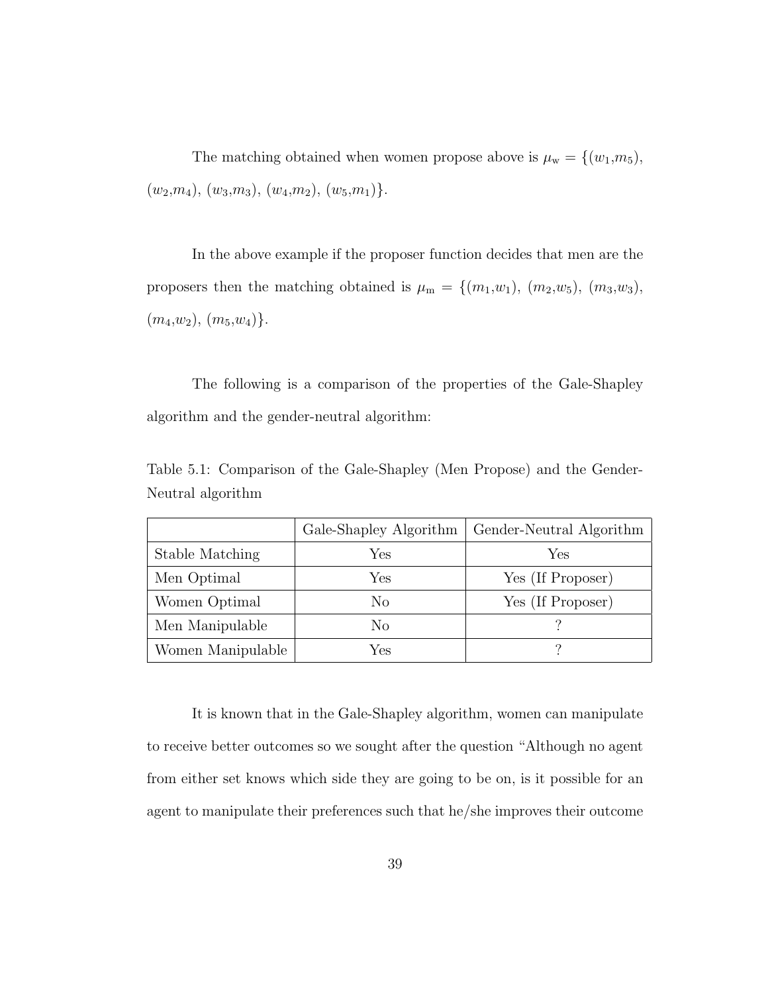The matching obtained when women propose above is  $\mu_w = \{(w_1,m_5),\}$  $(w_2,m_4), (w_3,m_3), (w_4,m_2), (w_5,m_1)\}.$ 

In the above example if the proposer function decides that men are the proposers then the matching obtained is  $\mu_{\rm m} = \{ (m_1, w_1), (m_2, w_5), (m_3, w_3),$  $(m_4,w_2), (m_5,w_4).$ 

The following is a comparison of the properties of the Gale-Shapley algorithm and the gender-neutral algorithm:

Table 5.1: Comparison of the Gale-Shapley (Men Propose) and the Gender-Neutral algorithm

|                   | Gale-Shapley Algorithm | Gender-Neutral Algorithm |
|-------------------|------------------------|--------------------------|
| Stable Matching   | Yes                    | Yes                      |
| Men Optimal       | Yes                    | Yes (If Proposer)        |
| Women Optimal     | No                     | Yes (If Proposer)        |
| Men Manipulable   | No                     |                          |
| Women Manipulable | Yes                    | റ                        |

It is known that in the Gale-Shapley algorithm, women can manipulate to receive better outcomes so we sought after the question "Although no agent from either set knows which side they are going to be on, is it possible for an agent to manipulate their preferences such that he/she improves their outcome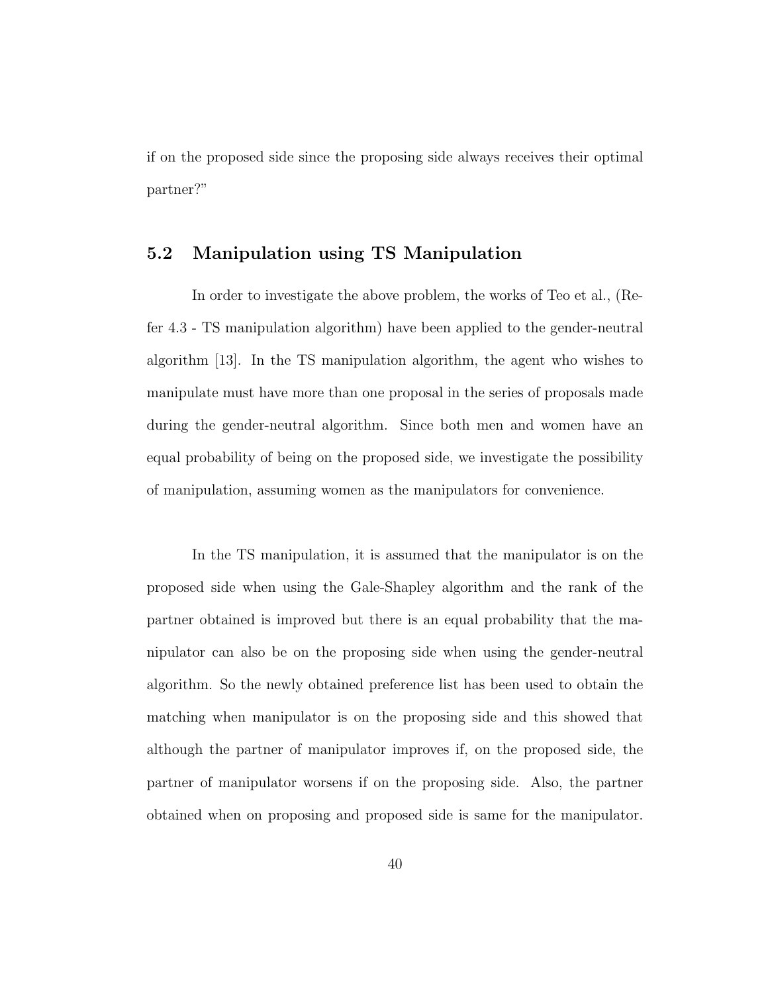if on the proposed side since the proposing side always receives their optimal partner?"

### 5.2 Manipulation using TS Manipulation

In order to investigate the above problem, the works of Teo et al., (Refer 4.3 - TS manipulation algorithm) have been applied to the gender-neutral algorithm [13]. In the TS manipulation algorithm, the agent who wishes to manipulate must have more than one proposal in the series of proposals made during the gender-neutral algorithm. Since both men and women have an equal probability of being on the proposed side, we investigate the possibility of manipulation, assuming women as the manipulators for convenience.

In the TS manipulation, it is assumed that the manipulator is on the proposed side when using the Gale-Shapley algorithm and the rank of the partner obtained is improved but there is an equal probability that the manipulator can also be on the proposing side when using the gender-neutral algorithm. So the newly obtained preference list has been used to obtain the matching when manipulator is on the proposing side and this showed that although the partner of manipulator improves if, on the proposed side, the partner of manipulator worsens if on the proposing side. Also, the partner obtained when on proposing and proposed side is same for the manipulator.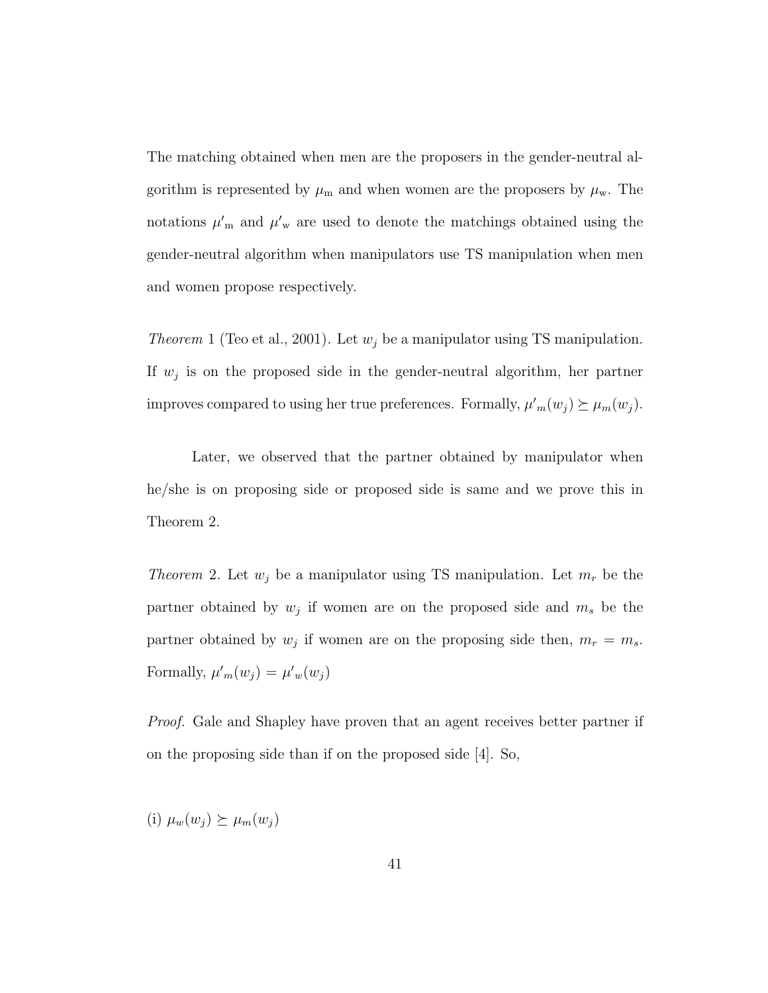The matching obtained when men are the proposers in the gender-neutral algorithm is represented by  $\mu_{m}$  and when women are the proposers by  $\mu_{w}$ . The notations  $\mu'_{m}$  and  $\mu'_{w}$  are used to denote the matchings obtained using the gender-neutral algorithm when manipulators use TS manipulation when men and women propose respectively.

*Theorem* 1 (Teo et al., 2001). Let  $w_j$  be a manipulator using TS manipulation. If  $w_j$  is on the proposed side in the gender-neutral algorithm, her partner improves compared to using her true preferences. Formally,  $\mu'_{m}(w_j) \succeq \mu_{m}(w_j)$ .

Later, we observed that the partner obtained by manipulator when he/she is on proposing side or proposed side is same and we prove this in Theorem 2.

*Theorem* 2. Let  $w_j$  be a manipulator using TS manipulation. Let  $m_r$  be the partner obtained by  $w_j$  if women are on the proposed side and  $m_s$  be the partner obtained by  $w_j$  if women are on the proposing side then,  $m_r = m_s$ . Formally,  $\mu'_m(w_j) = \mu'_w(w_j)$ 

Proof. Gale and Shapley have proven that an agent receives better partner if on the proposing side than if on the proposed side [4]. So,

(i)  $\mu_w(w_i) \succeq \mu_m(w_i)$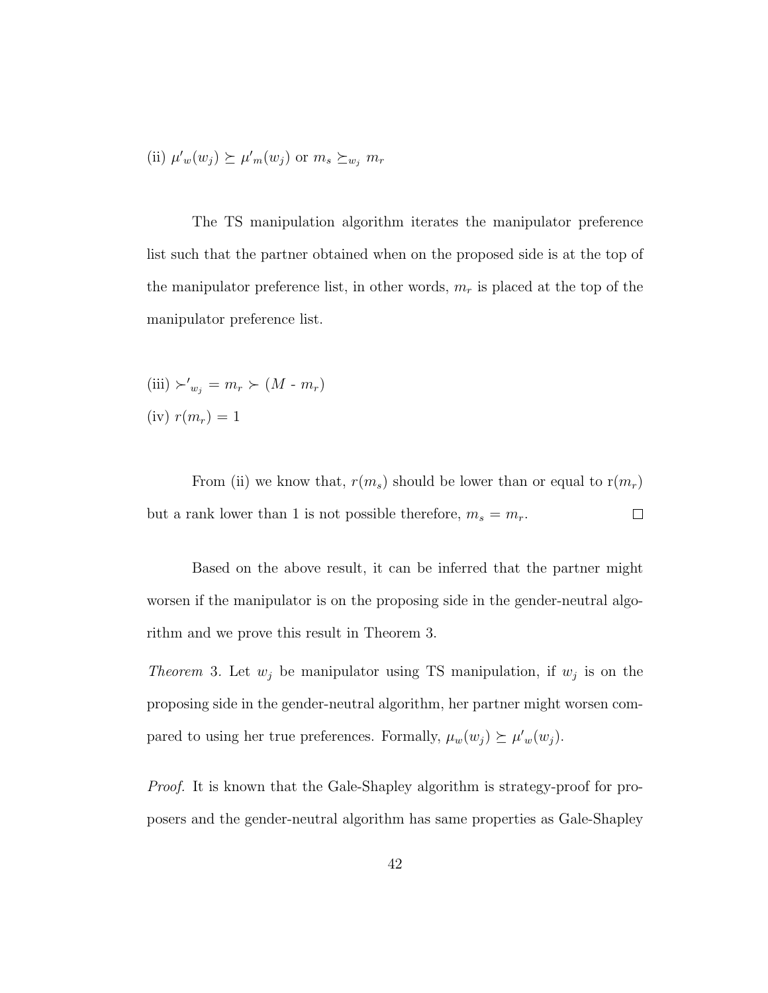(ii) 
$$
\mu'_w(w_j) \succeq \mu'_m(w_j)
$$
 or  $m_s \succeq_{w_j} m_r$ 

The TS manipulation algorithm iterates the manipulator preference list such that the partner obtained when on the proposed side is at the top of the manipulator preference list, in other words,  $m_r$  is placed at the top of the manipulator preference list.

(iii) 
$$
\succ'_{w_j} = m_r \succ (M - m_r)
$$
  
(iv)  $r(m_r) = 1$ 

From (ii) we know that,  $r(m_s)$  should be lower than or equal to  $r(m_r)$ but a rank lower than 1 is not possible therefore,  $m_s = m_r$ .  $\Box$ 

Based on the above result, it can be inferred that the partner might worsen if the manipulator is on the proposing side in the gender-neutral algorithm and we prove this result in Theorem 3.

*Theorem* 3. Let  $w_j$  be manipulator using TS manipulation, if  $w_j$  is on the proposing side in the gender-neutral algorithm, her partner might worsen compared to using her true preferences. Formally,  $\mu_w(w_j) \succeq \mu'_w(w_j)$ .

Proof. It is known that the Gale-Shapley algorithm is strategy-proof for proposers and the gender-neutral algorithm has same properties as Gale-Shapley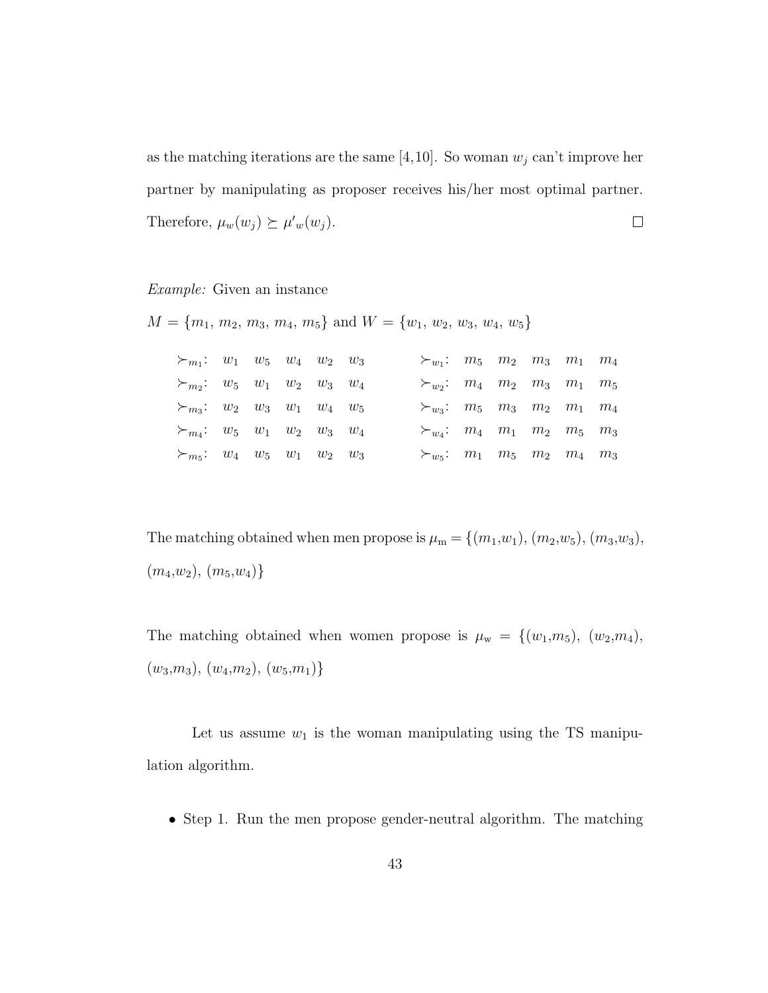as the matching iterations are the same [4,10]. So woman  $w_i$  can't improve her partner by manipulating as proposer receives his/her most optimal partner. Therefore,  $\mu_w(w_j) \succeq \mu'_w(w_j)$ .  $\Box$ 

#### Example: Given an instance

 $M = \{m_1, m_2, m_3, m_4, m_5\}$  and  $W = \{w_1, w_2, w_3, w_4, w_5\}$ 

| $\succ_{m_1}: w_1 \quad w_5 \quad w_4 \quad w_2 \quad w_3$ |  |  |  | $\succ_{w_1}:$ $m_5$ $m_2$ $m_3$ $m_1$ $m_4$               |  |  |  |
|------------------------------------------------------------|--|--|--|------------------------------------------------------------|--|--|--|
| $\succ_{m_2}:$ $w_5$ $w_1$ $w_2$ $w_3$ $w_4$               |  |  |  | $\succ_{w_2}: m_4 \quad m_2 \quad m_3 \quad m_1 \quad m_5$ |  |  |  |
| $\succ_{m_3}:$ $w_2$ $w_3$ $w_1$ $w_4$ $w_5$               |  |  |  | $\succ_{w_3}:$ $m_5$ $m_3$ $m_2$ $m_1$ $m_4$               |  |  |  |
| $\succ_{m_4}: w_5 \quad w_1 \quad w_2 \quad w_3 \quad w_4$ |  |  |  | $\succ_{w_4}: m_4 \quad m_1 \quad m_2 \quad m_5 \quad m_3$ |  |  |  |
| $\succ_{m_5}:$ $w_4$ $w_5$ $w_1$ $w_2$ $w_3$               |  |  |  | $\succ_{w_5}:$ $m_1$ $m_5$ $m_2$ $m_4$ $m_3$               |  |  |  |

The matching obtained when men propose is  $\mu_{\rm m} = \{ (m_1, w_1), (m_2, w_5), (m_3, w_3),$  $(m_4,w_2), (m_5,w_4)$ 

The matching obtained when women propose is  $\mu_w = \{(w_1,m_5), (w_2,m_4),$  $(w_3,m_3), (w_4,m_2), (w_5,m_1)$ 

Let us assume  $w_1$  is the woman manipulating using the TS manipulation algorithm.

• Step 1. Run the men propose gender-neutral algorithm. The matching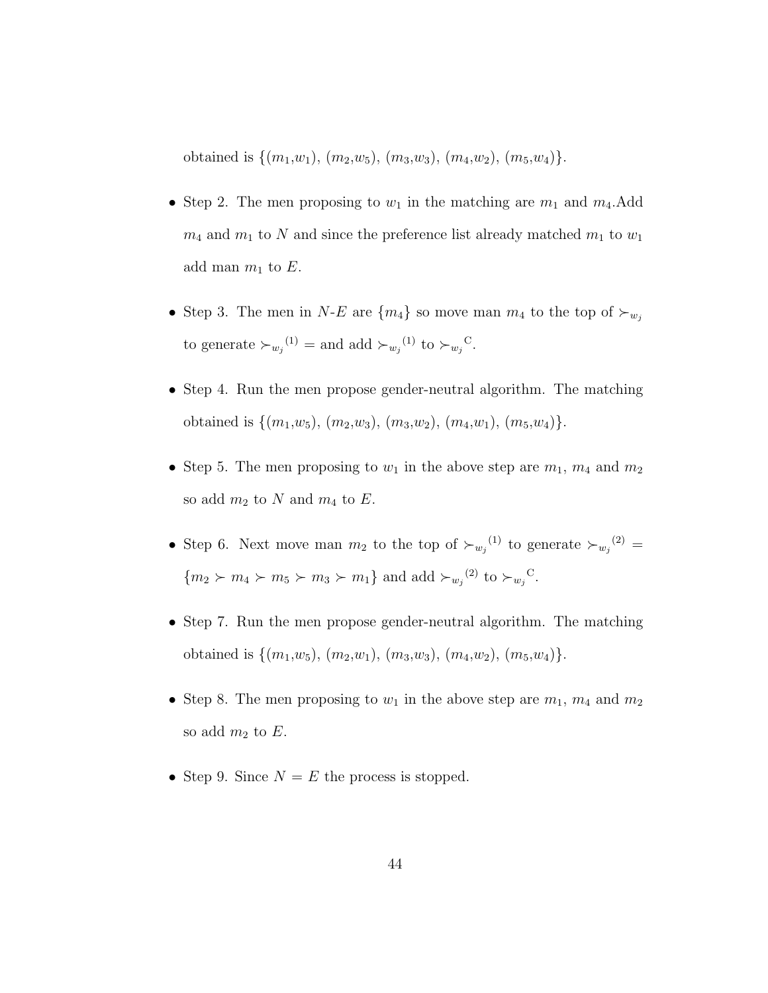obtained is  $\{(m_1,w_1), (m_2,w_5), (m_3,w_3), (m_4,w_2), (m_5,w_4)\}.$ 

- Step 2. The men proposing to  $w_1$  in the matching are  $m_1$  and  $m_4$ . Add  $m_4$  and  $m_1$  to N and since the preference list already matched  $m_1$  to  $w_1$ add man  $m_1$  to E.
- Step 3. The men in N-E are  $\{m_4\}$  so move man  $m_4$  to the top of  $\succ_{w_i}$ to generate  $\succ_{w_j}^{(1)}$  = and add  $\succ_{w_j}^{(1)}$  to  $\succ_{w_j}^{C}$ .
- Step 4. Run the men propose gender-neutral algorithm. The matching obtained is  $\{(m_1,w_5), (m_2,w_3), (m_3,w_2), (m_4,w_1), (m_5,w_4)\}.$
- Step 5. The men proposing to  $w_1$  in the above step are  $m_1$ ,  $m_4$  and  $m_2$ so add  $m_2$  to N and  $m_4$  to E.
- Step 6. Next move man  $m_2$  to the top of  $\succ_{w_j}^{(1)}$  to generate  $\succ_{w_j}^{(2)}$  =  ${m_2 \succ m_4 \succ m_5 \succ m_3 \succ m_1}$  and add  $\succ_{w_j}^{(2)}$  to  $\succ_{w_j}^{C}$ .
- Step 7. Run the men propose gender-neutral algorithm. The matching obtained is  $\{(m_1,w_5), (m_2,w_1), (m_3,w_3), (m_4,w_2), (m_5,w_4)\}.$
- Step 8. The men proposing to  $w_1$  in the above step are  $m_1$ ,  $m_4$  and  $m_2$ so add  $m_2$  to E.
- Step 9. Since  $N = E$  the process is stopped.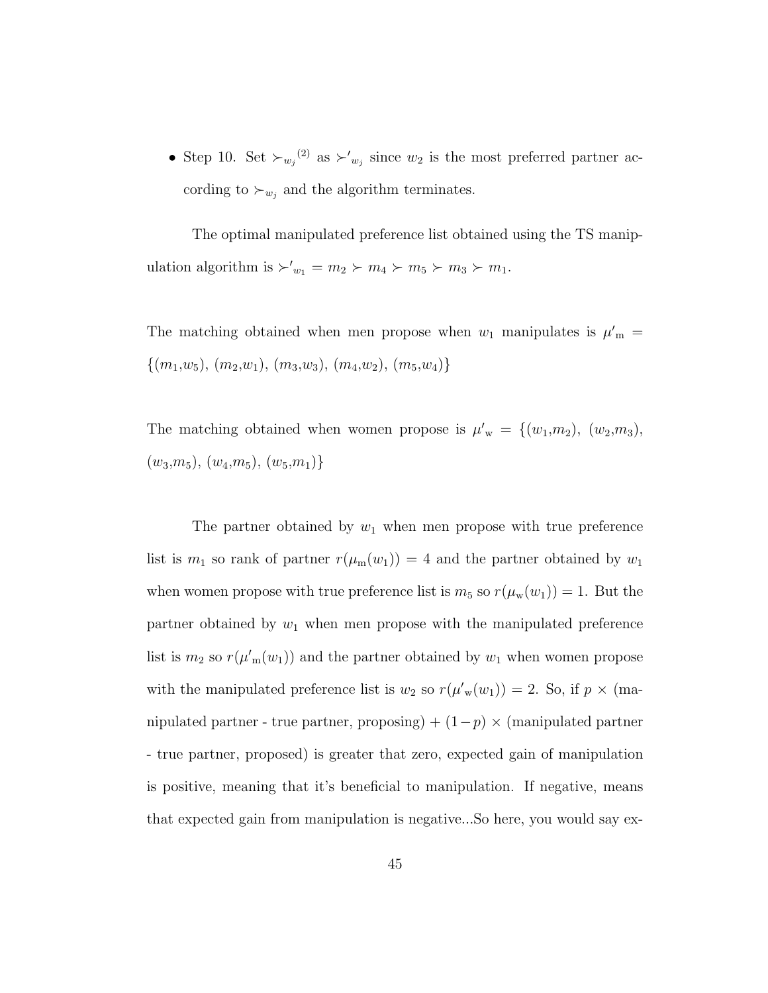• Step 10. Set  $\succ_{w_j}^{(2)}$  as  $\succ'_{w_j}$  since  $w_2$  is the most preferred partner according to  $\succ_{w_j}$  and the algorithm terminates.

The optimal manipulated preference list obtained using the TS manipulation algorithm is  $\succ'_{w_1} = m_2 \succ m_4 \succ m_5 \succ m_3 \succ m_1$ .

The matching obtained when men propose when  $w_1$  manipulates is  $\mu'_m$  =  $\{(m_1,w_5), (m_2,w_1), (m_3,w_3), (m_4,w_2), (m_5,w_4)\}\$ 

The matching obtained when women propose is  $\mu'_{w} = \{(w_1,m_2), (w_2,m_3),$  $(w_3,m_5), (w_4,m_5), (w_5,m_1)\}$ 

The partner obtained by  $w_1$  when men propose with true preference list is  $m_1$  so rank of partner  $r(\mu_m(w_1)) = 4$  and the partner obtained by  $w_1$ when women propose with true preference list is  $m_5$  so  $r(\mu_w(w_1)) = 1$ . But the partner obtained by  $w_1$  when men propose with the manipulated preference list is  $m_2$  so  $r(\mu'_m(w_1))$  and the partner obtained by  $w_1$  when women propose with the manipulated preference list is  $w_2$  so  $r(\mu'_{w}(w_1)) = 2$ . So, if  $p \times (ma$ nipulated partner - true partner, proposing) +  $(1-p) \times$  (manipulated partner - true partner, proposed) is greater that zero, expected gain of manipulation is positive, meaning that it's beneficial to manipulation. If negative, means that expected gain from manipulation is negative...So here, you would say ex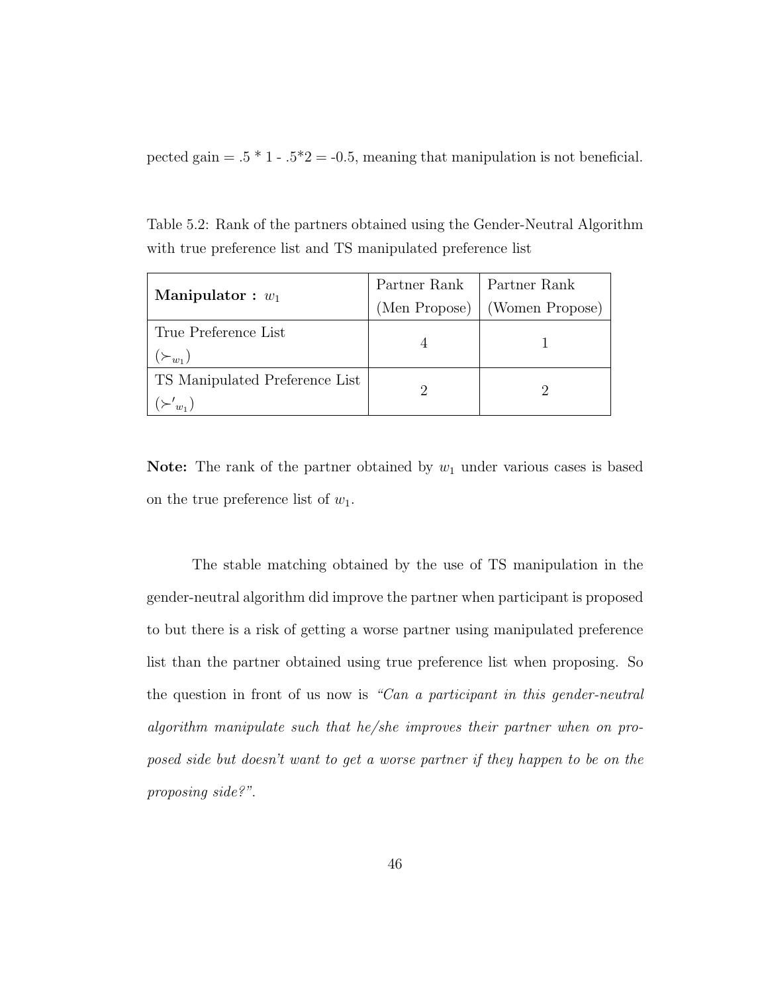pected gain =  $.5 * 1 - .5 * 2 = -0.5$ , meaning that manipulation is not beneficial.

Table 5.2: Rank of the partners obtained using the Gender-Neutral Algorithm with true preference list and TS manipulated preference list

| Manipulator : $w_1$            | Partner Rank  | Partner Rank    |  |  |
|--------------------------------|---------------|-----------------|--|--|
|                                | (Men Propose) | (Women Propose) |  |  |
| True Preference List           |               |                 |  |  |
| $(\succ_{w_1})$                |               |                 |  |  |
| TS Manipulated Preference List |               |                 |  |  |
| $n_{\rm H}$                    |               |                 |  |  |

**Note:** The rank of the partner obtained by  $w_1$  under various cases is based on the true preference list of  $w_1$ .

The stable matching obtained by the use of TS manipulation in the gender-neutral algorithm did improve the partner when participant is proposed to but there is a risk of getting a worse partner using manipulated preference list than the partner obtained using true preference list when proposing. So the question in front of us now is "Can a participant in this gender-neutral algorithm manipulate such that he/she improves their partner when on proposed side but doesn't want to get a worse partner if they happen to be on the proposing side?".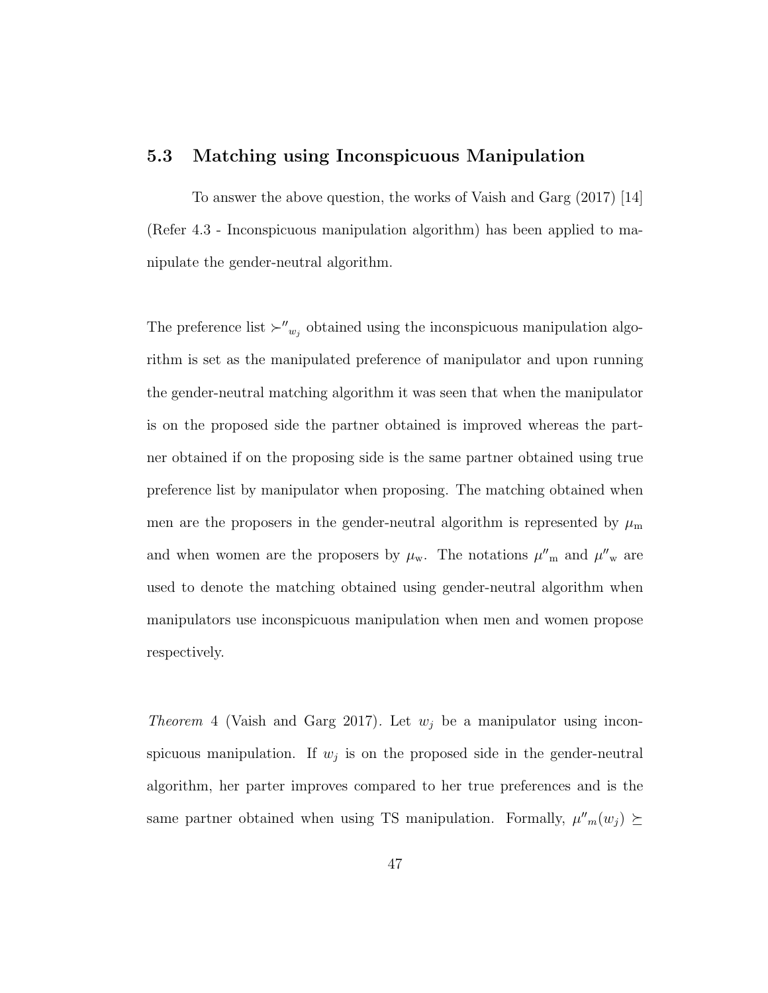### 5.3 Matching using Inconspicuous Manipulation

To answer the above question, the works of Vaish and Garg (2017) [14] (Refer 4.3 - Inconspicuous manipulation algorithm) has been applied to manipulate the gender-neutral algorithm.

The preference list  $\succ''_{w_j}$  obtained using the inconspicuous manipulation algorithm is set as the manipulated preference of manipulator and upon running the gender-neutral matching algorithm it was seen that when the manipulator is on the proposed side the partner obtained is improved whereas the partner obtained if on the proposing side is the same partner obtained using true preference list by manipulator when proposing. The matching obtained when men are the proposers in the gender-neutral algorithm is represented by  $\mu_{\rm m}$ and when women are the proposers by  $\mu_w$ . The notations  $\mu''_m$  and  $\mu''_w$  are used to denote the matching obtained using gender-neutral algorithm when manipulators use inconspicuous manipulation when men and women propose respectively.

*Theorem* 4 (Vaish and Garg 2017). Let  $w_j$  be a manipulator using inconspicuous manipulation. If  $w_j$  is on the proposed side in the gender-neutral algorithm, her parter improves compared to her true preferences and is the same partner obtained when using TS manipulation. Formally,  $\mu''_m(w_j) \succeq$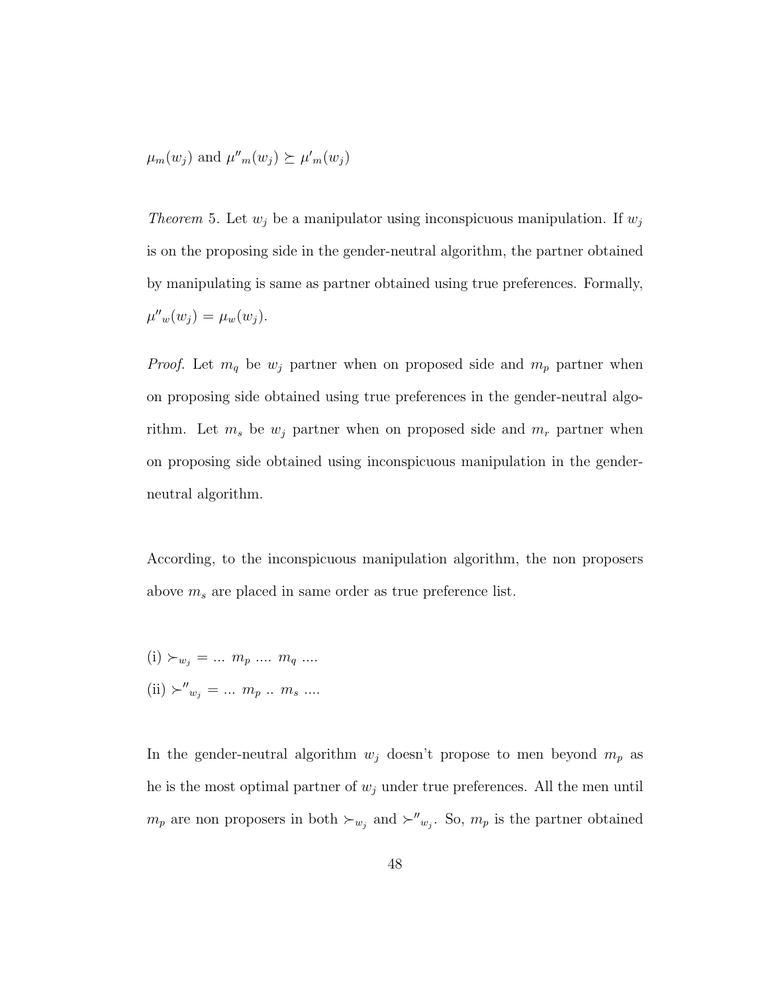$$
\mu_m(w_j)
$$
 and  $\mu''_m(w_j) \succeq \mu'_m(w_j)$ 

Theorem 5. Let  $w_j$  be a manipulator using inconspicuous manipulation. If  $w_j$ is on the proposing side in the gender-neutral algorithm, the partner obtained by manipulating is same as partner obtained using true preferences. Formally,  $\mu''_w(w_j) = \mu_w(w_j).$ 

*Proof.* Let  $m_q$  be  $w_j$  partner when on proposed side and  $m_p$  partner when on proposing side obtained using true preferences in the gender-neutral algorithm. Let  $m_s$  be  $w_j$  partner when on proposed side and  $m_r$  partner when on proposing side obtained using inconspicuous manipulation in the genderneutral algorithm.

According, to the inconspicuous manipulation algorithm, the non proposers above  $m_s$  are placed in same order as true preference list.

- $(i) \succ_{w_j} = ... \; m_p \; ... \; m_q \; ...$
- $(ii) \succ''_{w_j} = ... \; m_p \; ... \; m_s \; ...$

In the gender-neutral algorithm  $w_j$  doesn't propose to men beyond  $m_p$  as he is the most optimal partner of  $w_j$  under true preferences. All the men until  $m_p$  are non proposers in both  $\succ_{w_j}$  and  $\succ''_{w_j}$ . So,  $m_p$  is the partner obtained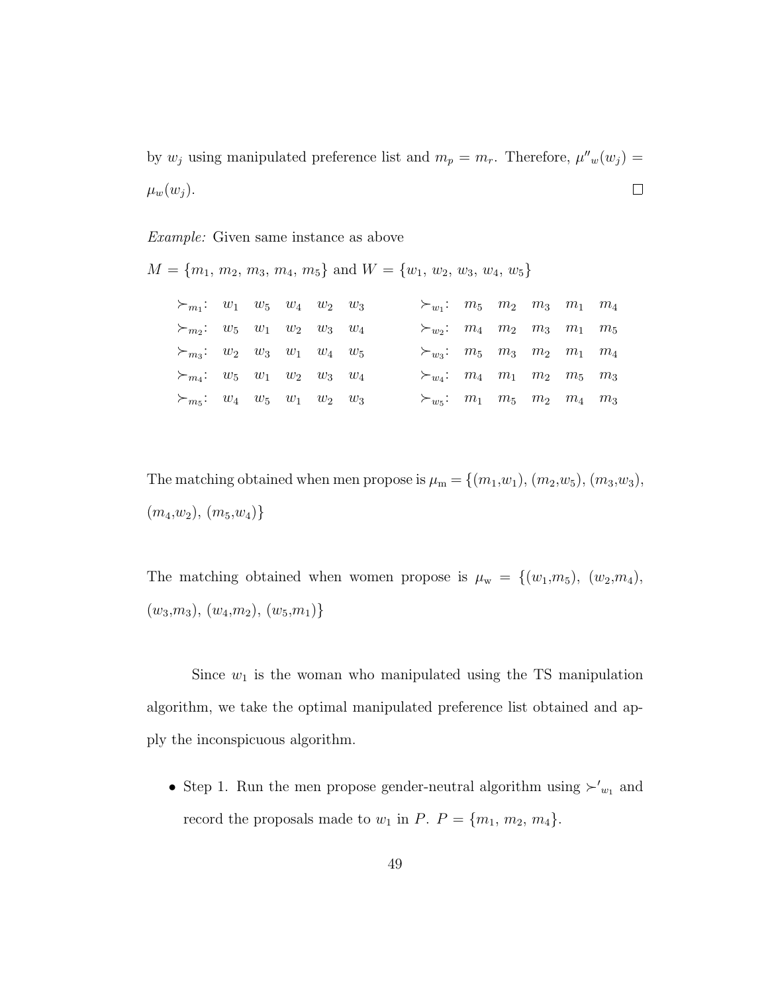by  $w_j$  using manipulated preference list and  $m_p = m_r$ . Therefore,  $\mu''_w(w_j) =$  $\mu_w(w_j)$ .  $\Box$ 

#### Example: Given same instance as above

|                                        |  |             |  | $M = \{m_1, m_2, m_3, m_4, m_5\}$ and $W = \{w_1, w_2, w_3, w_4, w_5\}$ |  |                               |                            |
|----------------------------------------|--|-------------|--|-------------------------------------------------------------------------|--|-------------------------------|----------------------------|
| $\succ_{m_1}: w_1 \quad w_5 \quad w_4$ |  | $w_2$ $w_3$ |  | $\succ_{w_1}:$ $m_5$ $m_2$ $m_3$ $m_1$ $m_4$                            |  |                               |                            |
| $\succ_{m_2}:$ $w_5$ $w_1$ $w_2$       |  | $w_3$ $w_4$ |  | $\succ_{w_2}: m_4 \quad m_2 \quad m_3 \quad m_1$                        |  |                               | m <sub>5</sub>             |
| $\succ_{m_3}:$ $w_2$ $w_3$ $w_1$       |  | $w_4$ $w_5$ |  | $\succ_{w_3}:$ $m_5$ $m_3$ $m_2$ $m_1$                                  |  |                               | $m_{\scriptscriptstyle A}$ |
| $\succ_{m_4}:$ $w_5$ $w_1$ $w_2$       |  | $w_3$ $w_4$ |  | $\succ_{w_4}: m_4 \quad m_1 \quad m_2 \quad m_5 \quad m_3$              |  |                               |                            |
| $\succ_{m_5}:$ $w_4$ $w_5$ $w_1$       |  | $w_2$ $w_3$ |  | $\succ_{w}$ :                                                           |  | $m_1$ $m_5$ $m_2$ $m_4$ $m_3$ |                            |

The matching obtained when men propose is  $\mu_m = \{(m_1, w_1), (m_2, w_5), (m_3, w_3),$  $(m_4,w_2), (m_5,w_4)$ 

The matching obtained when women propose is  $\mu_w = \{(w_1,m_5), (w_2,m_4),$  $(w_3,m_3), (w_4,m_2), (w_5,m_1)$ 

Since  $w_1$  is the woman who manipulated using the TS manipulation algorithm, we take the optimal manipulated preference list obtained and apply the inconspicuous algorithm.

• Step 1. Run the men propose gender-neutral algorithm using  $\succ'_{w_1}$  and record the proposals made to  $w_1$  in  $P$ .  $P = \{m_1, m_2, m_4\}$ .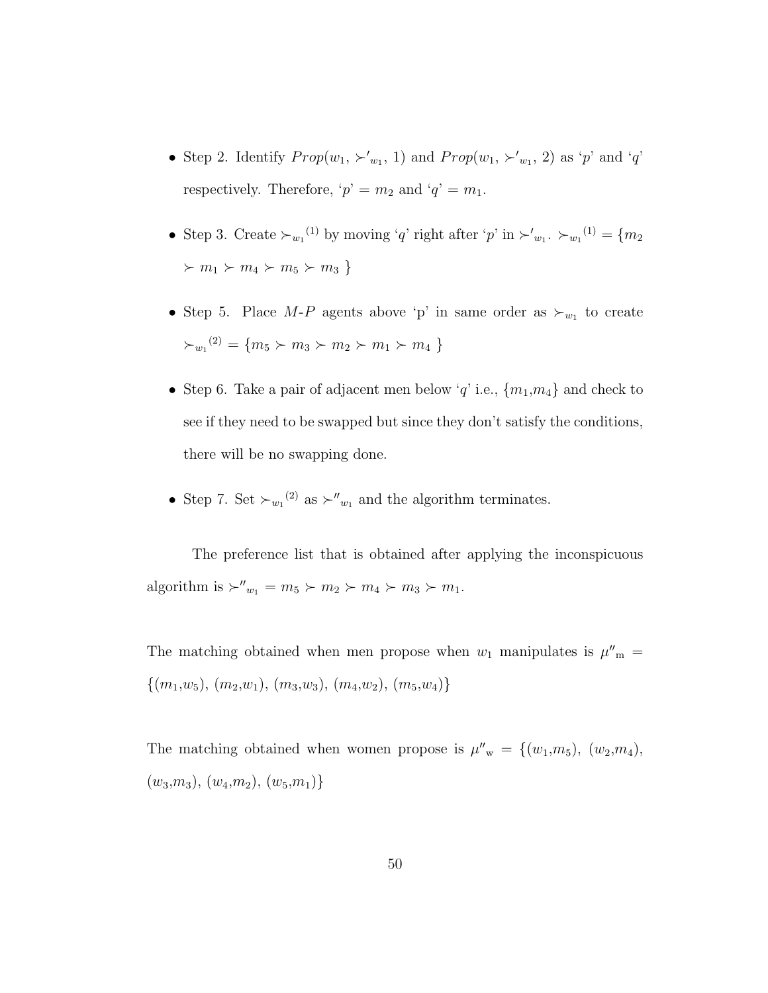- Step 2. Identify  $Prop(w_1, \succ'_{w_1}, 1)$  and  $Prop(w_1, \succ'_{w_1}, 2)$  as 'p' and 'q' respectively. Therefore, ' $p' = m_2$  and ' $q' = m_1$ .
- Step 3. Create  $\succ_{w_1}^{(1)}$  by moving 'q' right after 'p' in  $\succ'_{w_1}$ .  $\succ_{w_1}^{(1)} = \{m_2\}$  $m_1 \succ m_4 \succ m_5 \succ m_3$
- Step 5. Place  $M-P$  agents above 'p' in same order as  $\succ_{w_1}$  to create  $\succ_{w_1}^{(2)} = \{m_5 \succ m_3 \succ m_2 \succ m_1 \succ m_4\}$
- Step 6. Take a pair of adjacent men below 'q' i.e.,  ${m_1, m_4}$  and check to see if they need to be swapped but since they don't satisfy the conditions, there will be no swapping done.
- Step 7. Set  $\succ_{w_1}^{(2)}$  as  $\succ''_{w_1}$  and the algorithm terminates.

The preference list that is obtained after applying the inconspicuous algorithm is  $\succ''_{w_1} = m_5 \succ m_2 \succ m_4 \succ m_3 \succ m_1$ .

The matching obtained when men propose when  $w_1$  manipulates is  $\mu''_m =$  $\{(m_1,w_5), (m_2,w_1), (m_3,w_3), (m_4,w_2), (m_5,w_4)\}\$ 

The matching obtained when women propose is  $\mu''_{w} = \{(w_1,m_5), (w_2,m_4),$  $(w_3,m_3), (w_4,m_2), (w_5,m_1)\}$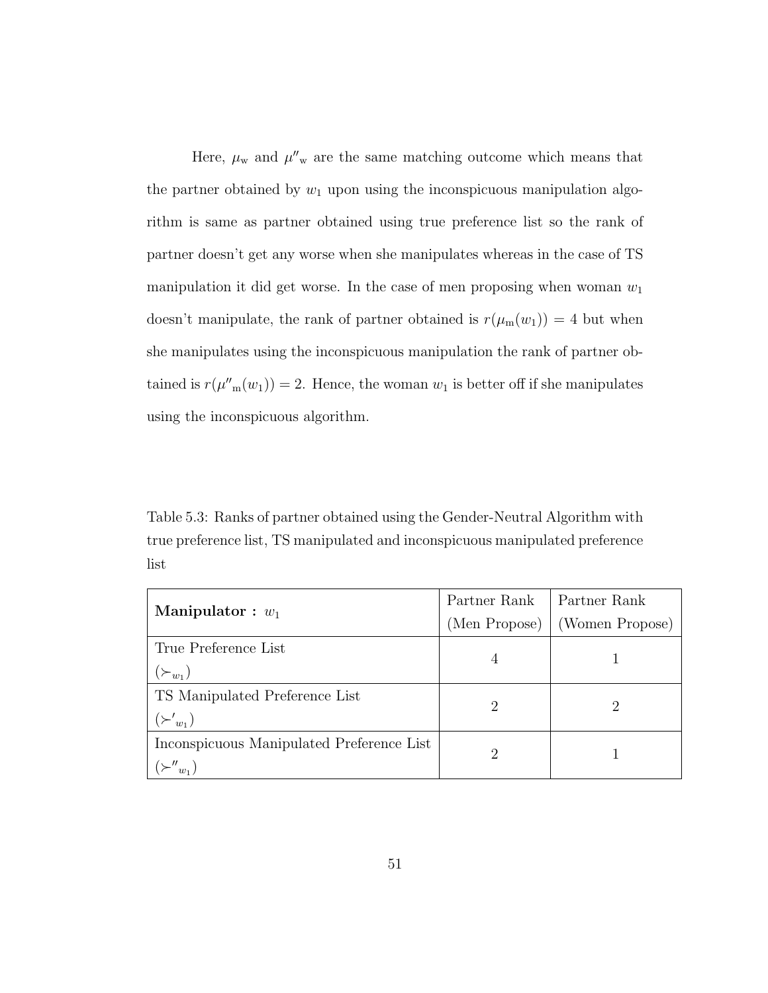Here,  $\mu_{\rm w}$  and  $\mu''_{\rm w}$  are the same matching outcome which means that the partner obtained by  $w_1$  upon using the inconspicuous manipulation algorithm is same as partner obtained using true preference list so the rank of partner doesn't get any worse when she manipulates whereas in the case of TS manipulation it did get worse. In the case of men proposing when woman  $w_1$ doesn't manipulate, the rank of partner obtained is  $r(\mu_m(w_1)) = 4$  but when she manipulates using the inconspicuous manipulation the rank of partner obtained is  $r(\mu''_m(w_1)) = 2$ . Hence, the woman  $w_1$  is better off if she manipulates using the inconspicuous algorithm.

Table 5.3: Ranks of partner obtained using the Gender-Neutral Algorithm with true preference list, TS manipulated and inconspicuous manipulated preference list

| Manipulator : $w_1$                       | Partner Rank                | Partner Rank    |  |  |
|-------------------------------------------|-----------------------------|-----------------|--|--|
|                                           | (Men Propose)               | (Women Propose) |  |  |
| True Preference List                      | 4                           |                 |  |  |
| $(\succ_{w_1})$                           |                             |                 |  |  |
| TS Manipulated Preference List            | $\mathcal{D}_{\mathcal{A}}$ |                 |  |  |
| $(\succ'_{w_1})$                          |                             |                 |  |  |
| Inconspicuous Manipulated Preference List | 2                           |                 |  |  |
|                                           |                             |                 |  |  |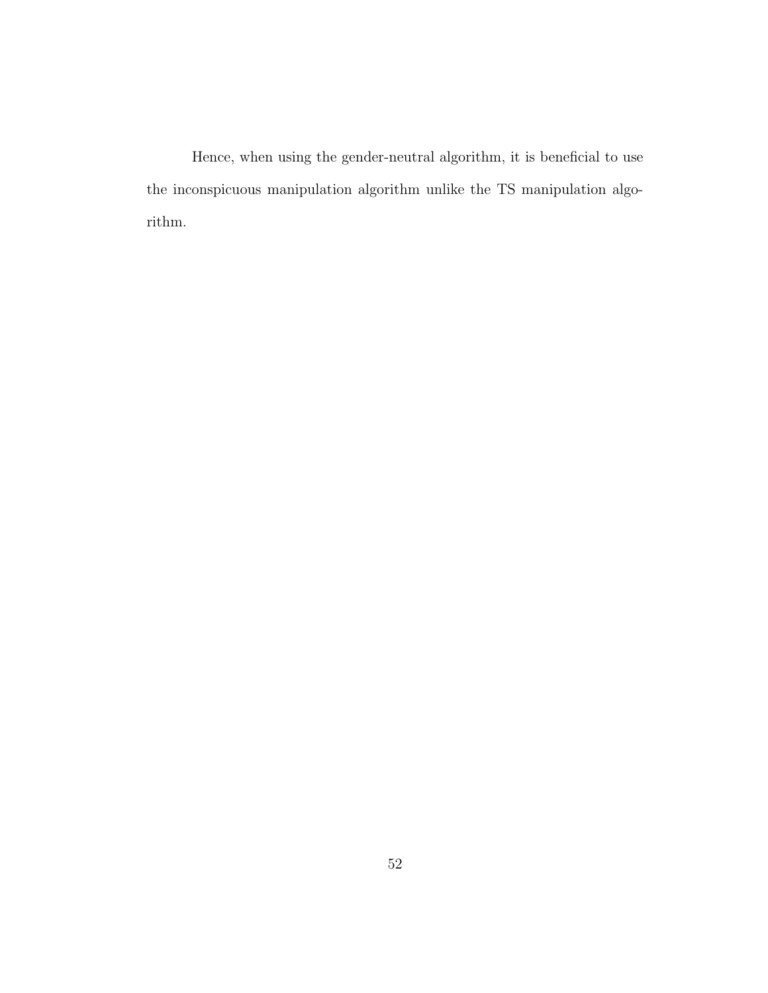Hence, when using the gender-neutral algorithm, it is beneficial to use the inconspicuous manipulation algorithm unlike the TS manipulation algorithm.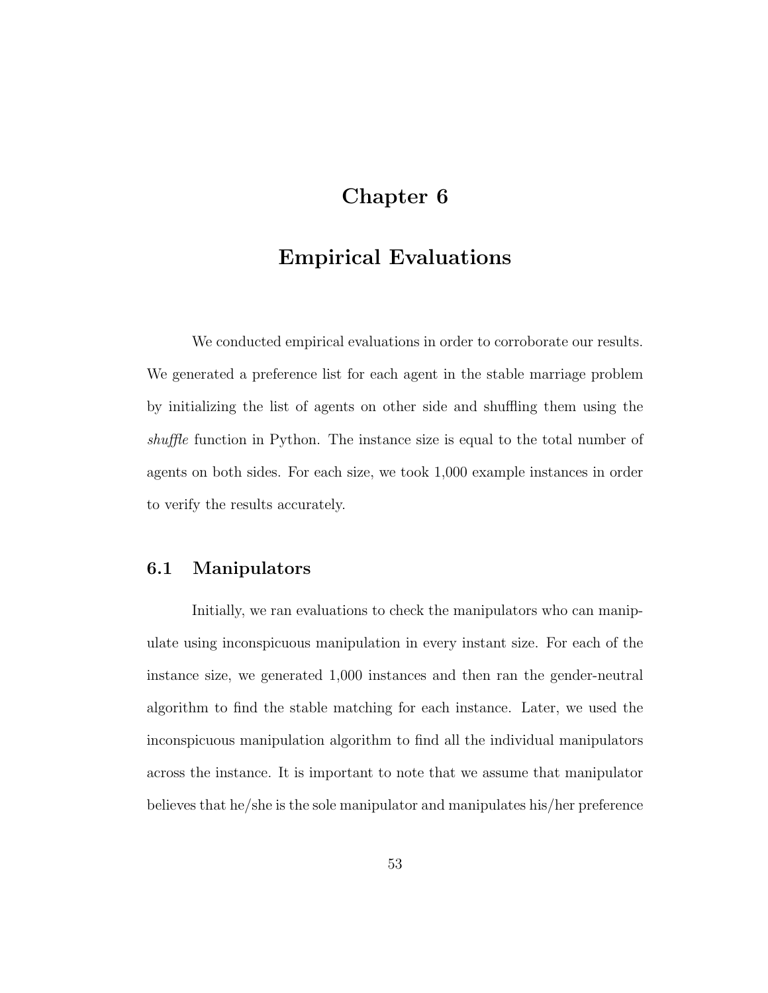## Chapter 6

## Empirical Evaluations

We conducted empirical evaluations in order to corroborate our results. We generated a preference list for each agent in the stable marriage problem by initializing the list of agents on other side and shuffling them using the shuffle function in Python. The instance size is equal to the total number of agents on both sides. For each size, we took 1,000 example instances in order to verify the results accurately.

### 6.1 Manipulators

Initially, we ran evaluations to check the manipulators who can manipulate using inconspicuous manipulation in every instant size. For each of the instance size, we generated 1,000 instances and then ran the gender-neutral algorithm to find the stable matching for each instance. Later, we used the inconspicuous manipulation algorithm to find all the individual manipulators across the instance. It is important to note that we assume that manipulator believes that he/she is the sole manipulator and manipulates his/her preference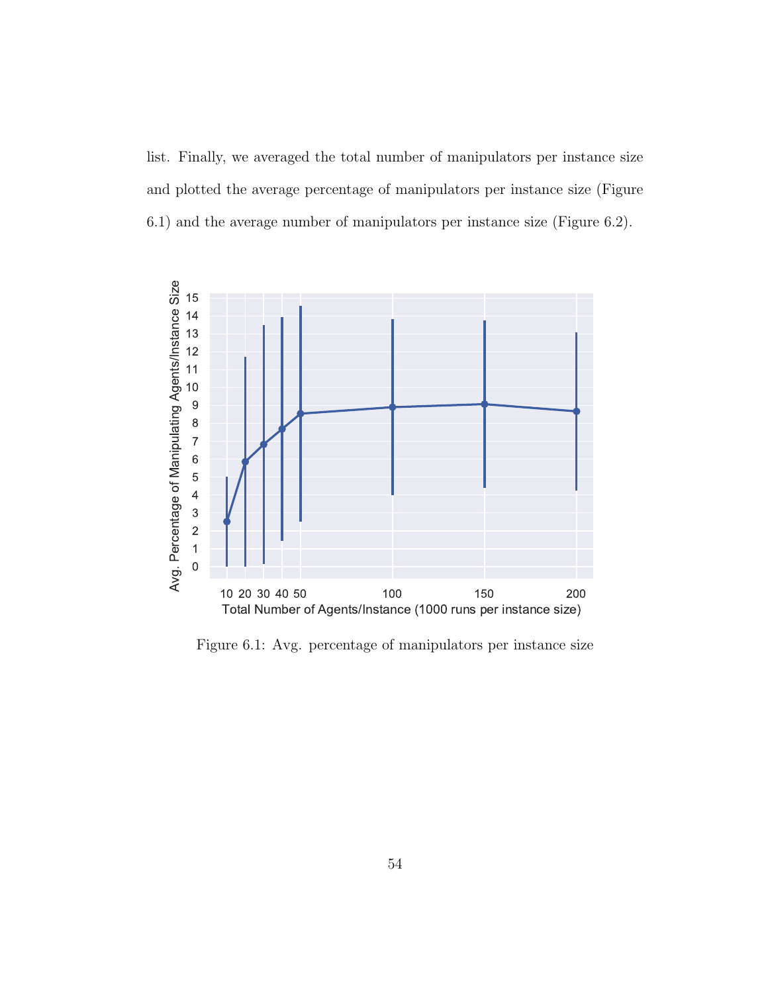list. Finally, we averaged the total number of manipulators per instance size and plotted the average percentage of manipulators per instance size (Figure 6.1) and the average number of manipulators per instance size (Figure 6.2).



Figure 6.1: Avg. percentage of manipulators per instance size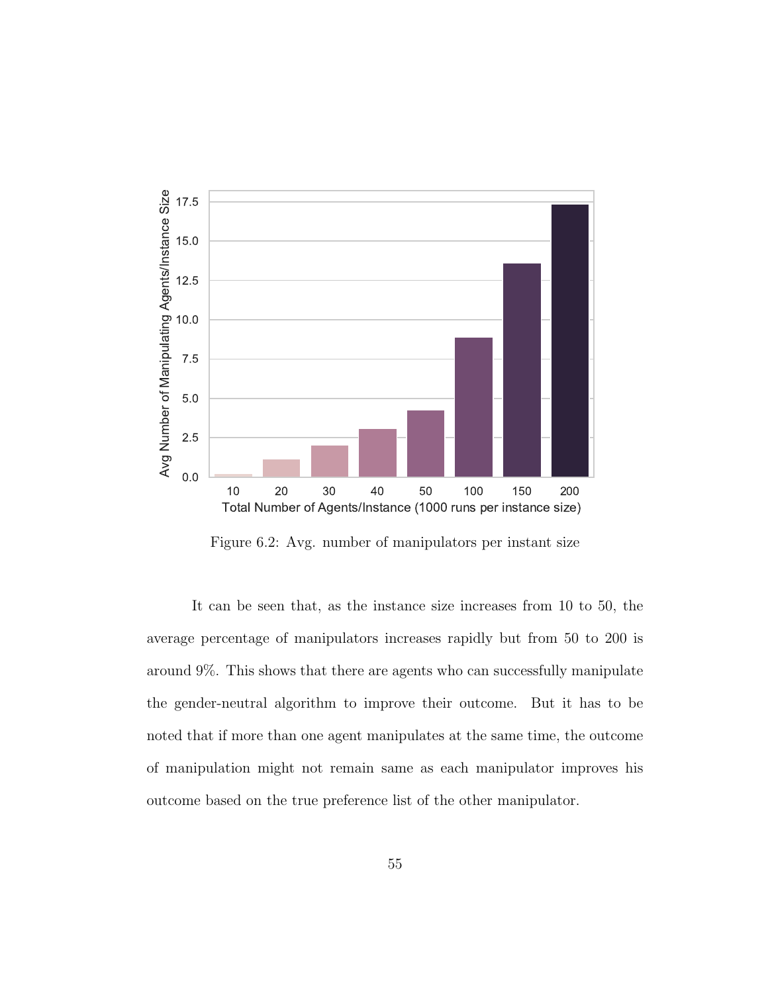

Figure 6.2: Avg. number of manipulators per instant size

It can be seen that, as the instance size increases from 10 to 50, the average percentage of manipulators increases rapidly but from 50 to 200 is around 9%. This shows that there are agents who can successfully manipulate the gender-neutral algorithm to improve their outcome. But it has to be noted that if more than one agent manipulates at the same time, the outcome of manipulation might not remain same as each manipulator improves his outcome based on the true preference list of the other manipulator.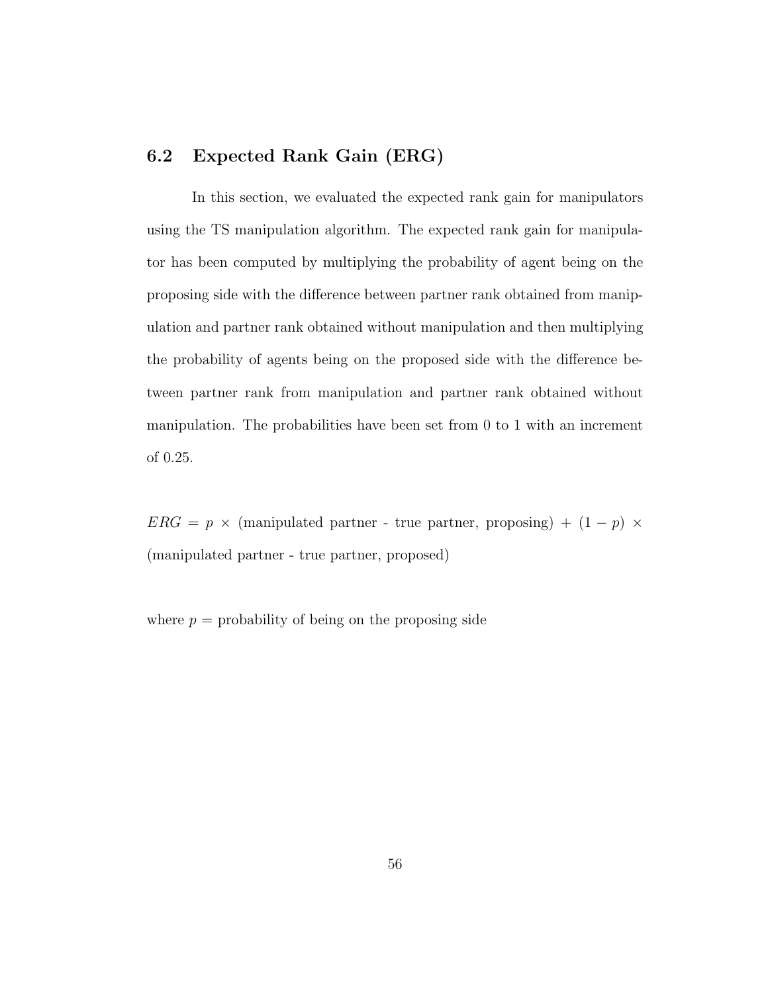### 6.2 Expected Rank Gain (ERG)

In this section, we evaluated the expected rank gain for manipulators using the TS manipulation algorithm. The expected rank gain for manipulator has been computed by multiplying the probability of agent being on the proposing side with the difference between partner rank obtained from manipulation and partner rank obtained without manipulation and then multiplying the probability of agents being on the proposed side with the difference between partner rank from manipulation and partner rank obtained without manipulation. The probabilities have been set from 0 to 1 with an increment of 0.25.

 $ERG$  =  $p$   $\times$  (manipulated partner - true partner, proposing) + (1  $p)$   $\times$ (manipulated partner - true partner, proposed)

where  $p =$  probability of being on the proposing side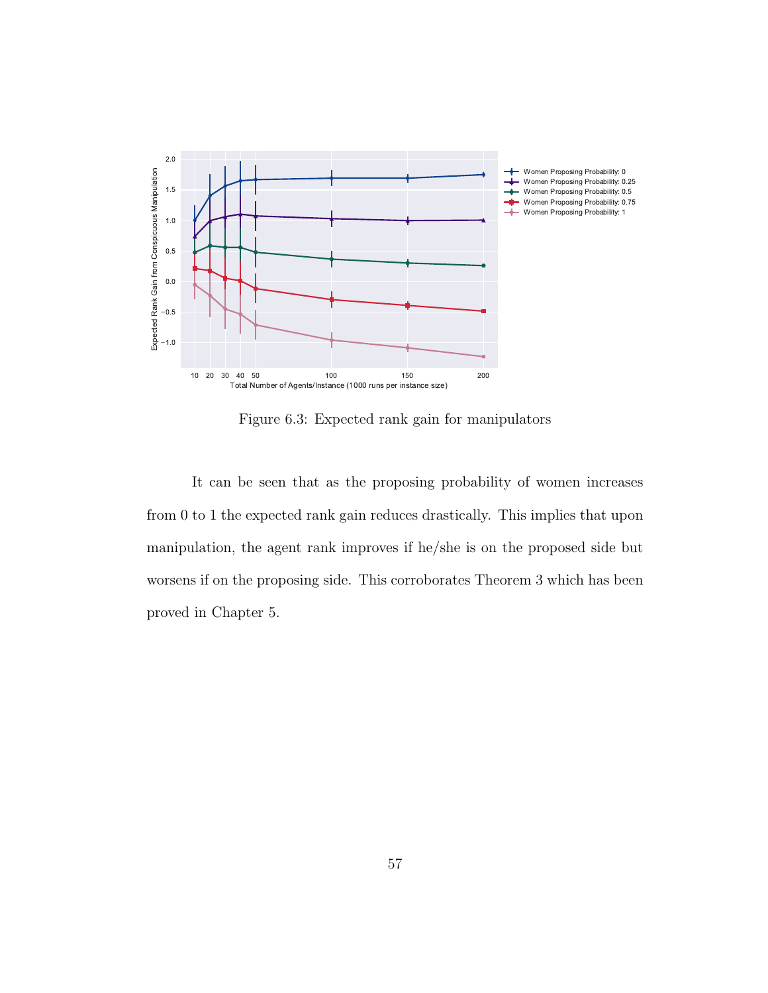

Figure 6.3: Expected rank gain for manipulators

It can be seen that as the proposing probability of women increases from 0 to 1 the expected rank gain reduces drastically. This implies that upon manipulation, the agent rank improves if he/she is on the proposed side but worsens if on the proposing side. This corroborates Theorem 3 which has been proved in Chapter 5.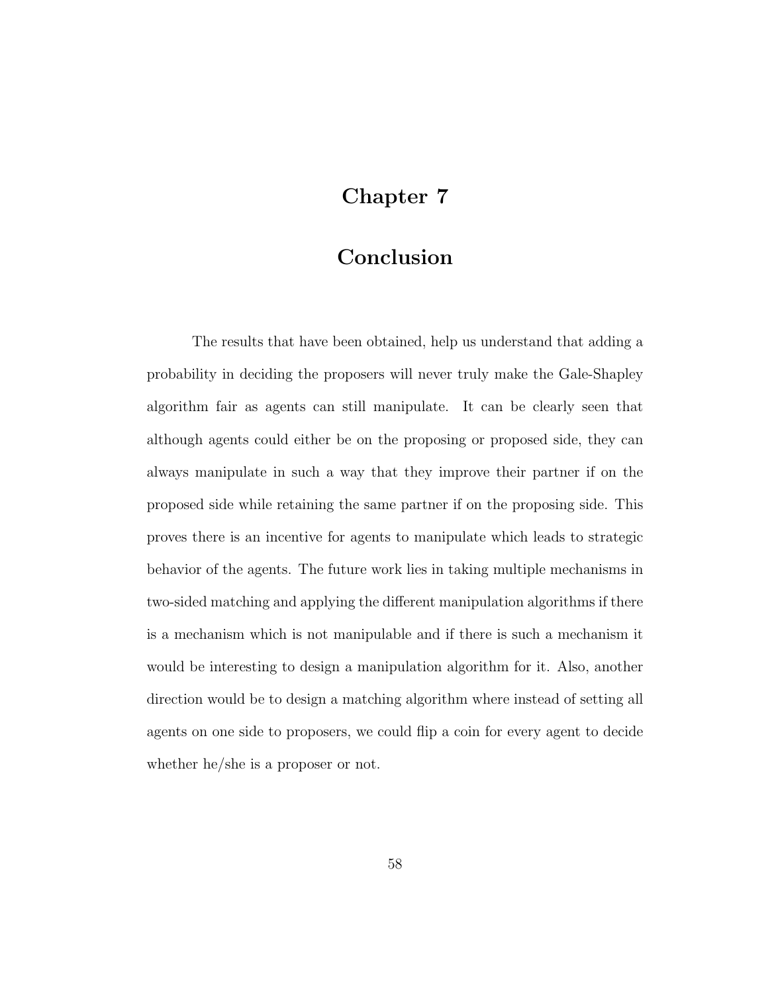# Chapter 7

## Conclusion

The results that have been obtained, help us understand that adding a probability in deciding the proposers will never truly make the Gale-Shapley algorithm fair as agents can still manipulate. It can be clearly seen that although agents could either be on the proposing or proposed side, they can always manipulate in such a way that they improve their partner if on the proposed side while retaining the same partner if on the proposing side. This proves there is an incentive for agents to manipulate which leads to strategic behavior of the agents. The future work lies in taking multiple mechanisms in two-sided matching and applying the different manipulation algorithms if there is a mechanism which is not manipulable and if there is such a mechanism it would be interesting to design a manipulation algorithm for it. Also, another direction would be to design a matching algorithm where instead of setting all agents on one side to proposers, we could flip a coin for every agent to decide whether he/she is a proposer or not.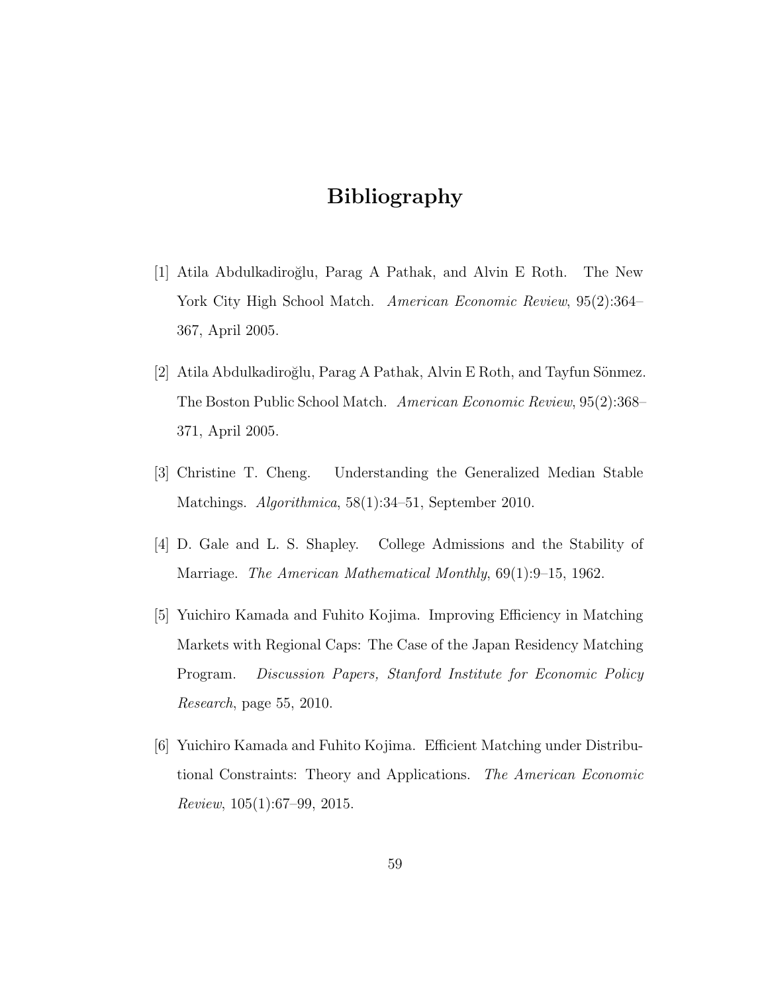## Bibliography

- [1] Atila Abdulkadiro˘glu, Parag A Pathak, and Alvin E Roth. The New York City High School Match. American Economic Review, 95(2):364– 367, April 2005.
- [2] Atila Abdulkadiroğlu, Parag A Pathak, Alvin E Roth, and Tayfun Sönmez. The Boston Public School Match. American Economic Review, 95(2):368– 371, April 2005.
- [3] Christine T. Cheng. Understanding the Generalized Median Stable Matchings. Algorithmica, 58(1):34–51, September 2010.
- [4] D. Gale and L. S. Shapley. College Admissions and the Stability of Marriage. The American Mathematical Monthly, 69(1):9–15, 1962.
- [5] Yuichiro Kamada and Fuhito Kojima. Improving Efficiency in Matching Markets with Regional Caps: The Case of the Japan Residency Matching Program. Discussion Papers, Stanford Institute for Economic Policy Research, page 55, 2010.
- [6] Yuichiro Kamada and Fuhito Kojima. Efficient Matching under Distributional Constraints: Theory and Applications. The American Economic Review, 105(1):67–99, 2015.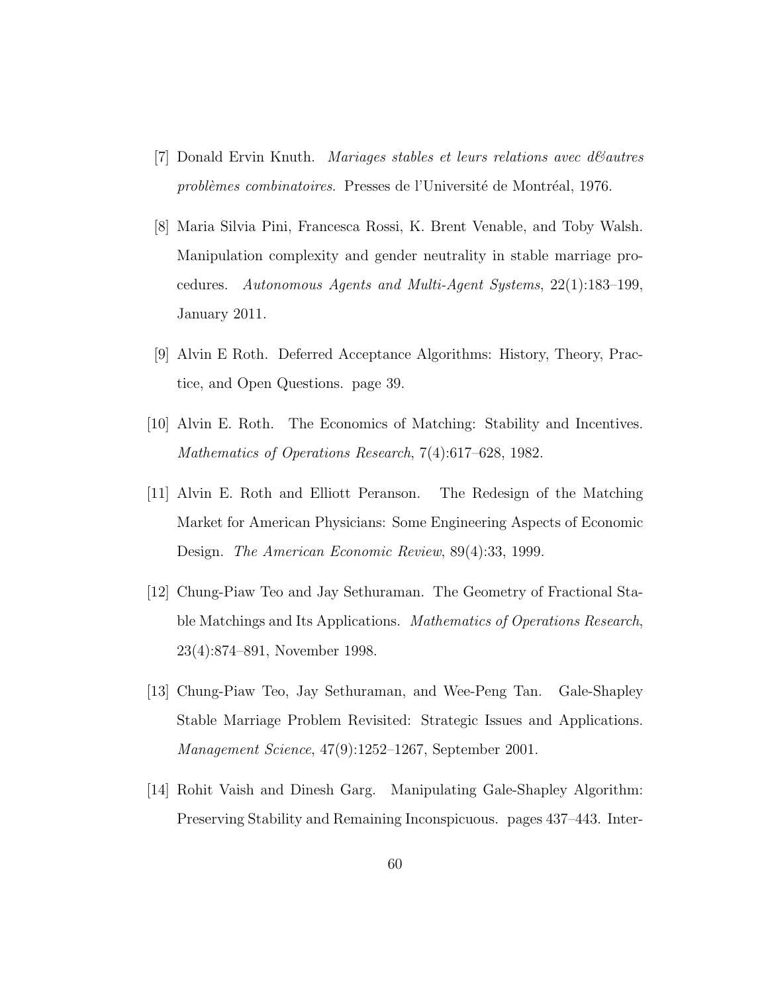- [7] Donald Ervin Knuth. *Mariages stables et leurs relations avec dévautres* problèmes combinatoires. Presses de l'Université de Montréal, 1976.
- [8] Maria Silvia Pini, Francesca Rossi, K. Brent Venable, and Toby Walsh. Manipulation complexity and gender neutrality in stable marriage procedures. Autonomous Agents and Multi-Agent Systems, 22(1):183–199, January 2011.
- [9] Alvin E Roth. Deferred Acceptance Algorithms: History, Theory, Practice, and Open Questions. page 39.
- [10] Alvin E. Roth. The Economics of Matching: Stability and Incentives. Mathematics of Operations Research, 7(4):617–628, 1982.
- [11] Alvin E. Roth and Elliott Peranson. The Redesign of the Matching Market for American Physicians: Some Engineering Aspects of Economic Design. The American Economic Review, 89(4):33, 1999.
- [12] Chung-Piaw Teo and Jay Sethuraman. The Geometry of Fractional Stable Matchings and Its Applications. Mathematics of Operations Research, 23(4):874–891, November 1998.
- [13] Chung-Piaw Teo, Jay Sethuraman, and Wee-Peng Tan. Gale-Shapley Stable Marriage Problem Revisited: Strategic Issues and Applications. Management Science, 47(9):1252–1267, September 2001.
- [14] Rohit Vaish and Dinesh Garg. Manipulating Gale-Shapley Algorithm: Preserving Stability and Remaining Inconspicuous. pages 437–443. Inter-